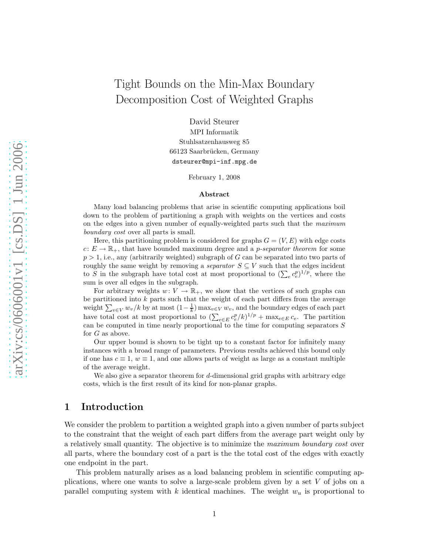# Tight Bounds on the Min-Max Boundary Decomposition Cost of Weighted Graphs

David Steurer MPI Informatik Stuhlsatzenhausweg 85 66123 Saarbrücken, Germany dsteurer@mpi-inf.mpg.de

February 1, 2008

#### Abstract

Many load balancing problems that arise in scientific computing applications boil down to the problem of partitioning a graph with weights on the vertices and costs on the edges into a given number of equally-weighted parts such that the *maximum boundary cost* over all parts is small.

Here, this partitioning problem is considered for graphs  $G = (V, E)$  with edge costs  $c: E \to \mathbb{R}_+$ , that have bounded maximum degree and a *p-separator theorem* for some  $p > 1$ , i.e., any (arbitrarily weighted) subgraph of G can be separated into two parts of roughly the same weight by removing a *separator*  $S \subseteq V$  such that the edges incident to S in the subgraph have total cost at most proportional to  $(\sum_{e} c_e^p)^{1/p}$ , where the sum is over all edges in the subgraph.

For arbitrary weights  $w: V \to \mathbb{R}_+$ , we show that the vertices of such graphs can be partitioned into  $k$  parts such that the weight of each part differs from the average weight  $\sum_{v \in V} w_v/k$  by at most  $(1 - \frac{1}{k})$  max $_{v \in V} w_v$ , and the boundary edges of each part have total cost at most proportional to  $(\sum_{e \in E} c_e^p / k)^{1/p} + \max_{e \in E} c_e$ . The partition can be computed in time nearly proportional to the time for computing separators  $S$ for G as above.

Our upper bound is shown to be tight up to a constant factor for infinitely many instances with a broad range of parameters. Previous results achieved this bound only if one has  $c \equiv 1, w \equiv 1$ , and one allows parts of weight as large as a constant multiple of the average weight.

We also give a separator theorem for d-dimensional grid graphs with arbitrary edge costs, which is the first result of its kind for non-planar graphs.

### <span id="page-0-0"></span>1 Introduction

We consider the problem to partition a weighted graph into a given number of parts subject to the constraint that the weight of each part differs from the average part weight only by a relatively small quantity. The objective is to minimize the *maximum boundary cost* over all parts, where the boundary cost of a part is the the total cost of the edges with exactly one endpoint in the part.

This problem naturally arises as a load balancing problem in scientific computing applications, where one wants to solve a large-scale problem given by a set  $V$  of jobs on a parallel computing system with  $k$  identical machines. The weight  $w_u$  is proportional to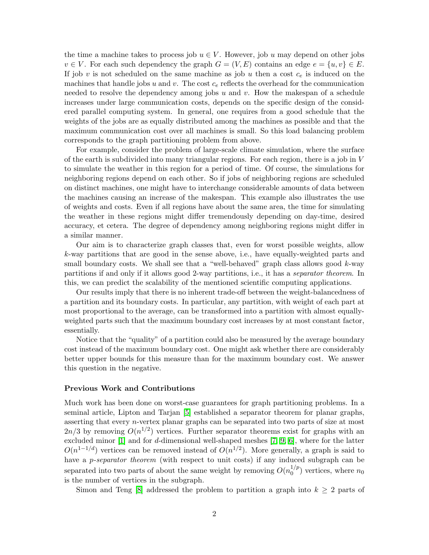the time a machine takes to process job  $u \in V$ . However, job u may depend on other jobs  $v \in V$ . For each such dependency the graph  $G = (V, E)$  contains an edge  $e = \{u, v\} \in E$ . If job v is not scheduled on the same machine as job u then a cost  $c_e$  is induced on the machines that handle jobs u and v. The cost  $c_e$  reflects the overhead for the communication needed to resolve the dependency among jobs  $u$  and  $v$ . How the makespan of a schedule increases under large communication costs, depends on the specific design of the considered parallel computing system. In general, one requires from a good schedule that the weights of the jobs are as equally distributed among the machines as possible and that the maximum communication cost over all machines is small. So this load balancing problem corresponds to the graph partitioning problem from above.

For example, consider the problem of large-scale climate simulation, where the surface of the earth is subdivided into many triangular regions. For each region, there is a job in  $V$ to simulate the weather in this region for a period of time. Of course, the simulations for neighboring regions depend on each other. So if jobs of neighboring regions are scheduled on distinct machines, one might have to interchange considerable amounts of data between the machines causing an increase of the makespan. This example also illustrates the use of weights and costs. Even if all regions have about the same area, the time for simulating the weather in these regions might differ tremendously depending on day-time, desired accuracy, et cetera. The degree of dependency among neighboring regions might differ in a similar manner.

Our aim is to characterize graph classes that, even for worst possible weights, allow k-way partitions that are good in the sense above, i.e., have equally-weighted parts and small boundary costs. We shall see that a "well-behaved" graph class allows good  $k$ -way partitions if and only if it allows good 2-way partitions, i.e., it has a *separator theorem*. In this, we can predict the scalability of the mentioned scientific computing applications.

Our results imply that there is no inherent trade-off between the weight-balancedness of a partition and its boundary costs. In particular, any partition, with weight of each part at most proportional to the average, can be transformed into a partition with almost equallyweighted parts such that the maximum boundary cost increases by at most constant factor, essentially.

Notice that the "quality" of a partition could also be measured by the average boundary cost instead of the maximum boundary cost. One might ask whether there are considerably better upper bounds for this measure than for the maximum boundary cost. We answer this question in the negative.

#### Previous Work and Contributions

Much work has been done on worst-case guarantees for graph partitioning problems. In a seminal article, Lipton and Tarjan [\[5\]](#page-30-0) established a separator theorem for planar graphs, asserting that every n-vertex planar graphs can be separated into two parts of size at most  $2n/3$  by removing  $O(n^{1/2})$  vertices. Further separator theorems exist for graphs with an excluded minor [\[1\]](#page-29-0) and for d-dimensional well-shaped meshes [\[7,](#page-30-1) [9,](#page-30-2) [6\]](#page-30-3), where for the latter  $O(n^{1-1/d})$  vertices can be removed instead of  $O(n^{1/2})$ . More generally, a graph is said to have a p*-separator theorem* (with respect to unit costs) if any induced subgraph can be separated into two parts of about the same weight by removing  $O(n_0^{1/p})$  $\binom{1}{0}$  vertices, where  $n_0$ is the number of vertices in the subgraph.

Simon and Teng [\[8\]](#page-30-4) addressed the problem to partition a graph into  $k \geq 2$  parts of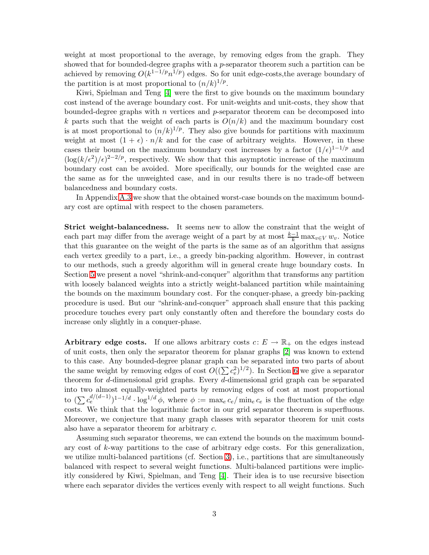weight at most proportional to the average, by removing edges from the graph. They showed that for bounded-degree graphs with a p-separator theorem such a partition can be achieved by removing  $O(k^{1-1/p}n^{1/p})$  edges. So for unit edge-costs, the average boundary of the partition is at most proportional to  $(n/k)^{1/p}$ .

Kiwi, Spielman and Teng [\[4\]](#page-30-5) were the first to give bounds on the maximum boundary cost instead of the average boundary cost. For unit-weights and unit-costs, they show that bounded-degree graphs with  $n$  vertices and  $p$ -separator theorem can be decomposed into k parts such that the weight of each parts is  $O(n/k)$  and the maximum boundary cost is at most proportional to  $(n/k)^{1/p}$ . They also give bounds for partitions with maximum weight at most  $(1 + \epsilon) \cdot n/k$  and for the case of arbitrary weights. However, in these cases their bound on the maximum boundary cost increases by a factor  $(1/\epsilon)^{1-1/p}$  and  $(\log(k/\epsilon^2)/\epsilon)^{2-2/p}$ , respectively. We show that this asymptotic increase of the maximum boundary cost can be avoided. More specifically, our bounds for the weighted case are the same as for the unweighted case, and in our results there is no trade-off between balancedness and boundary costs.

In Appendix [A.3](#page-35-0) we show that the obtained worst-case bounds on the maximum boundary cost are optimal with respect to the chosen parameters.

Strict weight-balancedness. It seems new to allow the constraint that the weight of each part may differ from the average weight of a part by at most  $\frac{k-1}{k} \max_{v \in V} w_v$ . Notice that this guarantee on the weight of the parts is the same as of an algorithm that assigns each vertex greedily to a part, i.e., a greedy bin-packing algorithm. However, in contrast to our methods, such a greedy algorithm will in general create huge boundary costs. In Section [5](#page-18-0) we present a novel "shrink-and-conquer" algorithm that transforms any partition with loosely balanced weights into a strictly weight-balanced partition while maintaining the bounds on the maximum boundary cost. For the conquer-phase, a greedy bin-packing procedure is used. But our "shrink-and-conquer" approach shall ensure that this packing procedure touches every part only constantly often and therefore the boundary costs do increase only slightly in a conquer-phase.

Arbitrary edge costs. If one allows arbitrary costs  $c: E \to \mathbb{R}_+$  on the edges instead of unit costs, then only the separator theorem for planar graphs [\[2\]](#page-30-6) was known to extend to this case. Any bounded-degree planar graph can be separated into two parts of about the same weight by removing edges of cost  $O((\sum c_e^2)^{1/2})$ . In Section [6](#page-23-0) we give a separator theorem for d-dimensional grid graphs. Every d-dimensional grid graph can be separated into two almost equally-weighted parts by removing edges of cost at most proportional to  $(\sum c_e^{d/(d-1)})^{1-1/d} \cdot \log^{1/d} \phi$ , where  $\phi := \max_e c_e / \min_e c_e$  is the fluctuation of the edge costs. We think that the logarithmic factor in our grid separator theorem is superfluous. Moreover, we conjecture that many graph classes with separator theorem for unit costs also have a separator theorem for arbitrary c.

Assuming such separator theorems, we can extend the bounds on the maximum boundary cost of k-way partitions to the case of arbitrary edge costs. For this generalization, we utilize multi-balanced partitions (cf. Section [3\)](#page-6-0), i.e., partitions that are simultaneously balanced with respect to several weight functions. Multi-balanced partitions were implicitly considered by Kiwi, Spielman, and Teng [\[4\]](#page-30-5). Their idea is to use recursive bisection where each separator divides the vertices evenly with respect to all weight functions. Such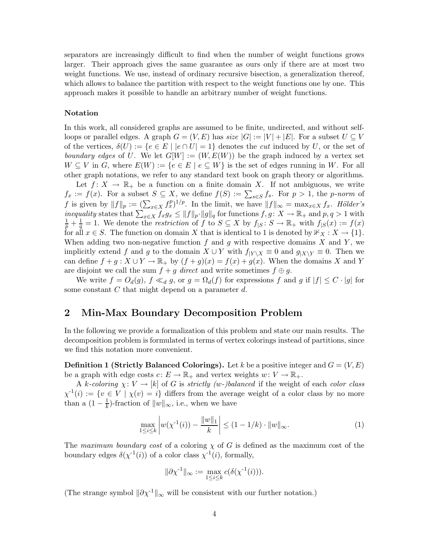separators are increasingly difficult to find when the number of weight functions grows larger. Their approach gives the same guarantee as ours only if there are at most two weight functions. We use, instead of ordinary recursive bisection, a generalization thereof, which allows to balance the partition with respect to the weight functions one by one. This approach makes it possible to handle an arbitrary number of weight functions.

#### Notation

In this work, all considered graphs are assumed to be finite, undirected, and without selfloops or parallel edges. A graph  $G = (V, E)$  has *size*  $|G| := |V| + |E|$ . For a subset  $U \subseteq V$ of the vertices,  $\delta(U) := \{e \in E \mid |e \cap U| = 1\}$  denotes the *cut* induced by U, or the set of *boundary edges* of U. We let  $G[W] := (W, E(W))$  be the graph induced by a vertex set  $W \subseteq V$  in G, where  $E(W) := \{e \in E \mid e \subseteq W\}$  is the set of edges running in W. For all other graph notations, we refer to any standard text book on graph theory or algorithms.

Let  $f: X \to \mathbb{R}_+$  be a function on a finite domain X. If not ambiguous, we write  $f_x := f(x)$ . For a subset  $S \subseteq X$ , we define  $f(S) := \sum_{s \in S} f_s$ . For  $p > 1$ , the *p*-norm of f is given by  $||f||_p := \left(\sum_{x \in X} f_x^p\right)^{1/p}$ . In the limit, we have  $||f||_{\infty} = \max_{x \in X} f_x$ . *Hölder's inequality* states that  $\sum_{x \in X} f_x g_x \le ||f||_p \cdot ||g||_q$  for functions  $f, g \colon X \to \mathbb{R}_+$  and  $p, q > 1$  with  $\frac{1}{p} + \frac{1}{q} = 1$ . We denote the *restriction* of f to  $S \subseteq X$  by  $f_{|S} \colon S \to \mathbb{R}_+$  with  $f_{|S}(x) := f(x)$ for all  $x \in S$ . The function on domain X that is identical to 1 is denoted by  $\mathbb{1}X \times X \to \{1\}$ . When adding two non-negative function  $f$  and  $g$  with respective domains  $X$  and  $Y$ , we implicitly extend f and g to the domain  $X \cup Y$  with  $f|_{Y \setminus X} \equiv 0$  and  $g|_{X \setminus Y} \equiv 0$ . Then we can define  $f + g : X \cup Y \to \mathbb{R}_+$  by  $(f + g)(x) = f(x) + g(x)$ . When the domains X and Y are disjoint we call the sum  $f + g$  *direct* and write sometimes  $f \oplus g$ .

We write  $f = O_d(g)$ ,  $f \ll_d g$ , or  $g = \Omega_d(f)$  for expressions f and g if  $|f| \leq C \cdot |g|$  for some constant  $C$  that might depend on a parameter  $d$ .

### 2 Min-Max Boundary Decomposition Problem

In the following we provide a formalization of this problem and state our main results. The decomposition problem is formulated in terms of vertex colorings instead of partitions, since we find this notation more convenient.

<span id="page-3-1"></span>**Definition 1 (Strictly Balanced Colorings).** Let k be a positive integer and  $G = (V, E)$ be a graph with edge costs  $c: E \to \mathbb{R}_+$  and vertex weights  $w: V \to \mathbb{R}_+$ .

A k-coloring  $\chi: V \to [k]$  of G is *strictly (w-)balanced* if the weight of each *color class*  $\chi^{-1}(i) := \{v \in V \mid \chi(v) = i\}$  differs from the average weight of a color class by no more than a  $(1 - \frac{1}{k})$  $\frac{1}{k}$ )-fraction of  $||w||_{\infty}$ , i.e., when we have

<span id="page-3-0"></span>
$$
\max_{1 \le i \le k} \left| w(\chi^{-1}(i)) - \frac{\|w\|_1}{k} \right| \le (1 - 1/k) \cdot \|w\|_{\infty}.
$$
 (1)

The *maximum boundary cost* of a coloring χ of G is defined as the maximum cost of the boundary edges  $\delta(\chi^{-1}(i))$  of a color class  $\chi^{-1}(i)$ , formally,

$$
\|\partial \chi^{-1}\|_{\infty} := \max_{1 \le i \le k} c(\delta(\chi^{-1}(i))).
$$

(The strange symbol  $\|\partial \chi^{-1}\|_{\infty}$  will be consistent with our further notation.)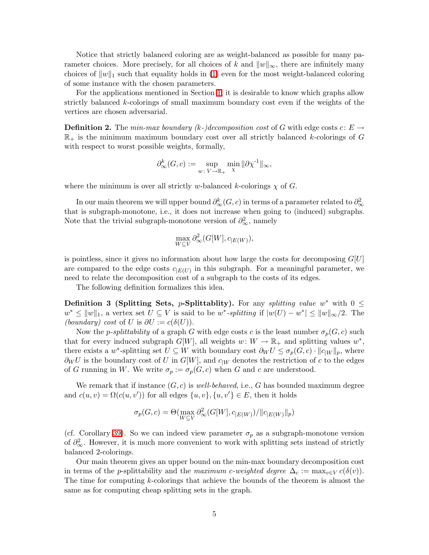Notice that strictly balanced coloring are as weight-balanced as possible for many parameter choices. More precisely, for all choices of k and  $||w||_{\infty}$ , there are infinitely many choices of  $||w||_1$  such that equality holds in [\(1\)](#page-3-0) even for the most weight-balanced coloring of some instance with the chosen parameters.

For the applications mentioned in Section [1,](#page-0-0) it is desirable to know which graphs allow strictly balanced k-colorings of small maximum boundary cost even if the weights of the vertices are chosen adversarial.

**Definition 2.** The *min-max boundary*  $(k-)decomposition cost of G with edge costs c: E \rightarrow$  $\mathbb{R}_+$  is the minimum maximum boundary cost over all strictly balanced k-colorings of G with respect to worst possible weights, formally,

$$
\partial_{\infty}^{k}(G, c) := \sup_{w \colon V \to \mathbb{R}_{+}} \min_{\chi} \|\partial \chi^{-1}\|_{\infty},
$$

where the minimum is over all strictly w-balanced k-colorings  $\chi$  of G.

In our main theorem we will upper bound  $\partial_\infty^k(G,c)$  in terms of a parameter related to  $\partial_\infty^2$ that is subgraph-monotone, i.e., it does not increase when going to (induced) subgraphs. Note that the trivial subgraph-monotone version of  $\partial_{\infty}^2$ , namely

$$
\max_{W \subseteq V} \partial_{\infty}^2(G[W], c_{|E(W)}),
$$

is pointless, since it gives no information about how large the costs for decomposing  $G[U]$ are compared to the edge costs  $c_{|E(U)}$  in this subgraph. For a meaningful parameter, we need to relate the decomposition cost of a subgraph to the costs of its edges.

The following definition formalizes this idea.

**Definition 3 (Splitting Sets, p-Splittablity).** For any *splitting value*  $w^*$  with  $0 \leq$  $w^*$  ≤  $||w||_1$ , a vertex set  $U \subseteq V$  is said to be  $w^*$ -*splitting* if  $|w(U) - w^*| \le ||w||_{\infty}/2$ . The *(boundary) cost* of U is  $\partial U := c(\delta(U))$ .

Now the *p-splittability* of a graph G with edge costs c is the least number  $\sigma_p(G, c)$  such that for every induced subgraph  $G[W]$ , all weights  $w: W \to \mathbb{R}_+$  and splitting values  $w^*$ , there exists a w<sup>\*</sup>-splitting set  $U \subseteq W$  with boundary cost  $\partial_W U \leq \sigma_p(G,c) \cdot ||c_{|W}||_p$ , where  $\partial_W U$  is the boundary cost of U in  $G[W]$ , and  $c_{|W}$  denotes the restriction of c to the edges of G running in W. We write  $\sigma_p := \sigma_p(G, c)$  when G and c are understood.

We remark that if instance  $(G, c)$  is *well-behaved*, i.e., G has bounded maximum degree and  $c(u, v) = \Omega(c(u, v'))$  for all edges  $\{u, v\}$ ,  $\{u, v'\} \in E$ , then it holds

$$
\sigma_p(G, c) = \Theta(\max_{W \subseteq V} \partial_{\infty}^2(G[W], c_{|E(W)}) / ||c_{|E(W)}||_p)
$$

(cf. Corollary [39\)](#page-38-0). So we can indeed view parameter  $\sigma_p$  as a subgraph-monotone version of  $\partial_{\infty}^2$ . However, it is much more convenient to work with splitting sets instead of strictly balanced 2-colorings.

<span id="page-4-0"></span>Our main theorem gives an upper bound on the min-max boundary decomposition cost in terms of the *p*-splittability and the *maximum* c-weighted degree  $\Delta_c := \max_{v \in V} c(\delta(v))$ . The time for computing k-colorings that achieve the bounds of the theorem is almost the same as for computing cheap splitting sets in the graph.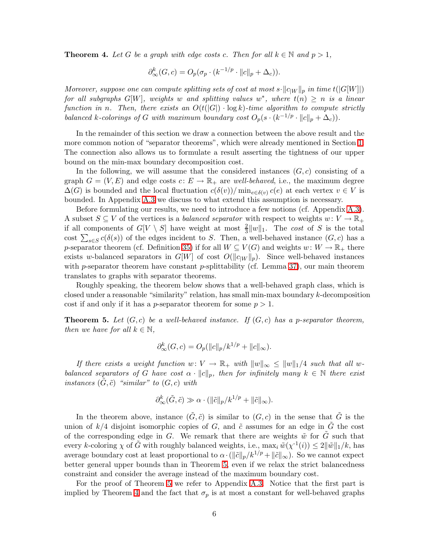**Theorem 4.** Let G be a graph with edge costs c. Then for all  $k \in \mathbb{N}$  and  $p > 1$ ,

$$
\partial_{\infty}^{k}(G, c) = O_{p}(\sigma_{p} \cdot (k^{-1/p} \cdot ||c||_{p} + \Delta_{c})).
$$

*Moreover, suppose one can compute splitting sets of cost at most*  $s \cdot ||c_{W}||_{p}$  *in time*  $t(|G[W]|)$  $for \ all \ subgraphs \ G[W]$ , weights w and splitting values  $w^*$ , where  $t(n) \geq n$  is a linear *function in n. Then, there exists an*  $O(t(|G|) \cdot \log k)$ *-time algorithm to compute strictly balanced* k-colorings of G with maximum boundary cost  $O_p(s \cdot (k^{-1/p} \cdot ||c||_p + \Delta_c))$ *.* 

In the remainder of this section we draw a connection between the above result and the more common notion of "separator theorems", which were already mentioned in Section [1.](#page-0-0) The connection also allows us to formulate a result asserting the tightness of our upper bound on the min-max boundary decomposition cost.

In the following, we will assume that the considered instances  $(G, c)$  consisting of a graph  $G = (V, E)$  and edge costs  $c: E \to \mathbb{R}_+$  are *well-behaved*, i.e., the maximum degree  $\Delta(G)$  is bounded and the local fluctuation  $c(\delta(v))/\min_{e \in \delta(v)} c(e)$  at each vertex  $v \in V$  is bounded. In Appendix [A.3](#page-35-0) we discuss to what extend this assumption is necessary.

Before formulating our results, we need to introduce a few notions (cf. Appendix [A.3\)](#page-35-0). A subset  $S \subseteq V$  of the vertices is a *balanced separator* with respect to weights  $w: V \to \mathbb{R}_+$ if all components of  $G[V \setminus S]$  have weight at most  $\frac{2}{3}||w||_1$ . The *cost* of S is the total cost  $\sum_{s\in S} c(\delta(s))$  of the edges incident to S. Then, a well-behaved instance  $(G, c)$  has a p-separator theorem (cf. Definition [35\)](#page-35-1) if for all  $W \subseteq V(G)$  and weights  $w: W \to \mathbb{R}_+$  there exists w-balanced separators in  $G[W]$  of cost  $O(||c|_W ||_p)$ . Since well-behaved instances with p-separator theorem have constant p-splittability (cf. Lemma [37\)](#page-36-0), our main theorem translates to graphs with separator theorems.

Roughly speaking, the theorem below shows that a well-behaved graph class, which is closed under a reasonable "similarity" relation, has small min-max boundary k-decomposition cost if and only if it has a *p*-separator theorem for some  $p > 1$ .

<span id="page-5-0"></span>**Theorem 5.** Let  $(G, c)$  be a well-behaved instance. If  $(G, c)$  has a p-separator theorem, *then we have for all*  $k \in \mathbb{N}$ *,* 

$$
\partial_{\infty}^{k}(G, c) = O_{p}(\|c\|_{p}/k^{1/p} + \|c\|_{\infty}).
$$

*If there exists a weight function*  $w: V \to \mathbb{R}_+$  *with*  $||w||_{\infty} \le ||w||_1/4$  *such that all* w*balanced separators of* G *have cost*  $\alpha \cdot ||c||_p$ , *then for infinitely many*  $k \in \mathbb{N}$  *there exist instances*  $(G, \tilde{c})$  "*similar" to*  $(G, c)$  *with* 

$$
\partial_{\infty}^k(\tilde{G}, \tilde{c}) \gg \alpha \cdot (||\tilde{c}||_p/k^{1/p} + ||\tilde{c}||_{\infty}).
$$

In the theorem above, instance  $(\tilde{G}, \tilde{c})$  is similar to  $(G, c)$  in the sense that  $\tilde{G}$  is the union of  $k/4$  disjoint isomorphic copies of G, and  $\tilde{c}$  assumes for an edge in  $\tilde{G}$  the cost of the corresponding edge in G. We remark that there are weights  $\tilde{w}$  for  $\tilde{G}$  such that every k-coloring  $\chi$  of  $\tilde{G}$  with roughly balanced weights, i.e.,  $\max_i \tilde{w}(\chi^{-1}(i)) \leq 2||\tilde{w}||_1/k$ , has average boundary cost at least proportional to  $\alpha \cdot (\|\tilde{c}\|_p/k^{1/p} + \|\tilde{c}\|_{\infty})$ . So we cannot expect better general upper bounds than in Theorem [5,](#page-5-0) even if we relax the strict balancedness constraint and consider the average instead of the maximum boundary cost.

For the proof of Theorem [5](#page-5-0) we refer to Appendix [A.3.](#page-35-0) Notice that the first part is implied by Theorem [4](#page-4-0) and the fact that  $\sigma_p$  is at most a constant for well-behaved graphs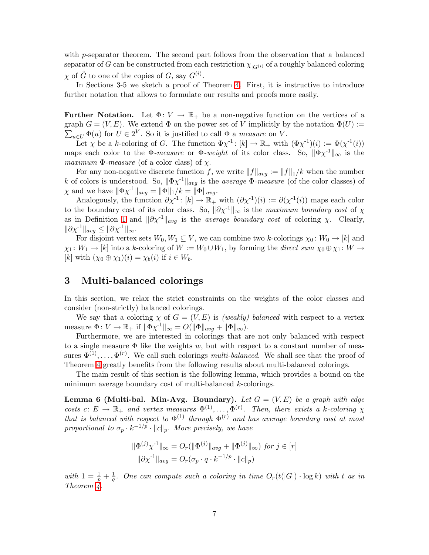with p-separator theorem. The second part follows from the observation that a balanced separator of G can be constructed from each restriction  $\chi_{|G^{(i)}}$  of a roughly balanced coloring  $\chi$  of  $\tilde{G}$  to one of the copies of  $G$ , say  $G^{(i)}$ .

In Sections 3-5 we sketch a proof of Theorem [4.](#page-4-0) First, it is instructive to introduce further notation that allows to formulate our results and proofs more easily.

**Further Notation.** Let  $\Phi: V \to \mathbb{R}_+$  be a non-negative function on the vertices of a graph  $G = (V, E)$ . We extend  $\Phi$  on the power set of V implicitly by the notation  $\Phi(U) :=$  $\sum_{u \in U} \Phi(u)$  for  $U \in 2^V$ . So it is justified to call  $\Phi$  a *measure* on V.

Let  $\chi$  be a k-coloring of G. The function  $\Phi \chi^{-1}$ :  $[k] \to \mathbb{R}_+$  with  $(\Phi \chi^{-1})(i) := \Phi(\chi^{-1}(i))$ maps each color to the  $\Phi$ *-measure* or  $\Phi$ *-weight* of its color class. So,  $\|\Phi \chi^{-1}\|_{\infty}$  is the *maximum*  $\Phi$ *-measure* (of a color class) of  $\chi$ .

For any non-negative discrete function f, we write  $||f||_{avg} := ||f||_1/k$  when the number k of colors is understood. So,  $\|\Phi \chi^{-1}\|_{avg}$  is the *average*  $\Phi$ -measure (of the color classes) of  $\chi$  and we have  $\|\Phi \chi^{-1}\|_{avg} = \|\Phi\|_1/k = \|\Phi\|_{avg}$ .

Analogously, the function  $\partial \chi^{-1}$ :  $[k] \to \mathbb{R}_+$  with  $(\partial \chi^{-1})(i) := \partial (\chi^{-1}(i))$  maps each color to the boundary cost of its color class. So,  $\|\partial \chi^{-1}\|_{\infty}$  is the *maximum boundary cost* of  $\chi$ as in Definition [1](#page-3-1) and  $\|\partial \chi^{-1}\|_{avg}$  is the *average boundary cost* of coloring  $\chi$ . Clearly,  $\|\partial \chi^{-1}\|_{avg} \leq \|\partial \chi^{-1}\|_{\infty}.$ 

For disjoint vertex sets  $W_0, W_1 \subseteq V$ , we can combine two k-colorings  $\chi_0 \colon W_0 \to [k]$  and  $\chi_1: W_1 \to [k]$  into a k-coloring of  $W := W_0 \cup W_1$ , by forming the *direct sum*  $\chi_0 \oplus \chi_1: W \to$ [k] with  $(\chi_0 \oplus \chi_1)(i) = \chi_b(i)$  if  $i \in W_b$ .

### <span id="page-6-0"></span>3 Multi-balanced colorings

In this section, we relax the strict constraints on the weights of the color classes and consider (non-strictly) balanced colorings.

We say that a coloring  $\chi$  of  $G = (V, E)$  is *(weakly) balanced* with respect to a vertex measure  $\Phi \colon V \to \mathbb{R}_+$  if  $\|\Phi \chi^{-1}\|_{\infty} = O(\|\Phi\|_{avg} + \|\Phi\|_{\infty}).$ 

Furthermore, we are interested in colorings that are not only balanced with respect to a single measure  $\Phi$  like the weights w, but with respect to a constant number of measures  $\Phi^{(1)}, \ldots, \Phi^{(r)}$ . We call such colorings *multi-balanced*. We shall see that the proof of Theorem [4](#page-4-0) greatly benefits from the following results about multi-balanced colorings.

<span id="page-6-1"></span>The main result of this section is the following lemma, which provides a bound on the minimum average boundary cost of multi-balanced k-colorings.

**Lemma 6 (Multi-bal. Min-Avg. Boundary).** Let  $G = (V, E)$  be a graph with edge costs  $c: E \to \mathbb{R}_+$  and vertex measures  $\Phi^{(1)}, \ldots, \Phi^{(r)}$ . Then, there exists a k-coloring  $\chi$ *that is balanced with respect to*  $\Phi^{(1)}$  *through*  $\Phi^{(r)}$  *and has average boundary cost at most proportional to*  $\sigma_p \cdot k^{-1/p} \cdot ||c||_p$ . More precisely, we have

$$
\|\Phi^{(j)}\chi^{1}\|_{\infty} = O_r(\|\Phi^{(j)}\|_{avg} + \|\Phi^{(j)}\|_{\infty}) \text{ for } j \in [r]
$$
  

$$
\|\partial\chi^{1}\|_{avg} = O_r(\sigma_p \cdot q \cdot k^{-1/p} \cdot \|c\|_p)
$$

*with*  $1 = \frac{1}{p} + \frac{1}{q}$  $\frac{1}{q}$ . One can compute such a coloring in time  $O_r(t(|G|) \cdot \log k)$  with t as in *Theorem [4.](#page-4-0)*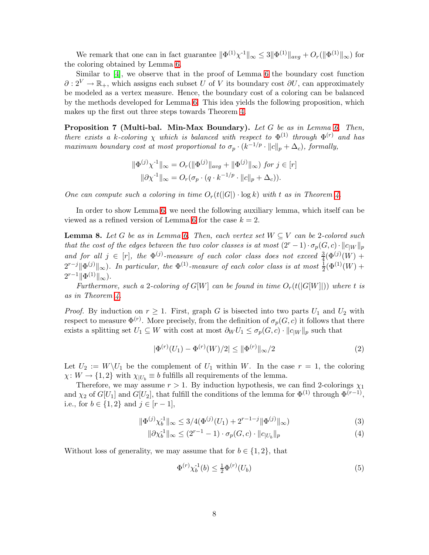We remark that one can in fact guarantee  $\|\Phi^{(1)}\chi^{1}\|_{\infty} \leq 3\|\Phi^{(1)}\|_{avg} + O_r(\|\Phi^{(1)}\|_{\infty})$  for the coloring obtained by Lemma [6.](#page-6-1)

Similar to [\[4\]](#page-30-5), we observe that in the proof of Lemma [6](#page-6-1) the boundary cost function  $\partial: 2^V \to \mathbb{R}_+$ , which assigns each subset U of V its boundary cost  $\partial U$ , can approximately be modeled as a vertex measure. Hence, the boundary cost of a coloring can be balanced by the methods developed for Lemma [6.](#page-6-1) This idea yields the following proposition, which makes up the first out three steps towards Theorem [4.](#page-4-0)

<span id="page-7-4"></span>Proposition 7 (Multi-bal. Min-Max Boundary). *Let* G *be as in Lemma [6.](#page-6-1) Then, there exists a k-coloring*  $\chi$  *which is balanced with respect to*  $\Phi^{(1)}$  *through*  $\Phi^{(r)}$  *and has maximum boundary cost at most proportional to*  $\sigma_p \cdot (k^{-1/p} \cdot ||c||_p + \Delta_c)$ *, formally,* 

$$
\|\Phi^{(j)}\chi^{1}\|_{\infty} = O_r(\|\Phi^{(j)}\|_{avg} + \|\Phi^{(j)}\|_{\infty}) \text{ for } j \in [r]
$$
  

$$
\|\partial \chi^{1}\|_{\infty} = O_r(\sigma_p \cdot (q \cdot k^{-1/p} \cdot \|c\|_p + \Delta_c)).
$$

*One can compute such a coloring in time*  $O_r(t(|G|) \cdot \log k)$  *with* t *as in Theorem [4.](#page-4-0)* 

<span id="page-7-5"></span>In order to show Lemma [6,](#page-6-1) we need the following auxiliary lemma, which itself can be viewed as a refined version of Lemma [6](#page-6-1) for the case  $k = 2$ .

**Lemma 8.** Let G be as in Lemma [6.](#page-6-1) Then, each vertex set  $W \subseteq V$  can be 2-colored such *that the cost of the edges between the two color classes is at most*  $(2^r - 1) \cdot \sigma_p(G, c) \cdot ||c||_W ||_p$ and for all  $j \in [r]$ , the  $\Phi^{(j)}$ -measure of each color class does not exceed  $\frac{3}{4}(\Phi^{(j)}(W) +$  $2^{r-j} \|\Phi^{(j)}\|_{\infty}$ ). In particular, the  $\Phi^{(1)}$ -measure of each color class is at most  $\frac{1}{2}(\Phi^{(1)}(W) +$  $2^{r-1} \|\Phi^{(1)}\|_{\infty}$ ).

*Furthermore, such a* 2-coloring of  $G[W]$  can be found in time  $O_r(t(|G[W]|))$  where t is *as in Theorem [4.](#page-4-0)*

*Proof.* By induction on  $r \geq 1$ . First, graph G is bisected into two parts  $U_1$  and  $U_2$  with respect to measure  $\Phi^{(r)}$ . More precisely, from the definition of  $\sigma_p(G,c)$  it follows that there exists a splitting set  $U_1 \subseteq W$  with cost at most  $\partial_W U_1 \leq \sigma_p(G,c) \cdot ||c_{|W}||_p$  such that

<span id="page-7-1"></span>
$$
|\Phi^{(r)}(U_1) - \Phi^{(r)}(W)/2| \le ||\Phi^{(r)}||_{\infty}/2
$$
\n(2)

Let  $U_2 := W \backslash U_1$  be the complement of  $U_1$  within W. In the case  $r = 1$ , the coloring  $\chi: W \to \{1,2\}$  with  $\chi_{|U_b} \equiv b$  fulfills all requirements of the lemma.

Therefore, we may assume  $r > 1$ . By induction hypothesis, we can find 2-colorings  $\chi_1$ and  $\chi_2$  of  $G[U_1]$  and  $G[U_2]$ , that fulfill the conditions of the lemma for  $\Phi^{(1)}$  through  $\Phi^{(r-1)}$ , i.e., for  $b \in \{1, 2\}$  and  $j \in [r - 1]$ ,

$$
\|\Phi^{(j)}\chi_b^{-1}\|_{\infty} \le 3/4(\Phi^{(j)}(U_1) + 2^{r-1-j} \|\Phi^{(j)}\|_{\infty})
$$
\n(3)

$$
\|\partial \chi_b^{-1}\|_{\infty} \le (2^{r-1} - 1) \cdot \sigma_p(G, c) \cdot \|c_{|U_b}\|_p
$$
\n(4)

Without loss of generality, we may assume that for  $b \in \{1,2\}$ , that

<span id="page-7-3"></span><span id="page-7-2"></span><span id="page-7-0"></span>
$$
\Phi^{(r)} \chi_b^{-1}(b) \le \frac{1}{2} \Phi^{(r)}(U_b)
$$
\n(5)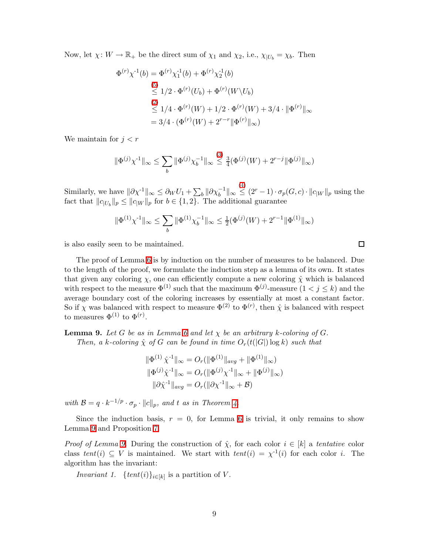Now, let  $\chi: W \to \mathbb{R}_+$  be the direct sum of  $\chi_1$  and  $\chi_2$ , i.e.,  $\chi_{|U_b} = \chi_b$ . Then

$$
\Phi^{(r)} \chi^{1}(b) = \Phi^{(r)} \chi_{1}^{1}(b) + \Phi^{(r)} \chi_{2}^{1}(b)
$$
\n
$$
\stackrel{(5)}{\leq} 1/2 \cdot \Phi^{(r)}(U_b) + \Phi^{(r)}(W \setminus U_b)
$$
\n
$$
\stackrel{(2)}{\leq} 1/4 \cdot \Phi^{(r)}(W) + 1/2 \cdot \Phi^{(r)}(W) + 3/4 \cdot \|\Phi^{(r)}\|_{\infty}
$$
\n
$$
= 3/4 \cdot (\Phi^{(r)}(W) + 2^{r-r} \|\Phi^{(r)}\|_{\infty})
$$

We maintain for  $j < r$ 

$$
\|\Phi^{(j)}\chi^{\text{-}1}\|_{\infty} \leq \sum_{b} \|\Phi^{(j)}\chi_{b}^{-1}\|_{\infty} \leq \frac{3}{4}(\Phi^{(j)}(W) + 2^{r-j} \|\Phi^{(j)}\|_{\infty})
$$

Similarly, we have  $\|\partial \chi^{-1}\|_{\infty} \leq \partial_W U_1 + \sum_b \|\partial \chi_b^{-1}\|_{\infty}$  $\stackrel{(4)}{\leq} (2^r - 1) \cdot \sigma_p(G, c) \cdot ||c_{|W}||_p$  $\stackrel{(4)}{\leq} (2^r - 1) \cdot \sigma_p(G, c) \cdot ||c_{|W}||_p$  $\stackrel{(4)}{\leq} (2^r - 1) \cdot \sigma_p(G, c) \cdot ||c_{|W}||_p$  using the fact that  $||c_{|U_b}||_p \le ||c_{|W}||_p$  for  $b \in \{1, 2\}$ . The additional guarantee

$$
\|\Phi^{(1)}\chi^{\text{-}1}\|_\infty \leq \sum_b \|\Phi^{(1)}\chi^{-1}_b\|_\infty \leq \tfrac{1}{2}(\Phi^{(j)}(W) + 2^{r-1}\|\Phi^{(1)}\|_\infty)
$$

is also easily seen to be maintained.

The proof of Lemma [6](#page-6-1) is by induction on the number of measures to be balanced. Due to the length of the proof, we formulate the induction step as a lemma of its own. It states that given any coloring  $\chi$ , one can efficiently compute a new coloring  $\hat{\chi}$  which is balanced with respect to the measure  $\Phi^{(1)}$  such that the maximum  $\Phi^{(j)}$ -measure  $(1 \lt j \leq k)$  and the average boundary cost of the coloring increases by essentially at most a constant factor. So if  $\chi$  was balanced with respect to measure  $\Phi^{(2)}$  to  $\Phi^{(r)}$ , then  $\hat{\chi}$  is balanced with respect to measures  $\Phi^{(1)}$  to  $\Phi^{(r)}$ .

<span id="page-8-0"></span>**Lemma 9.** Let G be as in Lemma [6](#page-6-1) and let  $\chi$  be an arbitrary k-coloring of G. *Then, a* k-coloring  $\hat{\chi}$  of G can be found in time  $O_r(t(|G|) \log k)$  such that

$$
\|\Phi^{(1)}\hat{\chi}^{1}\|_{\infty} = O_r(\|\Phi^{(1)}\|_{avg} + \|\Phi^{(1)}\|_{\infty})
$$
  

$$
\|\Phi^{(j)}\hat{\chi}^{1}\|_{\infty} = O_r(\|\Phi^{(j)}\chi^{1}\|_{\infty} + \|\Phi^{(j)}\|_{\infty})
$$
  

$$
\|\partial\hat{\chi}^{1}\|_{avg} = O_r(\|\partial\chi^{1}\|_{\infty} + \mathcal{B})
$$

*with*  $\mathcal{B} = q \cdot k^{-1/p} \cdot \sigma_p \cdot ||c||_p$ , and t as in Theorem [4.](#page-4-0)

Since the induction basis,  $r = 0$ , for Lemma [6](#page-6-1) is trivial, it only remains to show Lemma [9](#page-8-0) and Proposition [7.](#page-7-4)

<span id="page-8-1"></span>*Proof of Lemma [9.](#page-8-0)* During the construction of  $\hat{\chi}$ , for each color  $i \in [k]$  a *tentative* color class  $tent(i) \subseteq V$  is maintained. We start with  $tent(i) = \chi^{-1}(i)$  for each color i. The algorithm has the invariant:

*Invariant 1.* {*tent*(*i*)}<sub>*i*∈[*k*]</sub> is a partition of *V*.

 $\Box$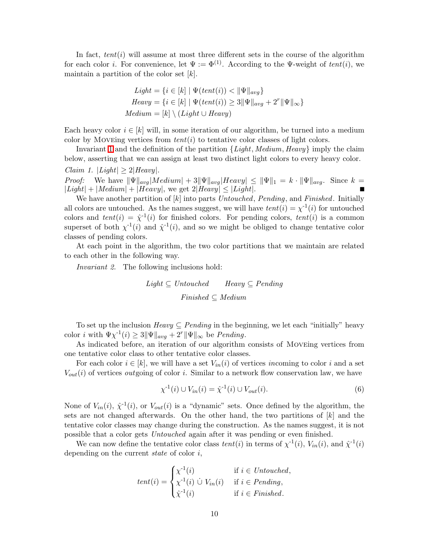In fact,  $tent(i)$  will assume at most three different sets in the course of the algorithm for each color *i*. For convenience, let  $\Psi := \Phi^{(1)}$ . According to the  $\Psi$ -weight of *tent*(*i*), we maintain a partition of the color set  $[k]$ .

$$
Light = \{i \in [k] \mid \Psi(tent(i)) < \|\Psi\|_{avg}\}
$$
\n
$$
Heavy = \{i \in [k] \mid \Psi(tent(i)) \ge 3\|\Psi\|_{avg} + 2^r\|\Psi\|_{\infty}\}
$$
\n
$$
Median = [k] \setminus (Light \cup Heavy)
$$

Each heavy color  $i \in [k]$  will, in some iteration of our algorithm, be turned into a medium color by Moveing vertices from *tent*(i) to tentative color classes of light colors.

<span id="page-9-1"></span>Invariant [1](#page-8-1) and the definition of the partition {*Light*, *Medium*, *Heavy*} imply the claim below, asserting that we can assign at least two distinct light colors to every heavy color. *Claim 1.*  $|Light| > 2|Heavy|$ .

*Proof:* We have  $\|\Psi\|_{avg} |Median| + 3\|\Psi\|_{avg} |Heavy| \leq \|\Psi\|_1 = k \cdot \|\Psi\|_{avg}$ . Since  $k =$  $|Light| + | Medium| + |Heavy|$ , we get  $2|Heavy| \le |Light|$ .

We have another partition of [k] into parts *Untouched*, *Pending*, and *Finished*. Initially all colors are untouched. As the names suggest, we will have  $tent(i) = \chi^{-1}(i)$  for untouched colors and  $tent(i) = \hat{\chi}^{-1}(i)$  for finished colors. For pending colors,  $tent(i)$  is a common superset of both  $\chi^{-1}(i)$  and  $\hat{\chi}^{-1}(i)$ , and so we might be obliged to change tentative color classes of pending colors.

<span id="page-9-0"></span>At each point in the algorithm, the two color partitions that we maintain are related to each other in the following way.

*Invariant 2.* The following inclusions hold:

 $Light \subseteq Untouched$  *Heavy*  $\subseteq$  *Pending Finished* ⊆ *Medium*

To set up the inclusion  $Heavy \subseteq Pending$  in the beginning, we let each "initially" heavy color *i* with  $\Psi \chi^{-1}(i) \geq 3 \|\Psi\|_{avg} + 2^r \|\Psi\|_{\infty}$  be *Pending*.

As indicated before, an iteration of our algorithm consists of Moveing vertices from one tentative color class to other tentative color classes.

For each color  $i \in [k]$ , we will have a set  $V_{in}(i)$  of vertices *incoming* to color i and a set  $V_{out}(i)$  of vertices *out* going of color i. Similar to a network flow conservation law, we have

<span id="page-9-2"></span>
$$
\chi^{-1}(i) \cup V_{in}(i) = \hat{\chi}^{-1}(i) \cup V_{out}(i).
$$
\n(6)

None of  $V_{in}(i)$ ,  $\hat{\chi}^{-1}(i)$ , or  $V_{out}(i)$  is a "dynamic" sets. Once defined by the algorithm, the sets are not changed afterwards. On the other hand, the two partitions of  $[k]$  and the tentative color classes may change during the construction. As the names suggest, it is not possible that a color gets *Untouched* again after it was pending or even finished.

We can now define the tentative color class  $tent(i)$  in terms of  $\chi^{-1}(i)$ ,  $V_{in}(i)$ , and  $\hat{\chi}^{-1}(i)$ depending on the current *state* of color i,

$$
tent(i) = \begin{cases} \chi^{-1}(i) & \text{if } i \in Untourched, \\ \chi^{-1}(i) \ \dot{\cup} \ V_{in}(i) & \text{if } i \in Pending, \\ \hat{\chi}^{-1}(i) & \text{if } i \in Finished. \end{cases}
$$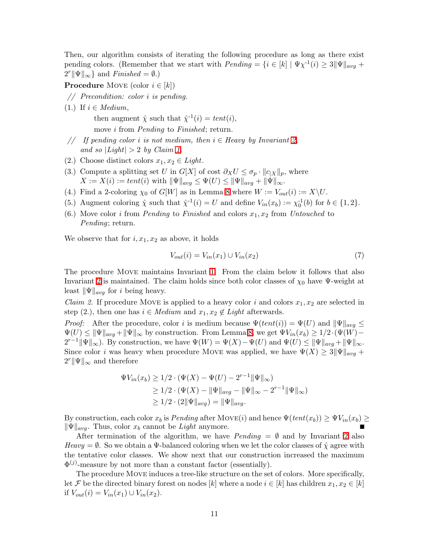Then, our algorithm consists of iterating the following procedure as long as there exist pending colors. (Remember that we start with  $Pending = \{i \in [k] \mid \Psi \chi^{-1}(i) \geq 3 \|\Psi\|_{avg} +$  $2^r \|\Psi\|_{\infty}$  and *Finished* =  $\emptyset$ .)

**Procedure** MOVE (color  $i \in [k]$ )

- *// Precondition: color* i *is pending.*
- (1.) If  $i \in Medium$ ,

then augment  $\hat{\chi}$  such that  $\hat{\chi}^{-1}(i) = tent(i)$ , move i from *Pending* to *Finished*; return.

- *// If pending color* i *is not medium, then* i ∈ *Heavy by Invariant [2,](#page-9-0) and so*  $|Light| > 2$  *by Claim [1.](#page-9-1)*
- (2.) Choose distinct colors  $x_1, x_2 \in Light$ .
- (3.) Compute a splitting set U in G[X] of cost  $\partial_X U \leq \sigma_p \cdot ||c_{|X}||_p$ , where  $X := X(i) := tent(i)$  with  $\|\Psi\|_{avg} \leq \Psi(U) \leq \|\Psi\|_{avg} + \|\Psi\|_{\infty}$ .
- (4.) Find a 2-coloring  $\chi_0$  of  $G[W]$  as in Lemma [8](#page-7-5) where  $W := V_{out}(i) := X \setminus U$ .
- (5.) Augment coloring  $\hat{\chi}$  such that  $\hat{\chi}^{-1}(i) = U$  and define  $V_{in}(x_b) := \chi_0^{-1}(b)$  for  $b \in \{1, 2\}$ .
- (6.) Move color *i* from *Pending* to *Finished* and colors  $x_1, x_2$  from *Untouched* to *Pending*; return.

We observe that for  $i, x_1, x_2$  as above, it holds

<span id="page-10-0"></span>
$$
V_{out}(i) = V_{in}(x_1) \cup V_{in}(x_2)
$$
\n
$$
(7)
$$

The procedure Move maintains Invariant [1.](#page-8-1) From the claim below it follows that also Invariant [2](#page-9-0) is maintained. The claim holds since both color classes of  $\chi_0$  have  $\Psi$ -weight at least  $\|\Psi\|_{avg}$  for *i* being heavy.

<span id="page-10-1"></span>*Claim 2.* If procedure MOVE is applied to a heavy color i and colors  $x_1, x_2$  are selected in step (2.), then one has  $i \in Medium$  and  $x_1, x_2 \notin Light$  afterwards.

*Proof:* After the procedure, color i is medium because  $\Psi(tent(i)) = \Psi(U)$  and  $\|\Psi\|_{avg} \leq$  $\Psi(U) \leq ||\Psi||_{avg} + ||\Psi||_{\infty}$  by construction. From Lemma [8,](#page-7-5) we get  $\Psi V_{in}(x_b) \geq 1/2 \cdot (\Psi(W) 2^{r-1} \|\Psi\|_{\infty}$ ). By construction, we have  $\Psi(W) = \Psi(X) - \Psi(U)$  and  $\Psi(U) \leq \|\Psi\|_{avg} + \|\Psi\|_{\infty}$ . Since color *i* was heavy when procedure MOVE was applied, we have  $\Psi(X) \geq 3 \|\Psi\|_{avg} +$  $2^r \|\Psi\|_{\infty}$  and therefore

$$
\Psi V_{in}(x_b) \ge 1/2 \cdot (\Psi(X) - \Psi(U) - 2^{r-1} \|\Psi\|_{\infty})
$$
  
\n
$$
\ge 1/2 \cdot (\Psi(X) - \|\Psi\|_{avg} - \|\Psi\|_{\infty} - 2^{r-1} \|\Psi\|_{\infty})
$$
  
\n
$$
\ge 1/2 \cdot (2\|\Psi\|_{avg}) = \|\Psi\|_{avg}.
$$

By construction, each color  $x_b$  is *Pending* after MOVE(*i*) and hence  $\Psi(tent(x_b)) \geq \Psi V_{in}(x_b) \geq$  $\|\Psi\|_{avg}$ . Thus, color  $x_b$  cannot be *Light* anymore.

After termination of the algorithm, we have *Pending* =  $\emptyset$  and by Invariant [2](#page-9-0) also *Heavy* =  $\emptyset$ . So we obtain a  $\Psi$ -balanced coloring when we let the color classes of  $\hat{\chi}$  agree with the tentative color classes. We show next that our construction increased the maximum  $\Phi^{(j)}$ -measure by not more than a constant factor (essentially).

The procedure Move induces a tree-like structure on the set of colors. More specifically, let F be the directed binary forest on nodes [k] where a node  $i \in [k]$  has children  $x_1, x_2 \in [k]$ if  $V_{out}(i) = V_{in}(x_1) \cup V_{in}(x_2)$ .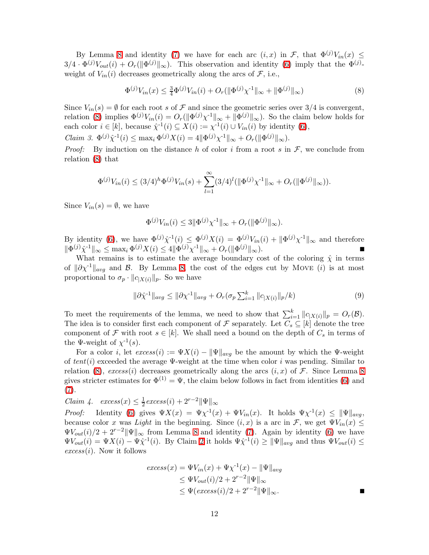By Lemma [8](#page-7-5) and identity [\(7\)](#page-10-0) we have for each arc  $(i, x)$  in F, that  $\Phi^{(j)}V_{in}(x) \leq$  $3/4 \cdot \Phi^{(j)} V_{out}(i) + O_r(||\Phi^{(j)}||_{\infty})$ . This observation and identity [\(6\)](#page-9-2) imply that the  $\Phi^{(j)}$ weight of  $V_{in}(i)$  decreases geometrically along the arcs of  $\mathcal{F}$ , i.e.,

<span id="page-11-0"></span>
$$
\Phi^{(j)}V_{in}(x) \le \frac{3}{4}\Phi^{(j)}V_{in}(i) + O_r(||\Phi^{(j)}\chi^{-1}||_{\infty} + ||\Phi^{(j)}||_{\infty})
$$
\n(8)

Since  $V_{in}(s) = \emptyset$  for each root s of F and since the geometric series over 3/4 is convergent, relation [\(8\)](#page-11-0) implies  $\Phi^{(j)} V_{in}(i) = O_r(||\Phi^{(j)} \chi^{-1}||_{\infty} + ||\Phi^{(j)}||_{\infty})$ . So the claim below holds for each color  $i \in [k]$ , because  $\hat{\chi}^{-1}(i) \subseteq X(i) := \chi^{-1}(i) \cup V_{in}(i)$  by identity [\(6\)](#page-9-2),

<span id="page-11-3"></span>*Claim 3.*  $\Phi^{(j)}\hat{\chi}^{(1)}(i) \leq \max_i \Phi^{(j)}X(i) = 4||\Phi^{(j)}\chi^{(1)}||_{\infty} + O_r(||\Phi^{(j)}||_{\infty}).$ 

*Proof:* By induction on the distance h of color i from a root s in  $\mathcal{F}$ , we conclude from relation [\(8\)](#page-11-0) that

$$
\Phi^{(j)}V_{in}(i) \leq (3/4)^h \Phi^{(j)}V_{in}(s) + \sum_{l=1}^{\infty} (3/4)^l (\|\Phi^{(j)}\chi^{-1}\|_{\infty} + O_r(\|\Phi^{(j)}\|_{\infty})).
$$

Since  $V_{in}(s) = \emptyset$ , we have

$$
\Phi^{(j)}V_{in}(i) \le 3 \|\Phi^{(j)}\chi^{\text{-}1}\|_{\infty} + O_r(\|\Phi^{(j)}\|_{\infty}).
$$

By identity [\(6\)](#page-9-2), we have  $\Phi^{(j)} \hat{\chi}^{-1}(i) \leq \Phi^{(j)} X(i) = \Phi^{(j)} V_{in}(i) + ||\Phi^{(j)} \chi^{-1}||_{\infty}$  and therefore  $\|\Phi^{(j)}\hat{\chi}^{\text{-}1}\|_{\infty} \leq \max_{i} \Phi^{(j)}X(i) \leq 4 \|\Phi^{(j)}\chi^{\text{-}1}\|_{\infty} + O_r(\|\Phi\|)$  $(y)$ <sub>∞</sub>).

What remains is to estimate the average boundary cost of the coloring  $\hat{\chi}$  in terms of  $\|\partial \chi^{-1}\|_{avg}$  and B. By Lemma [8,](#page-7-5) the cost of the edges cut by MOVE (i) is at most proportional to  $\sigma_p \cdot ||c_{X(i)}||_p$ . So we have

<span id="page-11-2"></span>
$$
\|\partial \hat{\chi}^{-1}\|_{avg} \le \|\partial \chi^{-1}\|_{avg} + O_r(\sigma_p \sum_{i=1}^k \|c_{|X(i)}\|_p / k)
$$
\n(9)

To meet the requirements of the lemma, we need to show that  $\sum_{i=1}^{k} ||c_{|X(i)}||_p = O_r(\mathcal{B}).$ The idea is to consider first each component of F separately. Let  $C_s \subseteq [k]$  denote the tree component of F with root  $s \in [k]$ . We shall need a bound on the depth of  $C_s$  in terms of the  $\Psi$ -weight of  $\chi^{-1}(s)$ .

For a color i, let  $excess(i) := \Psi X(i) - ||\Psi||_{avg}$  be the amount by which the  $\Psi$ -weight of  $tent(i)$  exceeded the average  $\Psi$ -weight at the time when color i was pending. Similar to relation [\(8\)](#page-11-0),  $excess(i)$  decreases geometrically along the arcs  $(i, x)$  of  $\mathcal F$ . Since Lemma [8](#page-7-5) gives stricter estimates for  $\Phi^{(1)} = \Psi$ , the claim below follows in fact from identities [\(6\)](#page-9-2) and [\(7\)](#page-10-0).

<span id="page-11-1"></span>*Claim 4.*  $excess(x) \leq \frac{1}{2}$  $\frac{1}{2}$ *excess* $(i) + 2^{r-2}$ || $\Psi$ ||<sub>∞</sub>

*Proof:* Identity [\(6\)](#page-9-2) gives  $\Psi X(x) = \Psi \chi^{-1}(x) + \Psi V_{in}(x)$ . It holds  $\Psi \chi^{-1}(x) \leq \|\Psi\|_{avg}$ , because color x was *Light* in the beginning. Since  $(i, x)$  is a arc in F, we get  $\Psi V_{in}(x) \leq$  $\Psi V_{out}(i)/2 + 2^{r-2} \|\Psi\|_{\infty}$  from Lemma [8](#page-7-5) and identity [\(7\)](#page-10-0). Again by identity [\(6\)](#page-9-2) we have  $\Psi V_{out}(i) = \Psi X(i) - \Psi \hat{\chi}^{-1}(i)$ . By Claim [2](#page-10-1) it holds  $\Psi \hat{\chi}^{-1}(i) \geq \|\Psi\|_{avg}$  and thus  $\Psi V_{out}(i) \leq$  $excess(i)$ . Now it follows

$$
excess(x) = \Psi V_{in}(x) + \Psi \chi^{-1}(x) - ||\Psi||_{avg}
$$
  
\n
$$
\leq \Psi V_{out}(i)/2 + 2^{r-2} ||\Psi||_{\infty}
$$
  
\n
$$
\leq \Psi(excess(i)/2 + 2^{r-2} ||\Psi||_{\infty}.
$$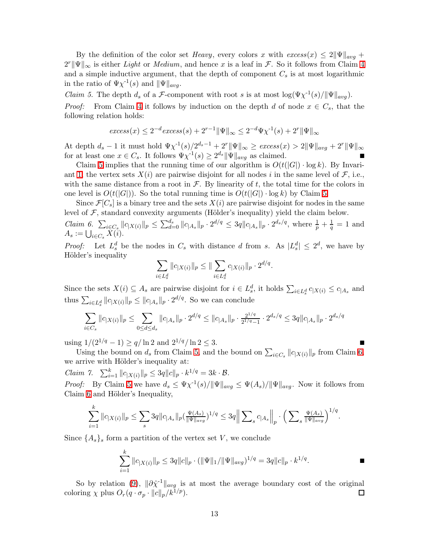By the definition of the color set *Heavy*, every colors x with  $excess(x) \leq 2||\Psi||_{avg} +$  $2^r \|\Psi\|_{\infty}$  is either *Light* or *Medium*, and hence x is a leaf in F. So it follows from Claim [4](#page-11-1) and a simple inductive argument, that the depth of component  $C_s$  is at most logarithmic in the ratio of  $\Psi \chi^{-1}(s)$  and  $\|\Psi\|_{avg}$ .

<span id="page-12-0"></span>*Claim 5.* The depth  $d_s$  of a F-component with root s is at most  $\log(\Psi \chi^{-1}(s)/\Vert \Psi \Vert_{avg})$ . *Proof:* From Claim [4](#page-11-1) it follows by induction on the depth d of node  $x \in C_s$ , that the following relation holds:

$$
excess(x) \le 2^{-d} excess(s) + 2^{r-1} \|\Psi\|_{\infty} \le 2^{-d} \Psi \chi^{-1}(s) + 2^r \|\Psi\|_{\infty}
$$

At depth  $d_s - 1$  it must hold  $\Psi \chi^{-1}(s) / 2^{d_s - 1} + 2^r \|\Psi\|_{\infty} \geq e \text{x} \text{c} \text{c} \text{e} \text{x}$   $\| \text{x} \geq 2 \|\Psi\|_{avg} + 2^r \|\Psi\|_{\infty}$ for at least one  $x \in C_s$ . It follows  $\Psi \chi^{-1}(s) \geq 2^{d_s} \|\Psi\|_{avg}$  as claimed.

Claim [5](#page-12-0) implies that the running time of our algorithm is  $O(t(|G|) \cdot \log k)$ . By Invari-ant [1,](#page-8-1) the vertex sets  $X(i)$  are pairwise disjoint for all nodes i in the same level of  $\mathcal{F}$ , i.e., with the same distance from a root in  $\mathcal{F}$ . By linearity of t, the total time for the colors in one level is  $O(t(|G|))$ . So the total running time is  $O(t(|G|) \cdot \log k)$  by Claim [5.](#page-12-0)

<span id="page-12-1"></span>Since  $\mathcal{F}[C_s]$  is a binary tree and the sets  $X(i)$  are pairwise disjoint for nodes in the same level of  $\mathcal F$ , standard convexity arguments (Hölder's inequality) yield the claim below. *Claim 6.*  $\sum_{i \in C_s} ||c_{|X(i)}||_p \leq \sum_{d=0}^{d_s} ||c_{|A_s}||_p \cdot 2^{d/q} \leq 3q ||c_{|A_s}||_p \cdot 2^{d_s/q}$ , where  $\frac{1}{p} + \frac{1}{q}$  $\frac{1}{q} = 1$  and

 $A_s := \bigcup_{i \in C_s} X(i).$ *Proof:* Let  $L_s^d$  be the nodes in  $C_s$  with distance d from s. As  $|L_s^d| \leq 2^d$ , we have by Hölder's inequality

$$
\sum_{i\in L^d_s} \|c_{|X(i)}\|_p \leq \|\sum_{i\in L^d_s} c_{|X(i)}\|_p \cdot 2^{d/q}.
$$

Since the sets  $X(i) \subseteq A_s$  are pairwise disjoint for  $i \in L_s^d$ , it holds  $\sum_{i \in L_s^d} c_{|X(i)} \le c_{|A_s}$  and thus  $\sum_{i\in L_s^d} ||c_{|X(i)}||_p \le ||c_{|A_s}||_p \cdot 2^{d/q}$ . So we can conclude

$$
\sum_{i \in C_s} \|c_{|X(i)}\|_p \leq \sum_{0 \leq d \leq d_s} \|c_{|A_s}\|_p \cdot 2^{d/q} \leq \|c_{|A_s}\|_p \cdot \tfrac{2^{1/q}}{2^{1/q}-1} \cdot 2^{d_s/q} \leq 3q \|c_{|A_s}\|_p \cdot 2^{d_s/q}
$$

using  $1/(2^{1/q}-1) \ge q/\ln 2$  and  $2^{1/q}/\ln 2 \le 3$ .

Using the bound on  $d_s$  from Claim [5,](#page-12-0) and the bound on  $\sum_{i \in C_s} ||c_{|X(i)}||_p$  from Claim [6,](#page-12-1) we arrive with Hölder's inequality at:  $\,$ 

*Claim 7.*  $\sum_{i=1}^{k} ||c_{|X(i)}||_p \leq 3q||c||_p \cdot k^{1/q} = 3k \cdot \mathcal{B}.$ 

*Proof:* By Claim [5](#page-12-0) we have  $d_s \leq \Psi \chi^{-1}(s)/\Vert \Psi \Vert_{avg} \leq \Psi(A_s)/\Vert \Psi \Vert_{avg}$ . Now it follows from Claim [6](#page-12-1) and Hölder's Inequality,

$$
\sum_{i=1}^k \|c_{|X(i)}\|_p \leq \sum_s 3q \|c_{|A_s}\|_p (\frac{\Psi(A_s)}{\|\Psi\|_{avg}})^{1/q} \leq 3q \Big\| \sum_s c_{|A_s}\Big\|_p \cdot \Big(\sum_s \frac{\Psi(A_s)}{\|\Psi\|_{avg}}\Big)^{1/q}.
$$

Since  $\{A_s\}_s$  form a partition of the vertex set V, we conclude

$$
\sum_{i=1}^k \|c_{|X(i)}\|_p \le 3q \|c\|_p \cdot (\|\Psi\|_1 / \|\Psi\|_{avg})^{1/q} = 3q \|c\|_p \cdot k^{1/q}.
$$

So by relation [\(9\)](#page-11-2),  $\|\partial \hat{\chi}^{-1}\|_{avg}$  is at most the average boundary cost of the original coloring  $\chi$  plus  $O_r(q \cdot \sigma_p \cdot ||c||_p/k^{1/p}).$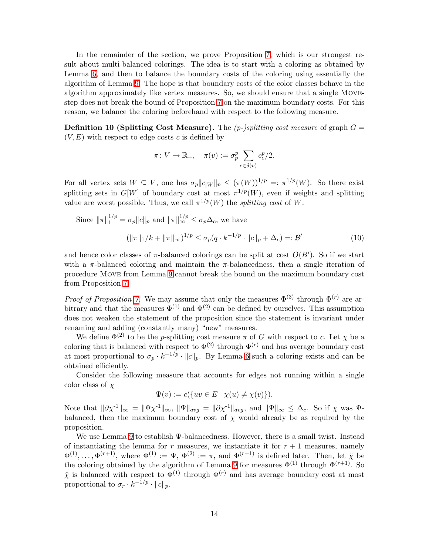In the remainder of the section, we prove Proposition [7,](#page-7-4) which is our strongest result about multi-balanced colorings. The idea is to start with a coloring as obtained by Lemma [6,](#page-6-1) and then to balance the boundary costs of the coloring using essentially the algorithm of Lemma [9.](#page-8-0) The hope is that boundary costs of the color classes behave in the algorithm approximately like vertex measures. So, we should ensure that a single Movestep does not break the bound of Proposition [7](#page-7-4) on the maximum boundary costs. For this reason, we balance the coloring beforehand with respect to the following measure.

<span id="page-13-1"></span>**Definition 10 (Splitting Cost Measure).** The  $(p$ -)splitting cost measure of graph  $G =$  $(V, E)$  with respect to edge costs c is defined by

<span id="page-13-0"></span>
$$
\pi\colon V\to \mathbb{R}_+,\quad \pi(v):=\sigma_p^p\sum_{e\in\delta(v)}c_e^p/2.
$$

For all vertex sets  $W \subseteq V$ , one has  $\sigma_p ||c_{|W}||_p \leq (\pi(W))^{1/p} =: \pi^{1/p}(W)$ . So there exist splitting sets in  $G[W]$  of boundary cost at most  $\pi^{1/p}(W)$ , even if weights and splitting value are worst possible. Thus, we call  $\pi^{1/p}(W)$  the *splitting cost* of W.

Since 
$$
\|\pi\|_1^{1/p} = \sigma_p \|c\|_p
$$
 and  $\|\pi\|_{\infty}^{1/p} \le \sigma_p \Delta_c$ , we have  

$$
(\|\pi\|_1/k + \|\pi\|_{\infty})^{1/p} \le \sigma_p (q \cdot k^{-1/p} \cdot \|c\|_p + \Delta_c) =: \mathcal{B}'
$$
(10)

and hence color classes of  $\pi$ -balanced colorings can be split at cost  $O(B')$ . So if we start with a  $\pi$ -balanced coloring and maintain the  $\pi$ -balancedness, then a single iteration of procedure Move from Lemma [9](#page-8-0) cannot break the bound on the maximum boundary cost from Proposition [7.](#page-7-4)

*Proof of Proposition* [7.](#page-7-4) We may assume that only the measures  $\Phi^{(3)}$  through  $\Phi^{(r)}$  are arbitrary and that the measures  $\Phi^{(1)}$  and  $\Phi^{(2)}$  can be defined by ourselves. This assumption does not weaken the statement of the proposition since the statement is invariant under renaming and adding (constantly many) "new" measures.

We define  $\Phi^{(2)}$  to be the p-splitting cost measure  $\pi$  of G with respect to c. Let  $\chi$  be a coloring that is balanced with respect to  $\Phi^{(2)}$  through  $\Phi^{(r)}$  and has average boundary cost at most proportional to  $\sigma_p \cdot k^{-1/p} \cdot ||c||_p$ . By Lemma [6](#page-6-1) such a coloring exists and can be obtained efficiently.

Consider the following measure that accounts for edges not running within a single color class of  $\chi$ 

$$
\Psi(v) := c(\{uv \in E \mid \chi(u) \neq \chi(v)\}).
$$

Note that  $\|\partial \chi^{-1}\|_{\infty} = \|\Psi \chi^{-1}\|_{\infty}$ ,  $\|\Psi\|_{avg} = \|\partial \chi^{-1}\|_{avg}$ , and  $\|\Psi\|_{\infty} \leq \Delta_c$ . So if  $\chi$  was  $\Psi$ balanced, then the maximum boundary cost of  $\chi$  would already be as required by the proposition.

We use Lemma [9](#page-8-0) to establish Ψ-balancedness. However, there is a small twist. Instead of instantiating the lemma for r measures, we instantiate it for  $r + 1$  measures, namely  $\Phi^{(1)},\ldots,\Phi^{(r+1)},$  where  $\Phi^{(1)} := \Psi, \Phi^{(2)} := \pi$ , and  $\Phi^{(r+1)}$  is defined later. Then, let  $\hat{\chi}$  be the coloring obtained by the algorithm of Lemma [9](#page-8-0) for measures  $\Phi^{(1)}$  through  $\Phi^{(r+1)}$ . So  $\hat{\chi}$  is balanced with respect to  $\Phi^{(1)}$  through  $\Phi^{(r)}$  and has average boundary cost at most proportional to  $\sigma_r \cdot k^{-1/p} \cdot ||c||_p$ .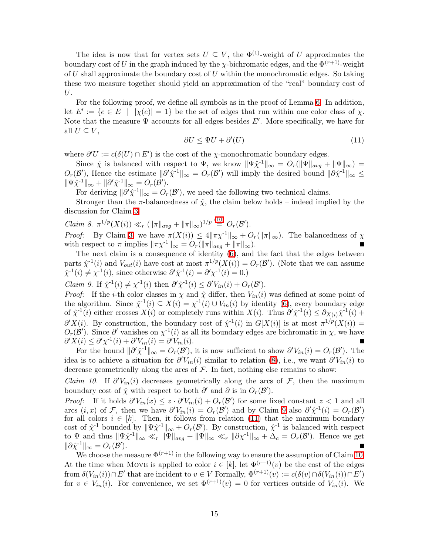The idea is now that for vertex sets  $U \subseteq V$ , the  $\Phi^{(1)}$ -weight of U approximates the boundary cost of U in the graph induced by the  $\chi$ -bichromatic edges, and the  $\Phi^{(r+1)}$ -weight of U shall approximate the boundary cost of U within the monochromatic edges. So taking these two measure together should yield an approximation of the "real" boundary cost of U.

<span id="page-14-1"></span>For the following proof, we define all symbols as in the proof of Lemma [6.](#page-6-1) In addition, let  $E' := \{e \in E \mid |\chi(e)| = 1\}$  be the set of edges that run within one color class of  $\chi$ . Note that the measure  $\Psi$  accounts for all edges besides  $E'$ . More specifically, we have for all  $U \subseteq V$ ,

$$
\partial U \le \Psi U + \partial'(U) \tag{11}
$$

where  $\partial'U := c(\delta(U) \cap E')$  is the cost of the  $\chi$ -monochromatic boundary edges.

Since  $\hat{\chi}$  is balanced with respect to  $\Psi$ , we know  $\|\Psi \hat{\chi}^{-1}\|_{\infty} = O_r(\|\Psi\|_{avg} + \|\Psi\|_{\infty}) =$  $O_r(\mathcal{B}')$ , Hence the estimate  $\|\partial^{\prime}\hat{\chi}^{-1}\|_{\infty} = O_r(\mathcal{B}')$  will imply the desired bound  $\|\partial\hat{\chi}^{-1}\|_{\infty} \leq$  $\|\Psi\hat{\chi}^{-1}\|_{\infty} + \|\partial'\hat{\chi}^{-1}\|_{\infty} = O_r(\mathcal{B}').$ 

For deriving  $\|\partial'\hat{\chi}^{-1}\|_{\infty} = O_r(\mathcal{B}')$ , we need the following two technical claims.

Stronger than the  $\pi$ -balancedness of  $\hat{\chi}$ , the claim below holds – indeed implied by the discussion for Claim [3.](#page-11-3)

<span id="page-14-3"></span>Claim 8. 
$$
\pi^{1/p}(X(i)) \ll_r (\|\pi\|_{avg} + \|\pi\|_{\infty})^{1/p} \stackrel{(10)}{=} O_r(\mathcal{B}').
$$
 *Proof:* By Claim 3, we have  $\pi(X(i)) \leq 4\|\pi\chi^{-1}\|_{\infty} + O_r(\|\pi\|_{\infty})$ . The balancedness of  $\chi$  with respect to  $\pi$  implies  $\|\pi\chi^{-1}\|_{\infty} = O_r(\|\pi\|_{avg} + \|\pi\|_{\infty})$ .

The next claim is a consequence of identity [\(6\)](#page-9-2), and the fact that the edges between parts  $\hat{\chi}^{-1}(i)$  and  $V_{out}(i)$  have cost at most  $\pi^{1/p}(X(i)) = O_r(\mathcal{B}')$ . (Note that we can assume  $\hat{\chi}^1(i) \neq \chi^1(i)$ , since otherwise  $\partial' \hat{\chi}^1(i) = \partial' \chi^1(i) = 0$ .)

<span id="page-14-0"></span>*Claim 9.* If  $\hat{\chi}^1(i) \neq \chi^1(i)$  then  $\partial^i \hat{\chi}^1(i) \leq \partial^i V_{in}(i) + O_r(\mathcal{B}')$ .

*Proof:* If the *i*-th color classes in  $\chi$  and  $\hat{\chi}$  differ, then  $V_{in}(i)$  was defined at some point of the algorithm. Since  $\hat{\chi}^{-1}(i) \subseteq X(i) = \chi^{-1}(i) \cup V_{in}(i)$  by identity [\(6\)](#page-9-2), every boundary edge of  $\hat{\chi}^{-1}(i)$  either crosses  $X(i)$  or completely runs within  $X(i)$ . Thus  $\partial' \hat{\chi}^{-1}(i) \leq \partial_{X(i)} \hat{\chi}^{-1}(i)$  +  $\partial'X(i)$ . By construction, the boundary cost of  $\hat{\chi}^{-1}(i)$  in  $G[X(i)]$  is at most  $\pi^{1/p}(X(i)) =$  $O_r(\mathcal{B}')$ . Since  $\partial'$  vanishes on  $\chi^{-1}(i)$  as all its boundary edges are bichromatic in  $\chi$ , we have  $\partial' X(i) \leq \partial' \chi^{-1}(i) + \partial' V_{in}(i) = \partial$  $'V_{in}(i)$ .

For the bound  $\|\partial'\hat{\chi}^{-1}\|_{\infty} = O_r(\mathcal{B}')$ , it is now sufficient to show  $\partial'V_{in}(i) = O_r(\mathcal{B}')$ . The idea is to achieve a situation for  $\partial' V_{in}(i)$  similar to relation [\(8\)](#page-11-0), i.e., we want  $\partial' V_{in}(i)$  to decrease geometrically along the arcs of  $\mathcal F$ . In fact, nothing else remains to show:

<span id="page-14-2"></span>*Claim 10.* If  $\partial' V_{in}(i)$  decreases geometrically along the arcs of  $\mathcal{F}$ , then the maximum boundary cost of  $\hat{\chi}$  with respect to both  $\partial'$  and  $\partial$  is in  $O_r(\mathcal{B}')$ .

*Proof:* If it holds  $\partial' V_{in}(x) \leq z \cdot \partial' V_{in}(i) + O_r(\mathcal{B}')$  for some fixed constant  $z < 1$  and all arcs  $(i, x)$  of F, then we have  $\partial' V_{in}(i) = O_r(\mathcal{B}')$  and by Claim [9](#page-14-0) also  $\partial' \hat{\chi}^1(i) = O_r(\mathcal{B}')$ for all colors  $i \in [k]$ . Then, it follows from relation [\(11\)](#page-14-1) that the maximum boundary cost of  $\hat{\chi}^{-1}$  bounded by  $\|\Psi \hat{\chi}^{-1}\|_{\infty} + O_r(\mathcal{B}')$ . By construction,  $\hat{\chi}^{-1}$  is balanced with respect to  $\Psi$  and thus  $\|\Psi \hat{\chi}^{-1}\|_{\infty} \ll_r \|\Psi\|_{avg} + \|\Psi\|_{\infty} \ll_r \|\partial \chi^{-1}\|_{\infty} + \Delta_c = O_r(\mathcal{B}')$ . Hence we get  $\|\partial \hat{\chi}^{-1}\|_{\infty} = O_r(\mathcal{B}')$  $\Box$ 

We choose the measure  $\Phi^{(r+1)}$  in the following way to ensure the assumption of Claim [10.](#page-14-2) At the time when Move is applied to color  $i \in [k]$ , let  $\Phi^{(r+1)}(v)$  be the cost of the edges from  $\delta(V_{in}(i)) \cap E'$  that are incident to  $v \in V$  Formally,  $\Phi^{(r+1)}(v) := c(\delta(v) \cap \delta(V_{in}(i)) \cap E')$ for  $v \in V_{in}(i)$ . For convenience, we set  $\Phi^{(r+1)}(v) = 0$  for vertices outside of  $V_{in}(i)$ . We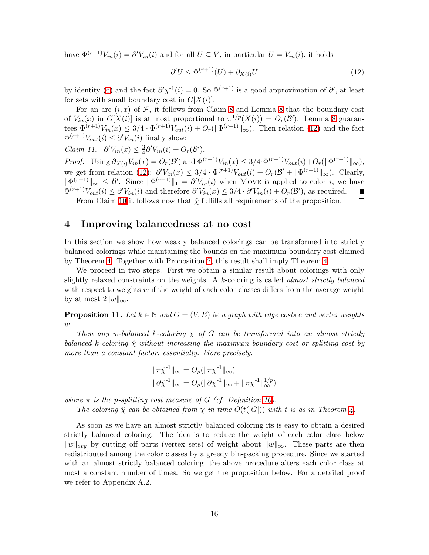have  $\Phi^{(r+1)}V_{in}(i) = \partial V_{in}(i)$  and for all  $U \subseteq V$ , in particular  $U = V_{in}(i)$ , it holds

<span id="page-15-0"></span>
$$
\partial' U \le \Phi^{(r+1)}(U) + \partial_{X(i)} U \tag{12}
$$

by identity [\(6\)](#page-9-2) and the fact  $\partial' \chi^{-1}(i) = 0$ . So  $\Phi^{(r+1)}$  is a good approximation of  $\partial'$ , at least for sets with small boundary cost in  $G[X(i)]$ .

For an arc  $(i, x)$  of F, it follows from Claim [8](#page-7-5) and Lemma 8 that the boundary cost of  $V_{in}(x)$  in  $G[X(i)]$  is at most proportional to  $\pi^{1/p}(X(i)) = O_r(\mathcal{B}')$ . Lemma [8](#page-7-5) guarantees  $\Phi^{(r+1)}V_{in}(x) \leq 3/4 \cdot \Phi^{(r+1)}V_{out}(i) + O_r(\|\Phi^{(r+1)}\|_{\infty})$ . Then relation [\(12\)](#page-15-0) and the fact  $\Phi^{(r+1)}V_{out}(i) \leq \partial^{\prime}V_{in}(i)$  finally show:

*Claim 11.*  $\partial^{\prime} V_{in}(x) \leq \frac{3}{4}$  $\frac{3}{4}\partial'V_{in}(i) + O_r(\mathcal{B}').$ 

*Proof:* Using  $\partial_{X(i)} V_{in}(x) = O_r(\mathcal{B}')$  and  $\Phi^{(r+1)} V_{in}(x) \leq 3/4 \cdot \Phi^{(r+1)} V_{out}(i) + O_r(\|\Phi^{(r+1)}\|_{\infty}),$ we get from relation [\(12\)](#page-15-0):  $\partial' V_{in}(x) \leq 3/4 \cdot \Phi^{(r+1)} V_{out}(i) + O_r(\mathcal{B}' + \|\Phi^{(r+1)}\|_{\infty})$ . Clearly,  $\|\Phi^{(r+1)}\|_{\infty} \leq \mathcal{B}'$ . Since  $\|\Phi^{(r+1)}\|_{1} = \partial^{r}V_{in}(i)$  when Move is applied to color i, we have  $\Phi^{(r+1)}V_{out}(i) \leq \partial^{\prime}V_{in}(i)$  and therefore  $\partial^{\prime}V_{in}(x) \leq 3/4 \cdot \partial^{\prime}V_{in}(i) + O_r(\mathcal{B}')$ , as required.  $\blacksquare$ 

From Claim [10](#page-14-2) it follows now that  $\hat{\chi}$  fulfills all requirements of the proposition.  $\Box$ 

### 4 Improving balancedness at no cost

In this section we show how weakly balanced colorings can be transformed into strictly balanced colorings while maintaining the bounds on the maximum boundary cost claimed by Theorem [4.](#page-4-0) Together with Proposition [7,](#page-7-4) this result shall imply Theorem [4.](#page-4-0)

We proceed in two steps. First we obtain a similar result about colorings with only slightly relaxed constraints on the weights. A k-coloring is called *almost strictly balanced* with respect to weights  $w$  if the weight of each color classes differs from the average weight by at most  $2||w||_{\infty}$ .

<span id="page-15-1"></span>**Proposition 11.** Let  $k \in \mathbb{N}$  and  $G = (V, E)$  be a graph with edge costs c and vertex weights w*.*

*Then any* w*-balanced* k*-coloring* χ *of* G *can be transformed into an almost strictly balanced* k-coloring  $\hat{\chi}$  without increasing the maximum boundary cost or splitting cost by *more than a constant factor, essentially. More precisely,*

$$
\begin{aligned} & \|\pi \hat{\chi}^{-1}\|_{\infty} = O_p(\|\pi \chi^{-1}\|_{\infty}) \\ & \|\partial \hat{\chi}^{-1}\|_{\infty} = O_p(\|\partial \chi^{-1}\|_{\infty} + \|\pi \chi^{-1}\|_{\infty}^{1/p}) \end{aligned}
$$

*where*  $\pi$  *is the p-splitting cost measure of G (cf. Definition [10\)](#page-13-1).* 

*The coloring*  $\hat{\chi}$  *can be obtained from*  $\chi$  *in time*  $O(t(|G|))$  *with* t *is as in Theorem [4.](#page-4-0)* 

<span id="page-15-2"></span>As soon as we have an almost strictly balanced coloring its is easy to obtain a desired strictly balanced coloring. The idea is to reduce the weight of each color class below  $||w||_{avg}$  by cutting off parts (vertex sets) of weight about  $||w||_{∞}$ . These parts are then redistributed among the color classes by a greedy bin-packing procedure. Since we started with an almost strictly balanced coloring, the above procedure alters each color class at most a constant number of times. So we get the proposition below. For a detailed proof we refer to Appendix A.2.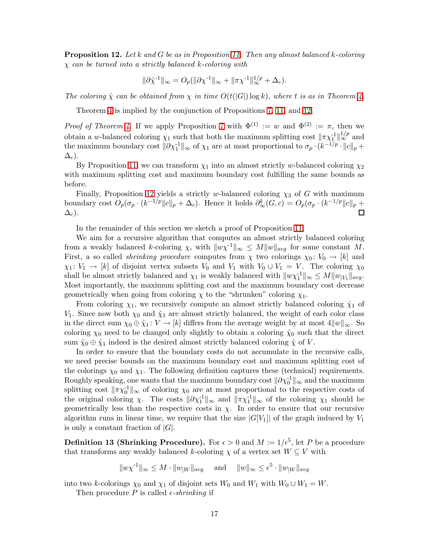Proposition 12. *Let* k *and* G *be as in Proposition [11.](#page-15-1) Then any almost balanced* k*-coloring* χ *can be turned into a strictly balanced* k*-coloring with*

$$
\|\partial \hat{\chi}^{\text{-}1}\|_\infty = O_p(\|\partial \chi^{\text{-}1}\|_\infty + \|\pi\chi^{\text{-}1}\|_\infty^{1/p} + \Delta_c).
$$

*The coloring*  $\hat{\chi}$  *can be obtained from*  $\chi$  *in time*  $O(t(|G|) \log k)$ *, where t is as in Theorem [4.](#page-4-0)* 

Theorem [4](#page-4-0) is implied by the conjunction of Propositions [7,](#page-7-4) [11,](#page-15-1) and [12.](#page-15-2)

*Proof of Theorem [4.](#page-4-0)* If we apply Proposition [7](#page-7-4) with  $\Phi^{(1)} := w$  and  $\Phi^{(2)} := \pi$ , then we obtain a w-balanced coloring  $\chi_1$  such that both the maximum splitting cost  $\|\pi \chi_1^{-1}\|_{\infty}^{1/p}$  and the maximum boundary cost  $\|\partial \chi_1^{-1}\|_{\infty}$  of  $\chi_1$  are at most proportional to  $\sigma_p \cdot (k^{-1/p} \cdot ||c||_p +$  $\Delta_c$ ).

By Proposition [11,](#page-15-1) we can transform  $\chi_1$  into an almost strictly w-balanced coloring  $\chi_2$ with maximum splitting cost and maximum boundary cost fulfilling the same bounds as before.

Finally, Proposition [12](#page-15-2) yields a strictly w-balanced coloring  $\chi_3$  of G with maximum boundary cost  $O_p(\sigma_p \cdot (k^{-1/p} || c ||_p + \Delta_c)$ . Hence it holds  $\partial^k_\infty(G, c) = O_p(\sigma_p \cdot (k^{-1/p} || c ||_p + \Delta_c))$  $\Delta_c$ ).

In the remainder of this section we sketch a proof of Proposition [11.](#page-15-1)

We aim for a recursive algorithm that computes an almost strictly balanced coloring from a weakly balanced k-coloring  $\chi$ , with  $||w\chi^{-1}||_{\infty} \leq M||w||_{avg}$  for some constant M. First, a so called *shrinking procedure* computes from  $\chi$  two colorings  $\chi_0: V_0 \to [k]$  and  $\chi_1: V_1 \to [k]$  of disjoint vertex subsets  $V_0$  and  $V_1$  with  $V_0 \cup V_1 = V$ . The coloring  $\chi_0$ shall be almost strictly balanced and  $\chi_1$  is weakly balanced with  $||w\chi_1^{\text{-}1}||_{\infty} \le M||w|_{V_1}||_{avg}$ . Most importantly, the maximum splitting cost and the maximum boundary cost decrease geometrically when going from coloring  $\chi$  to the "shrunken" coloring  $\chi_1$ .

From coloring  $\chi_1$ , we recursively compute an almost strictly balanced coloring  $\hat{\chi}_1$  of V<sub>1</sub>. Since now both  $\chi_0$  and  $\hat{\chi}_1$  are almost strictly balanced, the weight of each color class in the direct sum  $\chi_0 \oplus \hat{\chi}_1 : V \to [k]$  differs from the average weight by at most  $4||w||_{\infty}$ . So coloring  $\chi_0$  need to be changed only slightly to obtain a coloring  $\tilde{\chi}_0$  such that the direct sum  $\tilde{\chi}_0 \oplus \hat{\chi}_1$  indeed is the desired almost strictly balanced coloring  $\hat{\chi}$  of V.

In order to ensure that the boundary costs do not accumulate in the recursive calls, we need precise bounds on the maximum boundary cost and maximum splitting cost of the colorings  $\chi_0$  and  $\chi_1$ . The following definition captures these (technical) requirements. Roughly speaking, one wants that the maximum boundary cost  $\|\partial \chi_0^{-1}\|_{\infty}$  and the maximum splitting cost  $\|\pi \chi_0^{-1}\|_{\infty}$  of coloring  $\chi_0$  are at most proportional to the respective costs of the original coloring  $\chi$ . The costs  $\|\partial \chi_1^{\{1\}}\|_{\infty}$  and  $\|\pi \chi_1^{\{1\}}\|_{\infty}$  of the coloring  $\chi_1$  should be geometrically less than the respective costs in  $\chi$ . In order to ensure that our recursive algorithm runs in linear time, we require that the size  $|G[V_1]|$  of the graph induced by  $V_1$ is only a constant fraction of  $|G|$ .

<span id="page-16-0"></span>**Definition 13 (Shrinking Procedure).** For  $\epsilon > 0$  and  $M := 1/\epsilon^5$ , let P be a procedure that transforms any weakly balanced k-coloring  $\chi$  of a vertex set  $W \subseteq V$  with

 $||w\chi^{-1}||_{\infty} \leq M \cdot ||w||_{W}||_{avg}$  and  $||w||_{\infty} \leq \epsilon^{5} \cdot ||w||_{W}||_{avg}$ 

into two k-colorings  $\chi_0$  and  $\chi_1$  of disjoint sets  $W_0$  and  $W_1$  with  $W_0 \cup W_1 = W$ .

Then procedure P is called  $\epsilon$ -*shrinking* if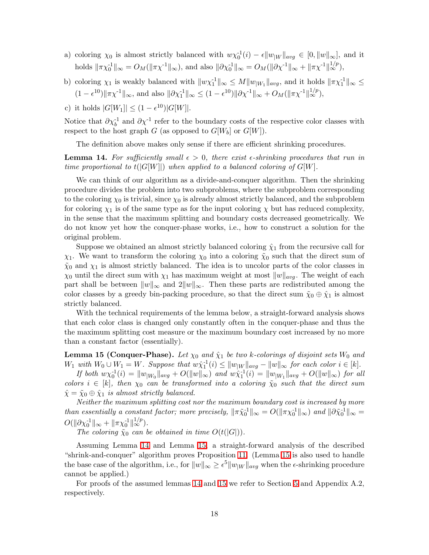- a) coloring  $\chi_0$  is almost strictly balanced with  $w\chi_0^{-1}(i) \epsilon ||w_{|W}||_{avg} \in [0, ||w||_{\infty}]$ , and it holds  $\|\pi \chi_0^{-1}\|_{\infty} = O_M(\|\pi \chi^{-1}\|_{\infty})$ , and also  $\|\partial \chi_0^{-1}\|_{\infty} = O_M(\|\partial \chi^{-1}\|_{\infty} + \|\pi \chi^{-1}\|_{\infty}^{1/p})$ ,
- b) coloring  $\chi_1$  is weakly balanced with  $||w\chi_1^{-1}||_{\infty} \leq M||w_{|W_1}||_{avg}$ , and it holds  $||\pi\chi_1^{-1}||_{\infty} \leq$  $(1 - \epsilon^{10}) \|\pi \chi^{-1}\|_{\infty}$ , and also  $\|\partial \chi_1^{-1}\|_{\infty} \le (1 - \epsilon^{10}) \|\partial \chi^{-1}\|_{\infty} + O_M(\|\pi \chi^{-1}\|_{\infty}^{1/p}),$
- c) it holds  $|G[W_1]| \le (1 \epsilon^{10})|G[W]|$ .

Notice that  $\partial \chi_b^{-1}$  and  $\partial \chi^{-1}$  refer to the boundary costs of the respective color classes with respect to the host graph G (as opposed to  $G[W_b]$  or  $G[W]$ ).

The definition above makes only sense if there are efficient shrinking procedures.

<span id="page-17-0"></span>**Lemma 14.** For sufficiently small  $\epsilon > 0$ , there exist  $\epsilon$ -shrinking procedures that run in *time proportional to*  $t(|G[W]|)$  *when applied to a balanced coloring of*  $G[W]$ *.* 

We can think of our algorithm as a divide-and-conquer algorithm. Then the shrinking procedure divides the problem into two subproblems, where the subproblem corresponding to the coloring  $\chi_0$  is trivial, since  $\chi_0$  is already almost strictly balanced, and the subproblem for coloring  $\chi_1$  is of the same type as for the input coloring  $\chi$  but has reduced complexity, in the sense that the maximum splitting and boundary costs decreased geometrically. We do not know yet how the conquer-phase works, i.e., how to construct a solution for the original problem.

Suppose we obtained an almost strictly balanced coloring  $\hat{\chi}_1$  from the recursive call for  $\chi_1$ . We want to transform the coloring  $\chi_0$  into a coloring  $\tilde{\chi}_0$  such that the direct sum of  $\tilde{\chi}_0$  and  $\chi_1$  is almost strictly balanced. The idea is to uncolor parts of the color classes in  $\chi_0$  until the direct sum with  $\chi_1$  has maximum weight at most  $||w||_{avg}$ . The weight of each part shall be between  $||w||_{\infty}$  and  $2||w||_{\infty}$ . Then these parts are redistributed among the color classes by a greedy bin-packing procedure, so that the direct sum  $\tilde{\chi}_0 \oplus \hat{\chi}_1$  is almost strictly balanced.

With the technical requirements of the lemma below, a straight-forward analysis shows that each color class is changed only constantly often in the conquer-phase and thus the the maximum splitting cost measure or the maximum boundary cost increased by no more than a constant factor (essentially).

<span id="page-17-1"></span>**Lemma 15 (Conquer-Phase).** Let  $\chi_0$  and  $\hat{\chi}_1$  be two k-colorings of disjoint sets  $W_0$  and  $W_1$  with  $W_0 \cup W_1 = W$ . Suppose that  $w\hat{\chi}_1^{-1}(i) \leq ||w_{|W}||_{avg} - ||w||_{\infty}$  for each color  $i \in [k]$ .

*If both*  $w\chi_0^{-1}(i) = ||w_{|W_0}||_{avg} + O(||w||_{\infty})$  *and*  $w\chi_1^{-1}(i) = ||w_{|W_1}||_{avg} + O(||w||_{\infty})$  *for all colors*  $i \in [k]$ , then  $\chi_0$  *can be transformed into a coloring*  $\tilde{\chi}_0$  *such that the direct sum*  $\hat{\chi} = \tilde{\chi}_0 \oplus \hat{\chi}_1$  *is almost strictly balanced.* 

*Neither the maximum splitting cost nor the maximum boundary cost is increased by more than essentially a constant factor; more precisely,*  $\|\pi \tilde{\chi}_0^{-1}\|_{\infty} = O(\|\pi \chi_0^{-1}\|_{\infty})$  *and*  $\|\partial \tilde{\chi}_0^{-1}\|_{\infty} =$  $O(\|\partial \chi_0^{-1}\|_{\infty} + \|\pi \chi_0^{-1}\|_{\infty}^{1/p}).$ 

*The coloring*  $\tilde{\chi}_0$  *can be obtained in time*  $O(t(|G|)).$ 

Assuming Lemma [14](#page-17-0) and Lemma [15,](#page-17-1) a straight-forward analysis of the described "shrink-and-conquer" algorithm proves Proposition [11.](#page-15-1) (Lemma [15](#page-17-1) is also used to handle the base case of the algorithm, i.e., for  $||w||_{\infty} \ge \epsilon^5 ||w_{|W}||_{avg}$  when the  $\epsilon$ -shrinking procedure cannot be applied.)

For proofs of the assumed lemmas [14](#page-17-0) and [15](#page-17-1) we refer to Section [5](#page-18-0) and Appendix A.2, respectively.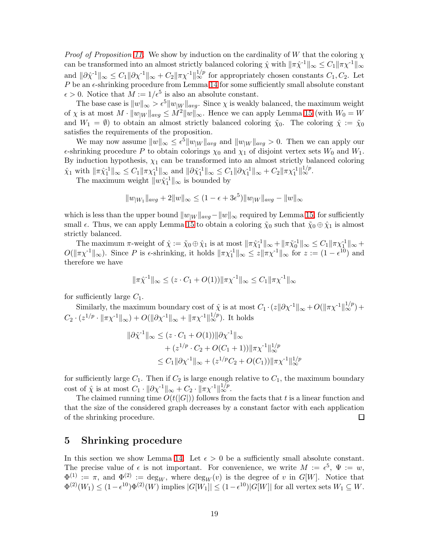*Proof of Proposition [11.](#page-15-1)* We show by induction on the cardinality of W that the coloring χ can be transformed into an almost strictly balanced coloring  $\hat{\chi}$  with  $\|\pi \hat{\chi}^{-1}\|_{\infty} \leq C_1 \|\pi \chi^{-1}\|_{\infty}$ and  $\|\partial \hat{\chi}^{-1}\|_{\infty} \leq C_1 \|\partial {\chi}^{-1}\|_{\infty} + C_2 \|\pi {\chi}^{-1}\|_{\infty}^{1/p}$  for appropriately chosen constants  $C_1, C_2$ . Let  $P$  be an  $\epsilon$ -shrinking procedure from Lemma [14](#page-17-0) for some sufficiently small absolute constant  $\epsilon > 0$ . Notice that  $M := 1/\epsilon^5$  is also an absolute constant.

The base case is  $||w||_{\infty} > \epsilon^5 ||w_{W}||_{avg}$ . Since  $\chi$  is weakly balanced, the maximum weight of  $\chi$  is at most  $M \cdot ||w_{W}||_{avg} \leq M^2 ||w||_{\infty}$ . Hence we can apply Lemma [15](#page-17-1) (with  $W_0 = W$ and  $W_1 = \emptyset$ ) to obtain an almost strictly balanced coloring  $\tilde{\chi}_0$ . The coloring  $\hat{\chi} := \tilde{\chi}_0$ satisfies the requirements of the proposition.

We may now assume  $||w||_{\infty} \leq \epsilon^5 ||w_{|W}||_{avg}$  and  $||w_{|W}||_{avg} > 0$ . Then we can apply our  $\epsilon$ -shrinking procedure P to obtain colorings  $\chi_0$  and  $\chi_1$  of disjoint vertex sets  $W_0$  and  $W_1$ . By induction hypothesis,  $\chi_1$  can be transformed into an almost strictly balanced coloring  $\hat{\chi}_1$  with  $\|\pi\hat{\chi}_1^{-1}\|_{\infty} \leq C_1 \|\pi\chi_1^{-1}\|_{\infty}$  and  $\|\partial\hat{\chi}_1^{-1}\|_{\infty} \leq C_1 \|\partial\chi_1^{-1}\|_{\infty} + C_2 \|\pi\chi_1^{-1}\|_{\infty}^{1/p}$ .

The maximum weight  $||w\hat{\chi}_1^{-1}||_{\infty}$  is bounded by

$$
||w_{|W_1}||_{avg} + 2||w||_{\infty} \le (1 - \epsilon + 3\epsilon^5) ||w_{|W}||_{avg} - ||w||_{\infty}
$$

which is less than the upper bound  $||w_{W}\|_{avg}-||w||_{\infty}$  required by Lemma [15,](#page-17-1) for sufficiently small  $\epsilon$ . Thus, we can apply Lemma [15](#page-17-1) to obtain a coloring  $\tilde{\chi}_0$  such that  $\tilde{\chi}_0 \oplus \hat{\chi}_1$  is almost strictly balanced.

The maximum  $\pi$ -weight of  $\hat{\chi} := \tilde{\chi}_0 \oplus \hat{\chi}_1$  is at most  $\|\pi \hat{\chi}_1^{-1}\|_{\infty} + \|\pi \tilde{\chi}_0^{-1}\|_{\infty} \leq C_1 \|\pi \chi_1^{-1}\|_{\infty} +$  $O(\|\pi \chi^{-1}\|_{\infty})$ . Since P is  $\epsilon$ -shrinking, it holds  $\|\pi \chi_1^{-1}\|_{\infty} \leq z \|\pi \chi^{-1}\|_{\infty}$  for  $z := (1 - \epsilon^{10})$  and therefore we have

$$
\|\pi \hat{\chi}^{-1}\|_{\infty} \leq (z \cdot C_1 + O(1)) \|\pi \chi^{-1}\|_{\infty} \leq C_1 \|\pi \chi^{-1}\|_{\infty}
$$

for sufficiently large  $C_1$ .

Similarly, the maximum boundary cost of  $\hat{\chi}$  is at most  $C_1 \cdot (z||\partial \chi^{-1}||_{\infty} + O(||\pi \chi^{-1}||_{\infty}^{1/p}) +$  $C_2 \cdot (z^{1/p} \cdot \|\pi \chi^{-1}\|_{\infty}) + O(\|\partial \chi^{-1}\|_{\infty} + \|\pi \chi^{-1}\|_{\infty}^{1/p}).$  It holds

$$
\|\partial \hat{\chi}^{-1}\|_{\infty} \leq (z \cdot C_1 + O(1)) \|\partial \chi^{-1}\|_{\infty} + (z^{1/p} \cdot C_2 + O(C_1 + 1)) \|\pi \chi^{-1}\|_{\infty}^{1/p} \leq C_1 \|\partial \chi^{-1}\|_{\infty} + (z^{1/p}C_2 + O(C_1)) \|\pi \chi^{-1}\|_{\infty}^{1/p}
$$

for sufficiently large  $C_1$ . Then if  $C_2$  is large enough relative to  $C_1$ , the maximum boundary cost of  $\hat{\chi}$  is at most  $C_1 \cdot ||\partial \chi^{-1}||_{\infty} + C_2 \cdot ||\pi \chi^{-1}||_{\infty}^{1/p}$ .

The claimed running time  $O(t(|G|))$  follows from the facts that t is a linear function and that the size of the considered graph decreases by a constant factor with each application of the shrinking procedure. □

### <span id="page-18-0"></span>5 Shrinking procedure

In this section we show Lemma [14.](#page-17-0) Let  $\epsilon > 0$  be a sufficiently small absolute constant. The precise value of  $\epsilon$  is not important. For convenience, we write  $M := \epsilon^5$ ,  $\Psi := w$ ,  $\Phi^{(1)} := \pi$ , and  $\Phi^{(2)} := \deg_W$ , where  $\deg_W(v)$  is the degree of v in  $G[W]$ . Notice that  $\Phi^{(2)}(W_1) \leq (1 - \epsilon^{10}) \Phi^{(2)}(W)$  implies  $|G[W_1]| \leq (1 - \epsilon^{10}) |G[W]|$  for all vertex sets  $W_1 \subseteq W$ .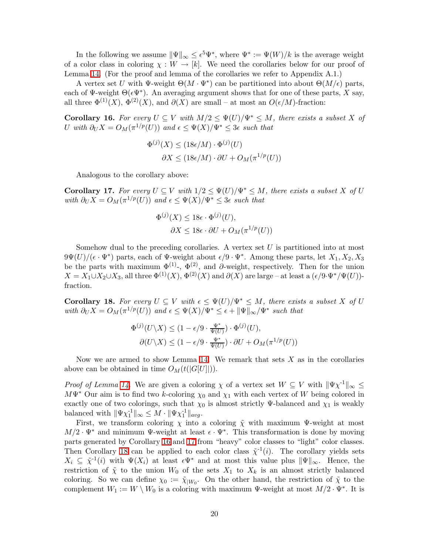In the following we assume  $\|\Psi\|_{\infty} \leq \epsilon^{5} \Psi^*$ , where  $\Psi^* := \Psi(W)/k$  is the average weight of a color class in coloring  $\chi: W \to [k]$ . We need the corollaries below for our proof of Lemma [14.](#page-17-0) (For the proof and lemma of the corollaries we refer to Appendix A.1.)

A vertex set U with  $\Psi$ -weight  $\Theta(M \cdot \Psi^*)$  can be partitioned into about  $\Theta(M/\epsilon)$  parts, each of Ψ-weight  $\Theta(\epsilon \Psi^*)$ . An averaging argument shows that for one of these parts, X say, all three  $\Phi^{(1)}(X)$ ,  $\Phi^{(2)}(X)$ , and  $\partial(X)$  are small – at most an  $O(\epsilon/M)$ -fraction:

<span id="page-19-0"></span>Corollary 16. For every  $U \subseteq V$  with  $M/2 \leq \Psi(U)/\Psi^* \leq M$ , there exists a subset X of U with  $\partial_U X = O_M(\pi^{1/p}(U))$  and  $\epsilon \leq \Psi(X)/\Psi^* \leq 3\epsilon$  such that

$$
\Phi^{(j)}(X) \le (18\epsilon/M) \cdot \Phi^{(j)}(U)
$$

$$
\partial X \le (18\epsilon/M) \cdot \partial U + O_M(\pi^{1/p}(U))
$$

Analogous to the corollary above:

<span id="page-19-1"></span>**Corollary 17.** For every  $U \subseteq V$  with  $1/2 \leq \Psi(U)/\Psi^* \leq M$ , there exists a subset X of U with  $\partial_U X = O_M(\pi^{1/p}(U))$  *and*  $\epsilon \leq \Psi(X)/\Psi^* \leq 3\epsilon$  *such that* 

$$
\Phi^{(j)}(X) \le 18\epsilon \cdot \Phi^{(j)}(U),
$$
  

$$
\partial X \le 18\epsilon \cdot \partial U + O_M(\pi^{1/p}(U))
$$

Somehow dual to the preceding corollaries. A vertex set  $U$  is partitioned into at most  $9\Psi(U)/(\epsilon \cdot \Psi^*)$  parts, each of  $\Psi$ -weight about  $\epsilon/9 \cdot \Psi^*$ . Among these parts, let  $X_1, X_2, X_3$ be the parts with maximum  $\Phi^{(1)}$ -,  $\Phi^{(2)}$ , and  $\partial$ -weight, respectively. Then for the union  $X = X_1 \cup X_2 \cup X_3$ , all three  $\Phi^{(1)}(X)$ ,  $\Phi^{(2)}(X)$  and  $\partial(X)$  are large – at least a  $(\epsilon/9 \cdot \Psi^*/\Psi(U))$ fraction.

<span id="page-19-2"></span>Corollary 18. For every  $U \subseteq V$  with  $\epsilon \leq \Psi(U)/\Psi^* \leq M$ , there exists a subset X of U *with*  $\partial_U X = O_M(\pi^{1/p}(U))$  *and*  $\epsilon \leq \Psi(X)/\Psi^* \leq \epsilon + ||\Psi||_{\infty}/\Psi^*$  *such that* 

$$
\Phi^{(j)}(U \setminus X) \le (1 - \epsilon/9 \cdot \frac{\Psi^*}{\Psi(U)}) \cdot \Phi^{(j)}(U),
$$
  

$$
\partial(U \setminus X) \le (1 - \epsilon/9 \cdot \frac{\Psi^*}{\Psi(U)}) \cdot \partial U + O_M(\pi^{1/p}(U))
$$

Now we are armed to show Lemma [14.](#page-17-0) We remark that sets  $X$  as in the corollaries above can be obtained in time  $O_M(t(|G[U]|)).$ 

*Proof of Lemma [14.](#page-17-0)* We are given a coloring  $\chi$  of a vertex set  $W \subseteq V$  with  $\|\Psi\chi^{-1}\|_{\infty} \leq$  $M\Psi^*$  Our aim is to find two k-coloring  $\chi_0$  and  $\chi_1$  with each vertex of W being colored in exactly one of two colorings, such that  $\chi_0$  is almost strictly Ψ-balanced and  $\chi_1$  is weakly balanced with  $\|\Psi\chi_1^{\text{-}1}\|_{\infty} \leq M \cdot \|\Psi\chi_1^{\text{-}1}\|_{avg}$ .

First, we transform coloring  $\chi$  into a coloring  $\tilde{\chi}$  with maximum Ψ-weight at most  $M/2 \cdot \Psi^*$  and minimum  $\Psi$ -weight at least  $\epsilon \cdot \Psi^*$ . This transformation is done by moving parts generated by Corollary [16](#page-19-0) and [17](#page-19-1) from "heavy" color classes to "light" color classes. Then Corollary [18](#page-19-2) can be applied to each color class  $\tilde{\chi}^1(i)$ . The corollary yields sets  $X_i \subseteq \tilde{\chi}^{-1}(i)$  with  $\Psi(X_i)$  at least  $\epsilon \Psi^*$  and at most this value plus  $\|\Psi\|_{\infty}$ . Hence, the restriction of  $\tilde{\chi}$  to the union  $W_0$  of the sets  $X_1$  to  $X_k$  is an almost strictly balanced coloring. So we can define  $\chi_0 := \tilde{\chi}_{|W_0}$ . On the other hand, the restriction of  $\tilde{\chi}$  to the complement  $W_1 := W \setminus W_0$  is a coloring with maximum  $\Psi$ -weight at most  $M/2 \cdot \Psi^*$ . It is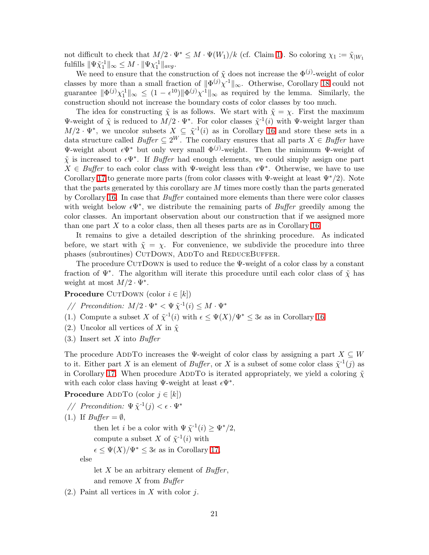not difficult to check that  $M/2 \cdot \Psi^* \leq M \cdot \Psi(W_1)/k$  (cf. Claim [1\)](#page-21-0). So coloring  $\chi_1 := \tilde{\chi}_{|W_1|}$ fulfills  $\|\Psi \tilde{\chi}_1^{-1}\|_{\infty} \leq M \cdot \|\Psi \chi_1^{-1}\|_{avg}$ .

We need to ensure that the construction of  $\tilde{\chi}$  does not increase the  $\Phi^{(j)}$ -weight of color classes by more than a small fraction of  $\|\Phi^{(j)}\chi^{-1}\|_{\infty}$ . Otherwise, Corollary [18](#page-19-2) could not guarantee  $\|\Phi^{(j)}\chi_1^{1}\|_{\infty} \leq (1-\epsilon^{10})\|\Phi^{(j)}\chi_1^{1}\|_{\infty}$  as required by the lemma. Similarly, the construction should not increase the boundary costs of color classes by too much.

The idea for constructing  $\tilde{\chi}$  is as follows. We start with  $\tilde{\chi} = \chi$ . First the maximum Ψ-weight of  $\tilde{\chi}$  is reduced to  $M/2 \cdot \Psi^*$ . For color classes  $\tilde{\chi}^{-1}(i)$  with Ψ-weight larger than  $M/2 \cdot \Psi^*$ , we uncolor subsets  $X \subseteq \tilde{\chi}^{-1}(i)$  as in Corollary [16](#page-19-0) and store these sets in a data structure called *Buffer*  $\subseteq 2^W$ . The corollary ensures that all parts  $X \in B\mathit{u}$  have Ψ-weight about  $\epsilon \Psi^*$  but only very small  $\Phi^{(j)}$ -weight. Then the minimum Ψ-weight of  $\tilde{\chi}$  is increased to  $\epsilon \Psi^*$ . If *Buffer* had enough elements, we could simply assign one part  $X \in \text{Buffer}$  to each color class with  $\Psi$ -weight less than  $\epsilon \Psi^*$ . Otherwise, we have to use Corollary [17](#page-19-1) to generate more parts (from color classes with  $\Psi$ -weight at least  $\Psi^*/2$ ). Note that the parts generated by this corollary are  $M$  times more costly than the parts generated by Corollary [16.](#page-19-0) In case that *Buffer* contained more elements than there were color classes with weight below  $\epsilon \Psi^*$ , we distribute the remaining parts of *Buffer* greedily among the color classes. An important observation about our construction that if we assigned more than one part  $X$  to a color class, then all theses parts are as in Corollary [16.](#page-19-0)

It remains to give a detailed description of the shrinking procedure. As indicated before, we start with  $\tilde{\chi} = \chi$ . For convenience, we subdivide the procedure into three phases (subroutines) CUTDOWN, ADDTO and REDUCEBUFFER.

The procedure CUTDOWN is used to reduce the  $\Psi$ -weight of a color class by a constant fraction of  $\Psi^*$ . The algorithm will iterate this procedure until each color class of  $\tilde{\chi}$  has weight at most  $M/2 \cdot \Psi^*$ .

**Procedure** CUTDOWN (color  $i \in [k]$ )

- // Precondition:  $M/2 \cdot \Psi^* < \Psi \tilde{\chi}^{-1}(i) \leq M \cdot \Psi^*$
- (1.) Compute a subset X of  $\tilde{\chi}^{-1}(i)$  with  $\epsilon \leq \Psi(X)/\Psi^* \leq 3\epsilon$  as in Corollary [16](#page-19-0)
- (2.) Uncolor all vertices of X in  $\tilde{\chi}$
- (3.) Insert set X into *Buffer*

The procedure ADDTO increases the Ψ-weight of color class by assigning a part  $X \subseteq W$ to it. Either part X is an element of *Buffer*, or X is a subset of some color class  $\tilde{\chi}^{-1}(j)$  as in Corollary [17.](#page-19-1) When procedure ADDTO is iterated appropriately, we yield a coloring  $\tilde{\chi}$ with each color class having  $\Psi$ -weight at least  $\epsilon \Psi^*$ .

**Procedure** ADDTO (color  $j \in [k]$ )

```
// Precondition: 
$$
\Psi \tilde{\chi}^{-1}(j) < \epsilon \cdot \Psi^*
$$
\n(1.) If  $Bu\text{ffer} = \emptyset$ ,\nthen let i be a color with  $\Psi \tilde{\chi}^{-1}(i) \ge \Psi^*/2$ ,\ncompute a subset X of  $\tilde{\chi}^{-1}(i)$  with\n $\epsilon \le \Psi(X)/\Psi^* \le 3\epsilon$  as in Corollary 17,\nelse\nlet X be an arbitrary element of Buffer,
```

and remove X from *Buffer*

 $(2.)$  Paint all vertices in X with color j.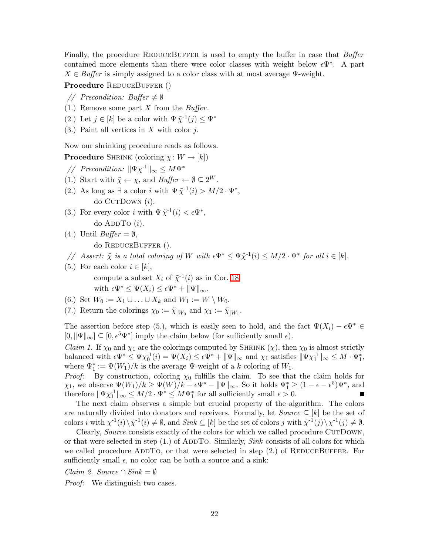Finally, the procedure REDUCEBUFFER is used to empty the buffer in case that *Buffer* contained more elements than there were color classes with weight below  $\epsilon \Psi^*$ . A part  $X \in$  *Buffer* is simply assigned to a color class with at most average  $\Psi$ -weight.

Procedure REDUCEBUFFER ()

- *// Precondition: Buffer*  $\neq \emptyset$
- (1.) Remove some part X from the *Buffer* .
- (2.) Let  $j \in [k]$  be a color with  $\Psi \tilde{\chi}^{-1}(j) \leq \Psi^*$
- $(3.)$  Paint all vertices in X with color j.

Now our shrinking procedure reads as follows.

**Procedure** SHRINK (coloring  $\chi: W \to [k]$ )

- *// Precondition:*  $\|\Psi \chi^{-1}\|_{\infty} \leq M \Psi^*$
- (1.) Start with  $\tilde{\chi} \leftarrow \chi$ , and  $\text{Buffer} \leftarrow \emptyset \subseteq 2^W$ .
- (2.) As long as  $\exists$  a color *i* with  $\Psi \tilde{\chi}^{-1}(i) > M/2 \cdot \Psi^*$ , do Cur $Down(i)$ .
- (3.) For every color i with  $\Psi \tilde{\chi}^{-1}(i) < \epsilon \Psi^*$ ,

do ADDTO  $(i)$ .

- (4.) Until  $Buffer = \emptyset$ , do ReduceBuffer ().
- *// Assert:*  $\tilde{\chi}$  *is a total coloring of* W *with*  $\epsilon \Psi^* \leq \Psi \tilde{\chi}^{-1}(i) \leq M/2 \cdot \Psi^*$  for all  $i \in [k]$ .
- (5.) For each color  $i \in [k]$ , compute a subset  $X_i$  of  $\tilde{\chi}^{-1}(i)$  as in Cor. [18](#page-19-2) with  $\epsilon \Psi^* \leq \Psi(X_i) \leq \epsilon \Psi^* + \|\Psi\|_{\infty}$ .
- (6.) Set  $W_0 := X_1 \cup \ldots \cup X_k$  and  $W_1 := W \setminus W_0$ .
- (7.) Return the colorings  $\chi_0 := \tilde{\chi}_{|W_0}$  and  $\chi_1 := \tilde{\chi}_{|W_1}$ .

The assertion before step (5.), which is easily seen to hold, and the fact  $\Psi(X_i) - \epsilon \Psi^* \in$  $[0, \|\Psi\|_{\infty}] \subseteq [0, \epsilon^5 \Psi^*]$  imply the claim below (for sufficiently small  $\epsilon$ ).

<span id="page-21-0"></span>*Claim 1.* If  $\chi_0$  and  $\chi_1$  are the colorings computed by SHRINK  $(\chi)$ , then  $\chi_0$  is almost strictly balanced with  $\epsilon \Psi^* \leq \Psi \chi_0^{-1}(i) = \Psi(X_i) \leq \epsilon \Psi^* + \|\Psi\|_{\infty}$  and  $\chi_1$  satisfies  $\|\Psi \chi_1^{-1}\|_{\infty} \leq M \cdot \Psi_1^*$ , where  $\Psi_1^* := \Psi(W_1)/k$  is the average  $\Psi$ -weight of a k-coloring of  $W_1$ .

*Proof:* By construction, coloring  $\chi_0$  fulfills the claim. To see that the claim holds for  $\chi_1$ , we observe  $\Psi(W_1)/k \ge \Psi(W)/k - \epsilon \Psi^* - \|\Psi\|_{\infty}$ . So it holds  $\Psi_1^* \ge (1 - \epsilon - \epsilon^5) \Psi^*$ , and therefore  $\|\Psi\chi_1^{\{1\}}\|_{\infty} \leq M/2 \cdot \Psi^* \leq M\Psi_1^*$  for all sufficiently small  $\epsilon > 0$ .

The next claim observes a simple but crucial property of the algorithm. The colors are naturally divided into donators and receivers. Formally, let  $Source \subseteq [k]$  be the set of colors *i* with  $\chi^{-1}(i) \setminus \tilde{\chi}^{-1}(i) \neq \emptyset$ , and *Sink*  $\subseteq [k]$  be the set of colors *j* with  $\tilde{\chi}^{-1}(j) \setminus \chi^{-1}(j) \neq \emptyset$ .

Clearly, *Source* consists exactly of the colors for which we called procedure CUTDOWN, or that were selected in step (1.) of ADDTO. Similarly, *Sink* consists of all colors for which we called procedure ADDTO, or that were selected in step  $(2.)$  of REDUCEBUFFER. For sufficiently small  $\epsilon$ , no color can be both a source and a sink:

<span id="page-21-1"></span>*Claim 2. Source*  $\cap$  *Sink* =  $\emptyset$ 

*Proof:* We distinguish two cases.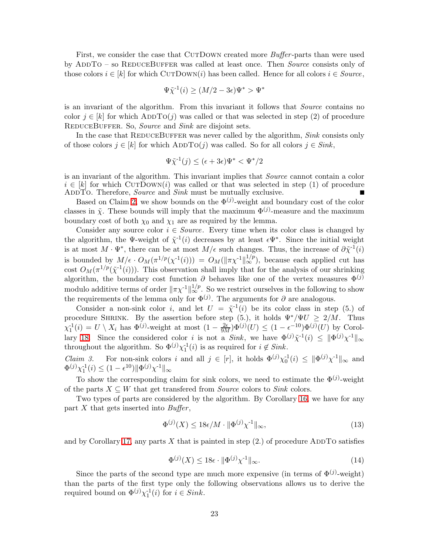First, we consider the case that CUTDOWN created more *Buffer*-parts than were used by ADDTO – so REDUCEBUFFER was called at least once. Then *Source* consists only of those colors  $i \in [k]$  for which CUTDOWN(i) has been called. Hence for all colors  $i \in Source$ .

$$
\Psi \tilde{\chi}^{-1}(i) \ge (M/2 - 3\epsilon)\Psi^* > \Psi^*
$$

is an invariant of the algorithm. From this invariant it follows that *Source* contains no color  $j \in [k]$  for which ADDTO(j) was called or that was selected in step (2) of procedure ReduceBuffer. So, *Source* and *Sink* are disjoint sets.

In the case that REDUCEBUFFER was never called by the algorithm, *Sink* consists only of those colors  $j \in [k]$  for which ADDTO(j) was called. So for all colors  $j \in Sink$ ,

$$
\Psi\tilde\chi^{\text{-}1}(j)\leq (\epsilon+3\epsilon)\Psi^*<\Psi^*/2
$$

is an invariant of the algorithm. This invariant implies that *Source* cannot contain a color  $i \in [k]$  for which CUTDOWN(*i*) was called or that was selected in step (1) of procedure ADDTO. Therefore, *Source* and *Sink* must be mutually exclusive. ADDTO. Therefore, *Source* and *Sink* must be mutually exclusive.

Based on Claim [2,](#page-21-1) we show bounds on the  $\Phi^{(j)}$ -weight and boundary cost of the color classes in  $\tilde{\chi}$ . These bounds will imply that the maximum  $\Phi^{(j)}$ -measure and the maximum boundary cost of both  $\chi_0$  and  $\chi_1$  are as required by the lemma.

Consider any source color  $i \in Source$ . Every time when its color class is changed by the algorithm, the Ψ-weight of  $\tilde{\chi}^{-1}(i)$  decreases by at least  $\epsilon \Psi^*$ . Since the initial weight is at most  $M \cdot \Psi^*$ , there can be at most  $M/\epsilon$  such changes. Thus, the increase of  $\partial \tilde{\chi}^{-1}(i)$ is bounded by  $M/\epsilon \cdot O_M(\pi^{1/p}(\chi^{-1}(i))) = O_M(\|\pi\chi^{-1}\|_{\infty}^{1/p})$ , because each applied cut has cost  $O_M(\pi^{1/p}(\tilde{\chi}^{-1}(i)))$ . This observation shall imply that for the analysis of our shrinking algorithm, the boundary cost function  $\partial$  behaves like one of the vertex measures  $\Phi^{(j)}$ modulo additive terms of order  $\|\pi \chi^{-1}\|_{\infty}^{1/p}$ . So we restrict ourselves in the following to show the requirements of the lemma only for  $\Phi^{(j)}$ . The arguments for  $\partial$  are analogous.

Consider a non-sink color i, and let  $U = \tilde{\chi}^{-1}(i)$  be its color class in step (5.) of procedure SHRINK. By the assertion before step (5.), it holds  $\Psi^*/\Psi U \geq 2/M$ . Thus  $\chi_1^{-1}(i) = U \setminus X_i$  has  $\Phi^{(j)}$ -weight at most  $(1 - \frac{2\epsilon}{9M})\Phi^{(j)}(U) \leq (1 - \epsilon^{-10})\Phi^{(j)}(U)$  by Corol-lary [18.](#page-19-2) Since the considered color *i* is not a *Sink*, we have  $\Phi^{(j)}\tilde{\chi}^{-1}(i) \leq ||\Phi^{(j)}\chi^{-1}||_{\infty}$ throughout the algorithm. So  $\Phi^{(j)} \chi_1^{-1}(i)$  is as required for  $i \notin Sink$ .

*Claim 3.* For non-sink colors i and all  $j \in [r]$ , it holds  $\Phi^{(j)} \chi_0^{-1}(i) \leq ||\Phi^{(j)} \chi^{-1}||_{\infty}$  and  $\Phi^{(j)} \chi_1^{-1}(i) \leq (1 - \epsilon^{10}) \|\Phi^{(j)} \chi^{-1}\|_{\infty}$ 

To show the corresponding claim for sink colors, we need to estimate the  $\Phi^{(j)}$ -weight of the parts  $X \subseteq W$  that get transferred from *Source* colors to *Sink* colors.

Two types of parts are considered by the algorithm. By Corollary [16,](#page-19-0) we have for any part X that gets inserted into *Buffer*,

<span id="page-22-0"></span>
$$
\Phi^{(j)}(X) \le 18\epsilon/M \cdot \|\Phi^{(j)}\chi^{-1}\|_{\infty},\tag{13}
$$

<span id="page-22-1"></span>and by Corollary [17,](#page-19-1) any parts  $X$  that is painted in step  $(2.)$  of procedure ADDTO satisfies

$$
\Phi^{(j)}(X) \le 18\epsilon \cdot \|\Phi^{(j)}\chi^{-1}\|_{\infty}.\tag{14}
$$

Since the parts of the second type are much more expensive (in terms of  $\Phi^{(j)}$ -weight) than the parts of the first type only the following observations allows us to derive the required bound on  $\Phi^{(j)} \chi_1^{-1}(i)$  for  $i \in Sink$ .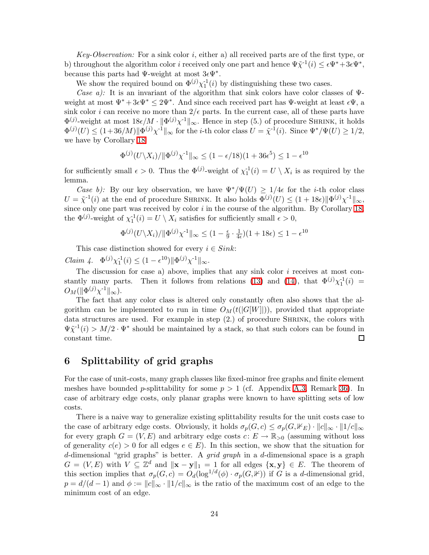*Key-Observation:* For a sink color i, either a) all received parts are of the first type, or b) throughout the algorithm color *i* received only one part and hence  $\Psi \tilde{\chi}^{-1}(i) \leq \epsilon \Psi^* + 3\epsilon \Psi^*$ , because this parts had  $\Psi$ -weight at most  $3\epsilon \Psi^*$ .

We show the required bound on  $\Phi^{(j)} \chi_1^{-1}(i)$  by distinguishing these two cases.

*Case a):* It is an invariant of the algorithm that sink colors have color classes of Ψweight at most  $\Psi^* + 3\epsilon \Psi^* \leq 2\Psi^*$ . And since each received part has  $\Psi$ -weight at least  $\epsilon \Psi$ , a sink color *i* can receive no more than  $2/\epsilon$  parts. In the current case, all of these parts have  $\Phi^{(j)}$ -weight at most  $18\epsilon/M \cdot ||\Phi^{(j)}\chi^{-1}||_{\infty}$ . Hence in step (5.) of procedure SHRINK, it holds  $\Phi^{(j)}(U) \leq (1+36/M)\|\Phi^{(j)}\chi^{-1}\|_{\infty}$  for the *i*-th color class  $U = \tilde{\chi}^{-1}(i)$ . Since  $\Psi^*/\Psi(U) \geq 1/2$ , we have by Corollary [18](#page-19-2)

$$
\Phi^{(j)}(U \setminus X_i) / \|\Phi^{(j)}\chi^{-1}\|_{\infty} \le (1 - \epsilon/18)(1 + 36\epsilon^5) \le 1 - \epsilon^{10}
$$

for sufficiently small  $\epsilon > 0$ . Thus the  $\Phi^{(j)}$ -weight of  $\chi_1^{-1}(i) = U \setminus X_i$  is as required by the lemma.

*Case b)*: By our key observation, we have  $\Psi^* / \Psi(U) \geq 1/4\epsilon$  for the *i*-th color class  $U = \tilde{\chi}^{-1}(i)$  at the end of procedure SHRINK. It also holds  $\Phi^{(j)}(U) \leq (1+18\epsilon) \|\Phi^{(j)}\chi^{-1}\|_{\infty}$ , since only one part was received by color  $i$  in the course of the algorithm. By Corollary [18,](#page-19-2) the  $\Phi^{(j)}$ -weight of  $\chi_1^{-1}(i) = U \setminus X_i$  satisfies for sufficiently small  $\epsilon > 0$ ,

$$
\Phi^{(j)}(U \setminus X_i) / \|\Phi^{(j)}\chi^{-1}\|_{\infty} \le (1 - \frac{\epsilon}{9} \cdot \frac{1}{4\epsilon})(1 + 18\epsilon) \le 1 - \epsilon^{10}
$$

This case distinction showed for every  $i \in Sink$ :

*Claim 4.*  $\Phi^{(j)} \chi_1^{-1}(i) \leq (1 - \epsilon^{10}) ||\Phi^{(j)} \chi_1^{-1}||_{\infty}$ .

The discussion for case a) above, implies that any sink color  $i$  receives at most con-stantly many parts. Then it follows from relations [\(13\)](#page-22-0) and [\(14\)](#page-22-1), that  $\Phi^{(j)} \chi_1^{-1}(i)$  =  $O_M(||\Phi^{(j)}\chi^{-1}||_{\infty}).$ 

The fact that any color class is altered only constantly often also shows that the algorithm can be implemented to run in time  $O_M(t(|G[W]|))$ , provided that appropriate data structures are used. For example in step  $(2.)$  of procedure SHRINK, the colors with  $\Psi \tilde{\chi}^{-1}(i) > M/2 \cdot \Psi^*$  should be maintained by a stack, so that such colors can be found in constant time.  $\Box$ 

### <span id="page-23-0"></span>6 Splittability of grid graphs

For the case of unit-costs, many graph classes like fixed-minor free graphs and finite element meshes have bounded p-splittability for some  $p > 1$  (cf. Appendix [A.3,](#page-35-0) Remark [36\)](#page-35-2). In case of arbitrary edge costs, only planar graphs were known to have splitting sets of low costs.

There is a naive way to generalize existing splittability results for the unit costs case to the case of arbitrary edge costs. Obviously, it holds  $\sigma_p(G,c) \leq \sigma_p(G,\mathbb{1}) \cdot ||c||_{\infty} \cdot ||1/c||_{\infty}$ for every graph  $G = (V, E)$  and arbitrary edge costs  $c: E \to \mathbb{R}_{>0}$  (assuming without loss of generality  $c(e) > 0$  for all edges  $e \in E$ ). In this section, we show that the situation for d-dimensional "grid graphs" is better. A *grid graph* in a d-dimensional space is a graph  $G = (V, E)$  with  $V \subseteq \mathbb{Z}^d$  and  $\|\mathbf{x} - \mathbf{y}\|_1 = 1$  for all edges  $\{\mathbf{x}, \mathbf{y}\} \in E$ . The theorem of this section implies that  $\sigma_p(G,c) = O_d(\log^{1/d}(\phi) \cdot \sigma_p(G, \mathbb{F}))$  if G is a d-dimensional grid,  $p = d/(d-1)$  and  $\phi := ||c||_{\infty} \cdot ||1/c||_{\infty}$  is the ratio of the maximum cost of an edge to the minimum cost of an edge.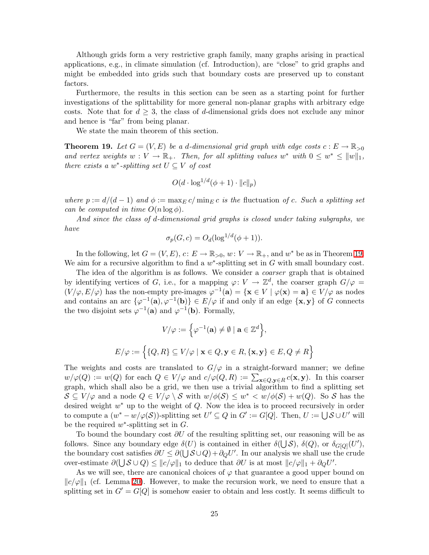Although grids form a very restrictive graph family, many graphs arising in practical applications, e.g., in climate simulation (cf. Introduction), are "close" to grid graphs and might be embedded into grids such that boundary costs are preserved up to constant factors.

Furthermore, the results in this section can be seen as a starting point for further investigations of the splittability for more general non-planar graphs with arbitrary edge costs. Note that for  $d \geq 3$ , the class of d-dimensional grids does not exclude any minor and hence is "far" from being planar.

We state the main theorem of this section.

<span id="page-24-0"></span>**Theorem 19.** Let  $G = (V, E)$  be a d-dimensional grid graph with edge costs  $c : E \to \mathbb{R}_{>0}$ and vertex weights  $w: V \to \mathbb{R}_+$ . Then, for all splitting values  $w^*$  with  $0 \leq w^* \leq ||w||_1$ , *there exists a*  $w^*$ -*splitting set*  $U \subseteq V$  *of cost* 

$$
O(d \cdot \log^{1/d}(\phi + 1) \cdot ||c||_p)
$$

*where*  $p := d/(d-1)$  *and*  $\phi := \max_E c / \min_E c$  *is the* fluctuation *of c*. Such a splitting set *can be computed in time*  $O(n \log \phi)$ *.* 

*And since the class of* d*-dimensional grid graphs is closed under taking subgraphs, we have*

$$
\sigma_p(G, c) = O_d(\log^{1/d}(\phi + 1)).
$$

In the following, let  $G = (V, E)$ ,  $c: E \to \mathbb{R}_{>0}$ ,  $w: V \to \mathbb{R}_{+}$ , and  $w^*$  be as in Theorem [19.](#page-24-0) We aim for a recursive algorithm to find a  $w^*$ -splitting set in  $G$  with small boundary cost.

The idea of the algorithm is as follows. We consider a *coarser* graph that is obtained by identifying vertices of G, i.e., for a mapping  $\varphi: V \to \mathbb{Z}^d$ , the coarser graph  $G/\varphi =$  $(V/\varphi, E/\varphi)$  has the non-empty pre-images  $\varphi^{-1}(\mathbf{a}) = {\mathbf{x} \in V \mid \varphi(\mathbf{x}) = \mathbf{a}} \in V/\varphi$  as nodes and contains an arc  $\{\varphi^{-1}(\mathbf{a}), \varphi^{-1}(\mathbf{b})\} \in E/\varphi$  if and only if an edge  $\{\mathbf{x}, \mathbf{y}\}$  of G connects the two disjoint sets  $\varphi^{-1}(\mathbf{a})$  and  $\varphi^{-1}(\mathbf{b})$ . Formally,

$$
V/\varphi := \left\{ \varphi^{-1}(\mathbf{a}) \neq \emptyset \mid \mathbf{a} \in \mathbb{Z}^d \right\},\
$$

$$
E/\varphi := \left\{ \{Q, R\} \subseteq V/\varphi \mid \mathbf{x} \in Q, \mathbf{y} \in R, \{\mathbf{x}, \mathbf{y}\} \in E, Q \neq R \right\}
$$

The weights and costs are translated to  $G/\varphi$  in a straight-forward manner; we define  $w/\varphi(Q) := w(Q)$  for each  $Q \in V/\varphi$  and  $c/\varphi(Q, R) := \sum_{\mathbf{x} \in Q, \mathbf{y} \in R} c(\mathbf{x}, \mathbf{y})$ . In this coarser graph, which shall also be a grid, we then use a trivial algorithm to find a splitting set  $S \subseteq V/\varphi$  and a node  $Q \in V/\varphi \setminus S$  with  $w/\phi(S) \leq w^* < w/\phi(S) + w(Q)$ . So S has the desired weight  $w^*$  up to the weight of  $Q$ . Now the idea is to proceed recursively in order to compute a  $(w^* - w/\varphi(\mathcal{S}))$ -splitting set  $U' \subseteq Q$  in  $G' := G[Q]$ . Then,  $U := \bigcup \mathcal{S} \cup U'$  will be the required  $w^*$ -splitting set in  $G$ .

To bound the boundary cost  $\partial U$  of the resulting splitting set, our reasoning will be as follows. Since any boundary edge  $\delta(U)$  is contained in either  $\delta(\bigcup S)$ ,  $\delta(Q)$ , or  $\delta_{G[Q]}(U')$ , the boundary cost satisfies  $\partial U \leq \partial(\bigcup S \cup Q) + \partial_Q U'$ . In our analysis we shall use the crude over-estimate  $\partial(\bigcup \mathcal{S} \cup Q) \leq ||c/\varphi||_1$  to deduce that  $\partial U$  is at most  $||c/\varphi||_1 + \partial_Q U'$ .

As we will see, there are canonical choices of  $\varphi$  that guarantee a good upper bound on  $||c/\varphi||_1$  (cf. Lemma [20\)](#page-25-0). However, to make the recursion work, we need to ensure that a splitting set in  $G' = G[Q]$  is somehow easier to obtain and less costly. It seems difficult to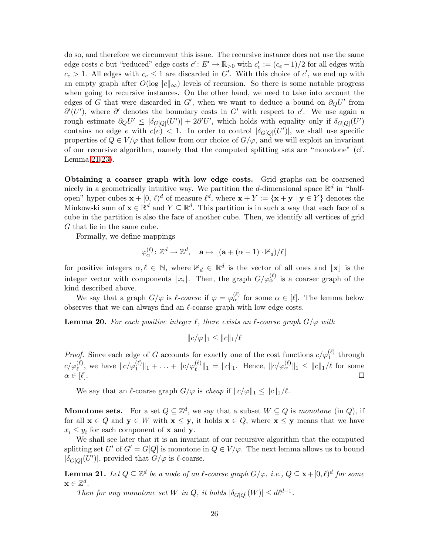do so, and therefore we circumvent this issue. The recursive instance does not use the same edge costs c but "reduced" edge costs  $c' : E' \to \mathbb{R}_{>0}$  with  $c'_{e} := (c_e - 1)/2$  for all edges with  $c_e > 1$ . All edges with  $c_e \leq 1$  are discarded in G'. With this choice of c', we end up with an empty graph after  $O(\log ||c||_{\infty})$  levels of recursion. So there is some notable progress when going to recursive instances. On the other hand, we need to take into account the edges of G that were discarded in G', when we want to deduce a bound on  $\partial_Q U'$  from  $\partial'(U')$ , where  $\partial'$  denotes the boundary costs in G' with respect to c'. We use again a rough estimate  $\partial_Q U' \leq |\delta_{G[Q]}(U')| + 2\partial' U'$ , which holds with equality only if  $\delta_{G[Q]}(U')$ contains no edge e with  $c(e) < 1$ . In order to control  $|\delta_{G[Q]}(U')|$ , we shall use specific properties of  $Q \in V/\varphi$  that follow from our choice of  $G/\varphi$ , and we will exploit an invariant of our recursive algorithm, namely that the computed splitting sets are "monotone" (cf. Lemma [21-](#page-25-1)[23\)](#page-26-0).

Obtaining a coarser graph with low edge costs. Grid graphs can be coarsened nicely in a geometrically intuitive way. We partition the *d*-dimensional space  $\mathbb{R}^d$  in "halfopen" hyper-cubes  $\mathbf{x} + [0, \ell)^d$  of measure  $\ell^d$ , where  $\mathbf{x} + Y := {\mathbf{x} + \mathbf{y} \mid \mathbf{y} \in Y}$  denotes the Minkowski sum of  $\mathbf{x} \in \mathbb{R}^d$  and  $Y \subseteq \mathbb{R}^d$ . This partition is in such a way that each face of a cube in the partition is also the face of another cube. Then, we identify all vertices of grid G that lie in the same cube.

Formally, we define mappings

$$
\varphi_{\alpha}^{(\ell)}\colon \mathbb{Z}^d \to \mathbb{Z}^d, \quad \mathbf{a} \mapsto \lfloor (\mathbf{a} + (\alpha - 1) \cdot \mathbb{1}_d)/\ell \rfloor
$$

for positive integers  $\alpha, \ell \in \mathbb{N}$ , where  $\mathbb{1}_d \in \mathbb{R}^d$  is the vector of all ones and  $\lfloor x \rfloor$  is the integer vector with components  $\lfloor x_i \rfloor$ . Then, the graph  $G/\varphi_\alpha^{(\ell)}$  is a coarser graph of the kind described above.

<span id="page-25-0"></span>We say that a graph  $G/\varphi$  is  $\ell$ -coarse if  $\varphi = \varphi_{\alpha}^{(\ell)}$  for some  $\alpha \in [\ell]$ . The lemma below observes that we can always find an  $\ell$ -coarse graph with low edge costs.

**Lemma 20.** For each positive integer  $\ell$ , there exists an  $\ell$ -coarse graph  $G/\varphi$  with

$$
||c/\varphi||_1 \leq ||c||_1/\ell
$$

*Proof.* Since each edge of G accounts for exactly one of the cost functions  $c/\varphi_1^{(\ell)}$  through  $c/\varphi_{\ell}^{(\ell)}$ , we have  $||c/\varphi_1^{(\ell)}||_1 + \ldots + ||c/\varphi_{\ell}^{(\ell)}||_1 = ||c||_1$ . Hence,  $||c/\varphi_{\alpha}^{(\ell)}||_1 \leq ||c||_1/\ell$  for some  $\alpha \in [\ell].$ 

We say that an  $\ell$ -coarse graph  $G/\varphi$  is *cheap* if  $||c/\varphi||_1 \leq ||c||_1/\ell$ .

**Monotone sets.** For a set  $Q \subseteq \mathbb{Z}^d$ , we say that a subset  $W \subseteq Q$  is *monotone* (in Q), if for all  $x \in Q$  and  $y \in W$  with  $x \leq y$ , it holds  $x \in Q$ , where  $x \leq y$  means that we have  $x_i \leq y_i$  for each component of **x** and **y**.

We shall see later that it is an invariant of our recursive algorithm that the computed splitting set U' of  $G' = G[Q]$  is monotone in  $Q \in V/\varphi$ . The next lemma allows us to bound  $|\delta_{G[Q]}(U')|$ , provided that  $G/\varphi$  is  $\ell$ -coarse.

<span id="page-25-1"></span>**Lemma 21.** Let  $Q \subseteq \mathbb{Z}^d$  be a node of an  $\ell$ -coarse graph  $G/\varphi$ , i.e.,  $Q \subseteq \mathbf{x} + [0,\ell)^d$  for some  $\mathbf{x} \in \mathbb{Z}^d$ .

*Then for any monotone set* W *in* Q, *it holds*  $|\delta_{G[Q]}(W)| \leq d\ell^{d-1}$ .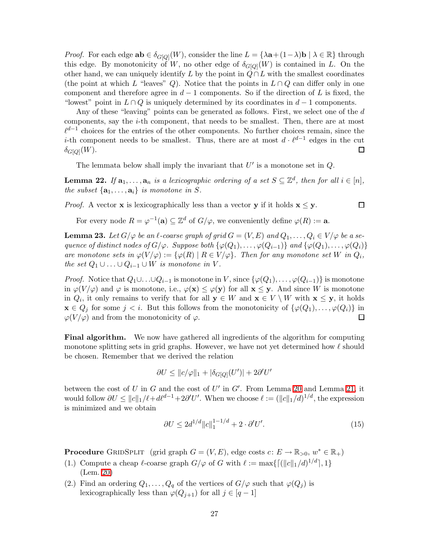*Proof.* For each edge  $ab \in \delta_{G[Q]}(W)$ , consider the line  $L = {\lambda a + (1 - \lambda)b \mid \lambda \in \mathbb{R}}$  through this edge. By monotonicity of W, no other edge of  $\delta_{G[Q]}(W)$  is contained in L. On the other hand, we can uniquely identify L by the point in  $Q \cap L$  with the smallest coordinates (the point at which L "leaves" Q). Notice that the points in  $L \cap Q$  can differ only in one component and therefore agree in  $d-1$  components. So if the direction of L is fixed, the "lowest" point in  $L \cap Q$  is uniquely determined by its coordinates in  $d-1$  components.

Any of these "leaving" points can be generated as follows. First, we select one of the d components, say the i-th component, that needs to be smallest. Then, there are at most  $\ell^{d-1}$  choices for the entries of the other components. No further choices remain, since the *i*-th component needs to be smallest. Thus, there are at most  $d \cdot \ell^{d-1}$  edges in the cut  $\delta_{G[Q]}(W).$  $\Box$ 

The lemmata below shall imply the invariant that  $U'$  is a monotone set in  $Q$ .

<span id="page-26-1"></span>**Lemma 22.** If  $\mathbf{a}_1, \ldots, \mathbf{a}_n$  is a lexicographic ordering of a set  $S \subseteq \mathbb{Z}^d$ , then for all  $i \in [n]$ , *the subset*  $\{a_1, \ldots, a_i\}$  *is monotone in* S.

*Proof.* A vector **x** is lexicographically less than a vector **y** if it holds  $\mathbf{x} \leq \mathbf{y}$ .

 $\Box$ 

For every node  $R = \varphi^{-1}(\mathbf{a}) \subseteq \mathbb{Z}^d$  of  $G/\varphi$ , we conveniently define  $\varphi(R) := \mathbf{a}$ .

<span id="page-26-0"></span>**Lemma 23.** Let  $G/\varphi$  be an  $\ell$ -coarse graph of grid  $G = (V, E)$  and  $Q_1, \ldots, Q_i \in V/\varphi$  be a se*quence of distinct nodes of*  $G/\varphi$ *. Suppose both*  $\{\varphi(Q_1), \ldots, \varphi(Q_{i-1})\}$  *and*  $\{\varphi(Q_1), \ldots, \varphi(Q_i)\}$ *are monotone sets in*  $\varphi(V/\varphi) := {\varphi(R) | R \in V/\varphi}$ . Then for any monotone set W in  $Q_i$ , *the set*  $Q_1 \cup \ldots \cup Q_{i-1} \cup W$  *is monotone in* V.

*Proof.* Notice that  $Q_1 \cup \ldots \cup Q_{i-1}$  is monotone in V, since  $\{\varphi(Q_1), \ldots, \varphi(Q_{i-1})\}$  is monotone in  $\varphi(V/\varphi)$  and  $\varphi$  is monotone, i.e.,  $\varphi(\mathbf{x}) \leq \varphi(\mathbf{y})$  for all  $\mathbf{x} \leq \mathbf{y}$ . And since W is monotone in  $Q_i$ , it only remains to verify that for all  $y \in W$  and  $x \in V \setminus W$  with  $x \leq y$ , it holds  $\mathbf{x} \in Q_j$  for some  $j < i$ . But this follows from the monotonicity of  $\{\varphi(Q_1), \ldots, \varphi(Q_i)\}\$  in  $\Box$  $\varphi(V/\varphi)$  and from the monotonicity of  $\varphi$ .

Final algorithm. We now have gathered all ingredients of the algorithm for computing monotone splitting sets in grid graphs. However, we have not yet determined how  $\ell$  should be chosen. Remember that we derived the relation

$$
\partial U \leq ||c/\varphi||_1 + |\delta_{G[Q]}(U')| + 2\partial' U'
$$

<span id="page-26-2"></span>between the cost of U in G and the cost of U' in  $G'$ . From Lemma [20](#page-25-0) and Lemma [21,](#page-25-1) it would follow  $\partial U \le ||c||_1/\ell + d\ell^{d-1} + 2\partial' U'$ . When we choose  $\ell := (||c||_1/d)^{1/d}$ , the expression is minimized and we obtain

$$
\partial U \le 2d^{1/d} \|c\|_1^{1-1/d} + 2 \cdot \partial' U'. \tag{15}
$$

**Procedure** GRIDSPLIT (grid graph  $G = (V, E)$ , edge costs  $c: E \to \mathbb{R}_{>0}, w^* \in \mathbb{R}_+$ )

- (1.) Compute a cheap  $\ell$ -coarse graph  $G/\varphi$  of G with  $\ell := \max\{[(\|c\|_1/d)^{1/d}], 1\}$ (Lem. [20\)](#page-25-0)
- (2.) Find an ordering  $Q_1, \ldots, Q_q$  of the vertices of  $G/\varphi$  such that  $\varphi(Q_j)$  is lexicographically less than  $\varphi(Q_{j+1})$  for all  $j \in [q-1]$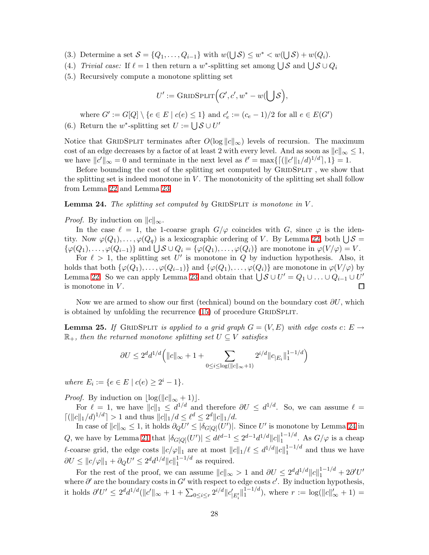- (3.) Determine a set  $S = \{Q_1, \ldots, Q_{i-1}\}\$  with  $w(\bigcup S) \leq w^* < w(\bigcup S) + w(Q_i)$ .
- (4.) *Trivial case:* If  $\ell = 1$  then return a w<sup>\*</sup>-splitting set among  $\bigcup \mathcal{S}$  and  $\bigcup \mathcal{S} \cup Q_i$
- (5.) Recursively compute a monotone splitting set

$$
U' := \mathrm{GRIDSPLIT}\Big(G',c',w^*-w(\bigcup\mathcal{S}\Big),
$$

where  $G' := G[Q] \setminus \{e \in E \mid c(e) \leq 1\}$  and  $c'_{e} := (c_{e} - 1)/2$  for all  $e \in E(G')$ 

(6.) Return the w<sup>\*</sup>-splitting set  $U := \bigcup \mathcal{S} \cup U'$ 

Notice that GRIDSPLIT terminates after  $O(\log ||c||_{\infty})$  levels of recursion. The maximum cost of an edge decreases by a factor of at least 2 with every level. And as soon as  $||c||_{\infty} \leq 1$ , we have  $||c'||_{\infty} = 0$  and terminate in the next level as  $\ell' = \max\{[(||c'||_1/d)^{1/d}], 1\} = 1$ .

Before bounding the cost of the splitting set computed by  $\textsc{GrIDSPLIT}$  , we show that the splitting set is indeed monotone in  $V$ . The monotonicity of the splitting set shall follow from Lemma [22](#page-26-1) and Lemma [23.](#page-26-0)

#### <span id="page-27-0"></span>Lemma 24. *The splitting set computed by GRIDSPLIT is monotone in* V.

*Proof.* By induction on  $||c||_{\infty}$ .

In the case  $\ell = 1$ , the 1-coarse graph  $G/\varphi$  coincides with G, since  $\varphi$  is the identity. Now  $\varphi(Q_1), \ldots, \varphi(Q_q)$  is a lexicographic ordering of V. By Lemma [22,](#page-26-1) both  $\bigcup \mathcal{S} =$  $\{\varphi(Q_1),\ldots,\varphi(Q_{i-1})\}$  and  $\bigcup \mathcal{S} \cup Q_i = \{\varphi(Q_1),\ldots,\varphi(Q_i)\}\$ are monotone in  $\varphi(V/\varphi) = V$ .

For  $\ell > 1$ , the splitting set U' is monotone in Q by induction hypothesis. Also, it holds that both  $\{\varphi(Q_1),\ldots,\varphi(Q_{i-1})\}$  and  $\{\varphi(Q_1),\ldots,\varphi(Q_i)\}$  are monotone in  $\varphi(V/\varphi)$  by Lemma [22.](#page-26-1) So we can apply Lemma [23](#page-26-0) and obtain that  $\bigcup \mathcal{S} \cup U' = Q_1 \cup ... \cup Q_{i-1} \cup U'$ is monotone in  $V$ .

Now we are armed to show our first (technical) bound on the boundary cost  $\partial U$ , which is obtained by unfolding the recurrence  $(15)$  of procedure GRIDSPLIT.

**Lemma 25.** If GRIDSPLIT is applied to a grid graph  $G = (V, E)$  with edge costs c:  $E \rightarrow$  $\mathbb{R}_+$ *, then the returned monotone splitting set*  $U \subseteq V$  *satisfies* 

$$
\partial U \le 2^d d^{1/d} \left( ||c||_{\infty} + 1 + \sum_{0 \le i \le \log(||c||_{\infty} + 1)} 2^{i/d} ||c_{|E_i}||_1^{1 - 1/d} \right)
$$

*where*  $E_i := \{e \in E \mid c(e) \geq 2^i - 1\}.$ 

*Proof.* By induction on  $\lfloor \log(||c||_{\infty} + 1) \rfloor$ .

For  $\ell = 1$ , we have  $||c||_1 \leq d^{1/d}$  and therefore  $\partial U \leq d^{1/d}$ . So, we can assume  $\ell =$  $\lceil (||c||_1/d)^{1/d} \rceil > 1$  and thus  $||c||_1/d \leq \ell^d \leq 2^d ||c||_1/d$ .

In case of  $||c||_{\infty} \leq 1$ , it holds  $\partial_{Q}U' \leq |\delta_{G[Q]}(U')|$ . Since U' is monotone by Lemma [24](#page-27-0) in Q, we have by Lemma [21](#page-25-1) that  $|\delta_{G[Q]}(U')| \le d\ell^{d-1} \le 2^{d-1}d^{1/d}||c||_1^{1-1/d}$  $1^{1-1/a}$ . As  $G/\varphi$  is a cheap l-coarse grid, the edge costs  $||c/\varphi||_1$  are at most  $||c||_1/\ell \leq d^{1/d}||c||_1^{1-1/d}$  $1^{-1/a}$  and thus we have  $\partial U \le ||c/\varphi||_1 + \partial_Q U' \le 2^d d^{1/d} ||c||_1^{1-1/d}$  $_1^{\frac{1}{1} - 1/a}$  as required.

For the rest of the proof, we can assume  $||c||_{\infty} > 1$  and  $\partial U \leq 2^d d^{1/d} ||c||_1^{1-1/d} + 2\partial' U'$ where  $\partial'$  are the boundary costs in  $G'$  with respect to edge costs  $c'$ . By induction hypothesis, it holds  $\partial' U' \leq 2^d d^{1/d} (\|c'\|_{\infty} + 1 + \sum_{0 \leq i \leq r} 2^{i/d} \|c'_{|E'_i}\|_1^{1-1/d}$  $j_1^{1-1/d}$ , where  $r := \log(||c||'_{\infty} + 1) =$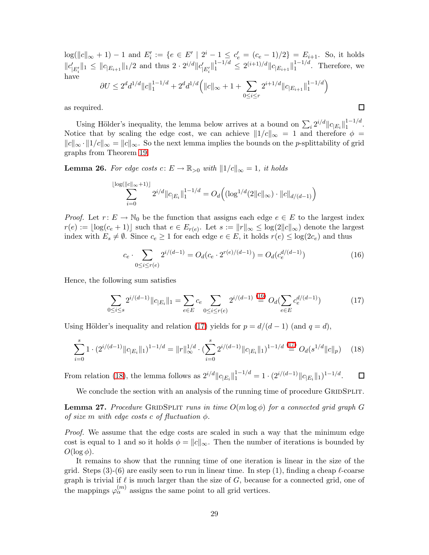$log(||c||_{\infty} + 1) - 1$  and  $E'_i := \{e \in E' \mid 2^i - 1 \leq c'_e = (c_e - 1)/2\} = E_{i+1}$ . So, it holds  $||c'_{|E'_i}||_1 \leq ||c_{|E_{i+1}}||_1/2$  and thus  $2 \cdot 2^{i/d} ||c'_{|E'_i}||_1^{1-1/d} \leq 2^{(i+1)/d} ||c_{|E_{i+1}}||_1^{1-1/d}$  $1^{-1/a}$ . Therefore, we have  $\partial U \leq 2^dd^{1/d} \|c\|_1^{1-1/d} + 2^dd^{1/d} ( \|c\|_\infty + 1 + \sum$  $2^{i+1/d} \|c_{|E_{i+1}}\|_1^{1-1/d}$  $\binom{1-1/d}{1}$ 

 $0 \leq i \leq r$ 

as required.

Using Hölder's inequality, the lemma below arrives at a bound on  $\sum_i 2^{i/d} ||c_{E_i}||_1^{1-1/d}$  $\frac{1-1}{1}$ . Notice that by scaling the edge cost, we can achieve  $||1/c||_{\infty} = 1$  and therefore  $\phi =$  $||c||_{\infty} \cdot ||1/c||_{\infty} = ||c||_{\infty}$ . So the next lemma implies the bounds on the *p*-splittability of grid graphs from Theorem [19.](#page-24-0)

**Lemma 26.** For edge costs  $c: E \to \mathbb{R}_{>0}$  with  $||1/c||_{\infty} = 1$ , it holds

$$
\sum_{i=0}^{\log(\|c\|_{\infty}+1)\mathbb{I}} 2^{i/d} \|c_{|E_i}\|_1^{1-1/d} = O_d\Big( (\log^{1/d}(2\|c\|_{\infty}) \cdot \|c\|_{d/(d-1)} \Big)
$$

*Proof.* Let  $r: E \to \mathbb{N}_0$  be the function that assigns each edge  $e \in E$  to the largest index  $r(e) := \lfloor \log(c_e + 1) \rfloor$  such that  $e \in E_{r(e)}$ . Let  $s := ||r||_{\infty} \leq \log(2||c||_{\infty})$  denote the largest index with  $E_s \neq \emptyset$ . Since  $c_e \geq 1$  for each edge  $e \in E$ , it holds  $r(e) \leq \log(2c_e)$  and thus

<span id="page-28-2"></span><span id="page-28-1"></span>
$$
c_e \cdot \sum_{0 \le i \le r(e)} 2^{i/(d-1)} = O_d(c_e \cdot 2^{r(e)/(d-1)}) = O_d(c_e^{d/(d-1)}) \tag{16}
$$

<span id="page-28-0"></span> $\Box$ 

Hence, the following sum satisfies

 $\overline{\phantom{a}}$ 

$$
\sum_{0 \le i \le s} 2^{i/(d-1)} \|c_{|E_i}\|_1 = \sum_{e \in E} c_e \sum_{0 \le i \le r(e)} 2^{i/(d-1)} \stackrel{(16)}{=} O_d(\sum_{e \in E} c_e^{d/(d-1)}) \tag{17}
$$

Using Hölder's inequality and relation [\(17\)](#page-28-1) yields for  $p = d/(d-1)$  (and  $q = d$ ),

$$
\sum_{i=0}^{s} 1 \cdot (2^{i/(d-1)} \|c_{|E_i}\|_1)^{1-1/d} = \|r\|_{\infty}^{1/d} \cdot (\sum_{i=0}^{s} 2^{i/(d-1)} \|c_{|E_i}\|_1)^{1-1/d} \stackrel{(17)}{=} O_d(s^{1/d} \|c\|_p) \tag{18}
$$

From relation [\(18\)](#page-28-2), the lemma follows as  $2^{i/d} ||c_{|E_i}||_1^{1-1/d} = 1 \cdot (2^{i/(d-1)} ||c_{|E_i}||_1)^{1-1/d}$ .  $\Box$ 

We conclude the section with an analysis of the running time of procedure GRIDSPLIT.

Lemma 27. *Procedure* GridSplit *runs in time* O(m log φ) *for a connected grid graph* G *of size* m with edge costs c of fluctuation  $\phi$ .

*Proof.* We assume that the edge costs are scaled in such a way that the minimum edge cost is equal to 1 and so it holds  $\phi = ||c||_{\infty}$ . Then the number of iterations is bounded by  $O(\log \phi)$ .

It remains to show that the running time of one iteration is linear in the size of the grid. Steps  $(3)-(6)$  are easily seen to run in linear time. In step  $(1)$ , finding a cheap  $\ell$ -coarse graph is trivial if  $\ell$  is much larger than the size of G, because for a connected grid, one of the mappings  $\varphi_{\alpha}^{(m)}$  assigns the same point to all grid vertices.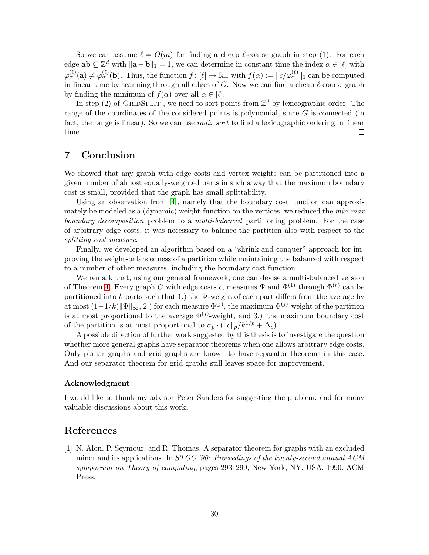So we can assume  $\ell = O(m)$  for finding a cheap  $\ell$ -coarse graph in step (1). For each edge  $ab \subseteq \mathbb{Z}^d$  with  $\|\mathbf{a} - \mathbf{b}\|_1 = 1$ , we can determine in constant time the index  $\alpha \in [\ell]$  with  $\varphi_{\alpha}^{(\ell)}(\mathbf{a}) \neq \varphi_{\alpha}^{(\ell)}(\mathbf{b})$ . Thus, the function  $f: [\ell] \to \mathbb{R}_+$  with  $f(\alpha) := ||c/\varphi_{\alpha}^{(\ell)}||_1$  can be computed in linear time by scanning through all edges of G. Now we can find a cheap  $\ell$ -coarse graph by finding the minimum of  $f(\alpha)$  over all  $\alpha \in [\ell]$ .

In step (2) of GRIDSPLIT, we need to sort points from  $\mathbb{Z}^d$  by lexicographic order. The range of the coordinates of the considered points is polynomial, since  $G$  is connected (in fact, the range is linear). So we can use *radix sort* to find a lexicographic ordering in linear time.  $\Box$ 

## 7 Conclusion

We showed that any graph with edge costs and vertex weights can be partitioned into a given number of almost equally-weighted parts in such a way that the maximum boundary cost is small, provided that the graph has small splittability.

Using an observation from [\[4\]](#page-30-5), namely that the boundary cost function can approximately be modeled as a (dynamic) weight-function on the vertices, we reduced the *min-max boundary decomposition* problem to a *multi-balanced* partitioning problem. For the case of arbitrary edge costs, it was necessary to balance the partition also with respect to the *splitting cost measure*.

Finally, we developed an algorithm based on a "shrink-and-conquer"-approach for improving the weight-balancedness of a partition while maintaining the balanced with respect to a number of other measures, including the boundary cost function.

We remark that, using our general framework, one can devise a multi-balanced version of Theorem [4:](#page-4-0) Every graph G with edge costs c, measures  $\Psi$  and  $\Phi^{(1)}$  through  $\Phi^{(r)}$  can be partitioned into k parts such that 1.) the  $\Psi$ -weight of each part differs from the average by at most  $(1-1/k)\|\Psi\|_{\infty}$ , 2.) for each measure  $\Phi^{(j)}$ , the maximum  $\Phi^{(j)}$ -weight of the partition is at most proportional to the average  $\Phi^{(j)}$ -weight, and 3.) the maximum boundary cost of the partition is at most proportional to  $\sigma_p \cdot (||c||_p/k^{1/p} + \Delta_c)$ .

A possible direction of further work suggested by this thesis is to investigate the question whether more general graphs have separator theorems when one allows arbitrary edge costs. Only planar graphs and grid graphs are known to have separator theorems in this case. And our separator theorem for grid graphs still leaves space for improvement.

#### Acknowledgment

I would like to thank my advisor Peter Sanders for suggesting the problem, and for many valuable discussions about this work.

### <span id="page-29-0"></span>References

[1] N. Alon, P. Seymour, and R. Thomas. A separator theorem for graphs with an excluded minor and its applications. In *STOC '90: Proceedings of the twenty-second annual ACM symposium on Theory of computing*, pages 293–299, New York, NY, USA, 1990. ACM Press.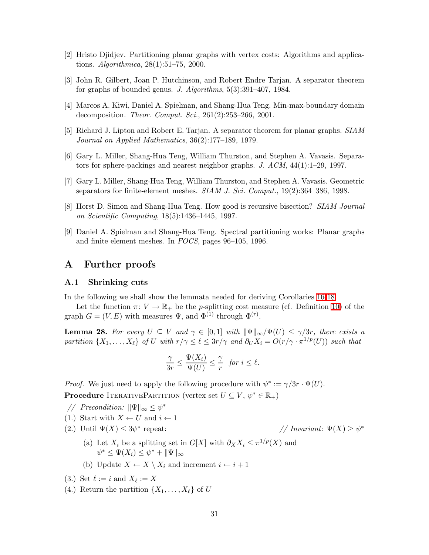- <span id="page-30-8"></span><span id="page-30-6"></span>[2] Hristo Djidjev. Partitioning planar graphs with vertex costs: Algorithms and applications. *Algorithmica*, 28(1):51–75, 2000.
- <span id="page-30-5"></span>[3] John R. Gilbert, Joan P. Hutchinson, and Robert Endre Tarjan. A separator theorem for graphs of bounded genus. *J. Algorithms*, 5(3):391–407, 1984.
- <span id="page-30-0"></span>[4] Marcos A. Kiwi, Daniel A. Spielman, and Shang-Hua Teng. Min-max-boundary domain decomposition. *Theor. Comput. Sci.*, 261(2):253–266, 2001.
- <span id="page-30-3"></span>[5] Richard J. Lipton and Robert E. Tarjan. A separator theorem for planar graphs. *SIAM Journal on Applied Mathematics*, 36(2):177–189, 1979.
- <span id="page-30-1"></span>[6] Gary L. Miller, Shang-Hua Teng, William Thurston, and Stephen A. Vavasis. Separators for sphere-packings and nearest neighbor graphs. *J. ACM*, 44(1):1–29, 1997.
- <span id="page-30-4"></span>[7] Gary L. Miller, Shang-Hua Teng, William Thurston, and Stephen A. Vavasis. Geometric separators for finite-element meshes. *SIAM J. Sci. Comput.*, 19(2):364–386, 1998.
- <span id="page-30-2"></span>[8] Horst D. Simon and Shang-Hua Teng. How good is recursive bisection? *SIAM Journal on Scientific Computing*, 18(5):1436–1445, 1997.
- [9] Daniel A. Spielman and Shang-Hua Teng. Spectral partitioning works: Planar graphs and finite element meshes. In *FOCS*, pages 96–105, 1996.

### A Further proofs

#### A.1 Shrinking cuts

In the following we shall show the lemmata needed for deriving Corollaries [16](#page-19-0)[-18.](#page-19-2)

<span id="page-30-7"></span>Let the function  $\pi: V \to \mathbb{R}_+$  be the p-splitting cost measure (cf. Definition [10\)](#page-13-1) of the graph  $G = (V, E)$  with measures  $\Psi$ , and  $\Phi^{(1)}$  through  $\Phi^{(r)}$ .

**Lemma 28.** For every  $U \subseteq V$  and  $\gamma \in [0,1]$  with  $\|\Psi\|_{\infty}/\Psi(U) \leq \gamma/3r$ , there exists a *partition*  $\{X_1, \ldots, X_\ell\}$  *of* U *with*  $r/\gamma \leq \ell \leq 3r/\gamma$  *and*  $\partial_U X_i = O(r/\gamma \cdot \pi^{1/p}(U))$  *such that* 

$$
\frac{\gamma}{3r} \le \frac{\Psi(X_i)}{\Psi(U)} \le \frac{\gamma}{r} \text{ for } i \le \ell.
$$

*Proof.* We just need to apply the following procedure with  $\psi^* := \gamma/3r \cdot \Psi(U)$ . **Procedure** ITERATIVEPARTITION (vertex set  $U \subseteq V$ ,  $\psi^* \in \mathbb{R}_+$ )

- *// Precondition:*  $\|\Psi\|_{\infty} \leq \psi^*$
- (1.) Start with  $X \leftarrow U$  and  $i \leftarrow 1$
- (2.) Until  $\Psi(X) \leq 3\psi^*$

repeat:  $\sqrt{Variant: \Psi(X)} \geq \psi^*$ 

- (a) Let  $X_i$  be a splitting set in  $G[X]$  with  $\partial_X X_i \leq \pi^{1/p}(X)$  and  $\psi^* \leq \Psi(X_i) \leq \psi^* + ||\Psi||_{\infty}$
- (b) Update  $X \leftarrow X \setminus X_i$  and increment  $i \leftarrow i+1$

(3.) Set 
$$
\ell := i
$$
 and  $X_{\ell} := X$ 

(4.) Return the partition  $\{X_1, \ldots, X_\ell\}$  of U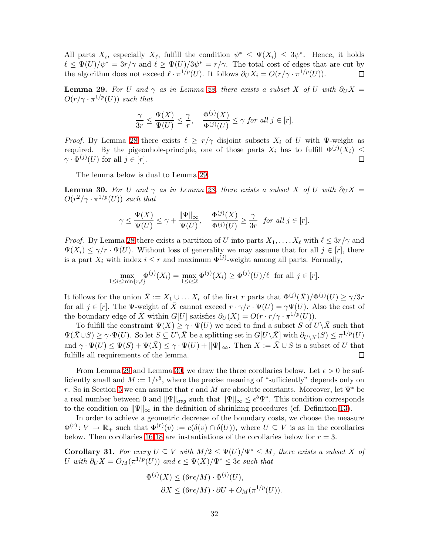All parts  $X_i$ , especially  $X_{\ell}$ , fulfill the condition  $\psi^* \leq \Psi(X_i) \leq 3\psi^*$ . Hence, it holds  $\ell \leq \Psi(U)/\psi^* = 3r/\gamma$  and  $\ell \geq \Psi(U)/3\psi^* = r/\gamma$ . The total cost of edges that are cut by the algorithm does not exceed  $\ell \cdot \pi^{1/p}(U)$ . It follows  $\partial_U X_i = O(r/\gamma \cdot \pi^{1/p}(U))$ . 口

<span id="page-31-0"></span>**Lemma 29.** For U and  $\gamma$  as in Lemma [28,](#page-30-7) there exists a subset X of U with  $\partial_U X =$  $O(r/\gamma \cdot \pi^{1/p}(U))$  such that

$$
\frac{\gamma}{3r} \le \frac{\Psi(X)}{\Psi(U)} \le \frac{\gamma}{r}, \quad \frac{\Phi^{(j)}(X)}{\Phi^{(j)}(U)} \le \gamma \text{ for all } j \in [r].
$$

*Proof.* By Lemma [28](#page-30-7) there exists  $\ell \geq r/\gamma$  disjoint subsets  $X_i$  of U with Ψ-weight as required. By the pigeonhole-principle, one of those parts  $X_i$  has to fulfill  $\Phi^{(j)}(X_i) \leq$  $\gamma \cdot \Phi^{(j)}(U)$  for all  $j \in [r]$ .

The lemma below is dual to Lemma [29.](#page-31-0)

<span id="page-31-1"></span>**Lemma 30.** For U and  $\gamma$  as in Lemma [28,](#page-30-7) there exists a subset X of U with  $\partial_U X =$  $O(r^2/\gamma \cdot \pi^{1/p}(U))$  such that

$$
\gamma \le \frac{\Psi(X)}{\Psi(U)} \le \gamma + \frac{\|\Psi\|_{\infty}}{\Psi(U)}, \quad \frac{\Phi^{(j)}(X)}{\Phi^{(j)}(U)} \ge \frac{\gamma}{3r} \quad \text{for all } j \in [r].
$$

*Proof.* By Lemma [28](#page-30-7) there exists a partition of U into parts  $X_1, \ldots, X_\ell$  with  $\ell \leq 3r/\gamma$  and  $\Psi(X_i) \leq \gamma/r \cdot \Psi(U)$ . Without loss of generality we may assume that for all  $j \in [r]$ , there is a part  $X_i$  with index  $i \leq r$  and maximum  $\Phi^{(j)}$ -weight among all parts. Formally,

$$
\max_{1 \le i \le \min\{r,\ell\}} \Phi^{(j)}(X_i) = \max_{1 \le i \le \ell} \Phi^{(j)}(X_i) \ge \Phi^{(j)}(U)/\ell \text{ for all } j \in [r].
$$

It follows for the union  $\bar{X} := X_1 \cup ... X_r$  of the first r parts that  $\Phi^{(j)}(\bar{X})/\Phi^{(j)}(U) \ge \gamma/3r$ for all  $j \in [r]$ . The  $\Psi$ -weight of  $\bar{X}$  cannot exceed  $r \cdot \gamma/r \cdot \Psi(U) = \gamma \Psi(U)$ . Also the cost of the boundary edge of  $\bar{X}$  within  $G[U]$  satisfies  $\partial_U(X) = O(r \cdot r / \gamma \cdot \pi^{1/p}(U)).$ 

To fulfill the constraint  $\Psi(X) \geq \gamma \cdot \Psi(U)$  we need to find a subset S of  $U\backslash \overline{X}$  such that  $\Psi(\bar{X} \cup S) \geq \gamma \cdot \Psi(U)$ . So let  $S \subseteq U\setminus \bar{X}$  be a splitting set in  $G[U\setminus \bar{X}]$  with  $\partial_{U\setminus \bar{X}}(S) \leq \pi^{1/p}(U)$ and  $\gamma \cdot \Psi(U) \le \Psi(S) + \Psi(\bar{X}) \le \gamma \cdot \Psi(U) + ||\Psi||_{\infty}$ . Then  $X := \bar{X} \cup S$  is a subset of U that fulfills all requirements of the lemma. fulfills all requirements of the lemma.

From Lemma [29](#page-31-0) and Lemma [30,](#page-31-1) we draw the three corollaries below. Let  $\epsilon > 0$  be sufficiently small and  $M := 1/\epsilon^5$ , where the precise meaning of "sufficiently" depends only on r. So in Section [5](#page-18-0) we can assume that  $\epsilon$  and M are absolute constants. Moreover, let  $\Psi^*$  be a real number between 0 and  $\|\Psi\|_{avg}$  such that  $\|\Psi\|_{\infty} \leq \epsilon^5 \Psi^*$ . This condition corresponds to the condition on  $\|\Psi\|_{\infty}$  in the definition of shrinking procedures (cf. Definition [13\)](#page-16-0).

In order to achieve a geometric decrease of the boundary costs, we choose the measure  $\Phi^{(r)}: V \to \mathbb{R}_+$  such that  $\Phi^{(r)}(v) := c(\delta(v) \cap \delta(U))$ , where  $U \subseteq V$  is as in the corollaries below. Then corollaries [16-](#page-19-0)[18](#page-19-2) are instantiations of the corollaries below for  $r = 3$ .

**Corollary 31.** For every  $U \subseteq V$  with  $M/2 \leq \Psi(U)/\Psi^* \leq M$ , there exists a subset X of U with  $\partial_U X = O_M(\pi^{1/p}(U))$  and  $\epsilon \leq \Psi(X)/\Psi^* \leq 3\epsilon$  such that

$$
\Phi^{(j)}(X) \leq (6r\epsilon/M) \cdot \Phi^{(j)}(U),
$$
  

$$
\partial X \leq (6r\epsilon/M) \cdot \partial U + O_M(\pi^{1/p}(U)).
$$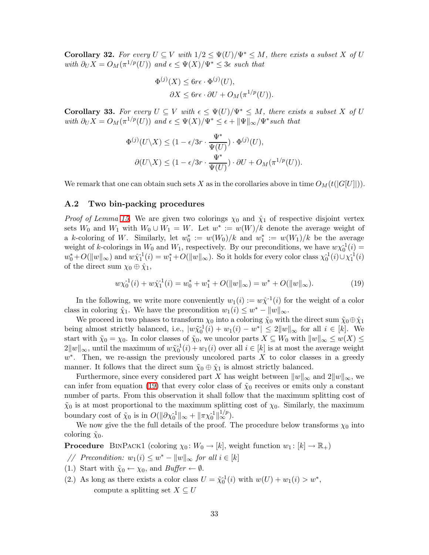**Corollary 32.** For every  $U \subseteq V$  with  $1/2 \leq \Psi(U)/\Psi^* \leq M$ , there exists a subset X of U with  $\partial_U X = O_M(\pi^{1/p}(U))$  *and*  $\epsilon \leq \Psi(X)/\Psi^* \leq 3\epsilon$  *such that* 

$$
\Phi^{(j)}(X) \le 6r\epsilon \cdot \Phi^{(j)}(U),
$$
  

$$
\partial X \le 6r\epsilon \cdot \partial U + O_M(\pi^{1/p}(U)).
$$

**Corollary 33.** For every  $U \subseteq V$  with  $\epsilon \leq \Psi(U)/\Psi^* \leq M$ , there exists a subset X of U with  $\partial_U X = O_M(\pi^{1/p}(U))$  *and*  $\epsilon \leq \Psi(X)/\Psi^* \leq \epsilon + ||\Psi||_{\infty}/\Psi^*$  *such that* 

$$
\Phi^{(j)}(U \setminus X) \le (1 - \epsilon/3r \cdot \frac{\Psi^*}{\Psi(U)}) \cdot \Phi^{(j)}(U),
$$
  

$$
\partial(U \setminus X) \le (1 - \epsilon/3r \cdot \frac{\Psi^*}{\Psi(U)}) \cdot \partial U + O_M(\pi^{1/p}(U)).
$$

We remark that one can obtain such sets X as in the corollaries above in time  $O_M(t(|G[U]|))$ .

#### A.2 Two bin-packing procedures

*Proof of Lemma [15.](#page-17-1)* We are given two colorings  $\chi_0$  and  $\hat{\chi}_1$  of respective disjoint vertex sets  $W_0$  and  $W_1$  with  $W_0 \cup W_1 = W$ . Let  $w^* := w(W)/k$  denote the average weight of a k-coloring of W. Similarly, let  $w_0^* := w(W_0)/k$  and  $w_1^* := w(W_1)/k$  be the average weight of k-colorings in  $W_0$  and  $W_1$ , respectively. By our preconditions, we have  $w\chi_0^{-1}(i)$  =  $w_0^*+O(\|w\|_{\infty})$  and  $w\hat{\chi}_1^{-1}(i) = w_1^*+O(\|w\|_{\infty})$ . So it holds for every color class  $\chi_0^{-1}(i) \cup \chi_1^{-1}(i)$ of the direct sum  $\chi_0 \oplus \hat{\chi}_1$ ,

<span id="page-32-0"></span>
$$
w\chi_0^{-1}(i) + w\hat{\chi}_1^{-1}(i) = w_0^* + w_1^* + O(||w||_{\infty}) = w^* + O(||w||_{\infty}).
$$
\n(19)

In the following, we write more conveniently  $w_1(i) := w\hat{\chi}^{-1}(i)$  for the weight of a color class in coloring  $\hat{\chi}_1$ . We have the precondition  $w_1(i) \leq w^* - ||w||_{\infty}$ .

We proceed in two phases to transform  $\chi_0$  into a coloring  $\tilde{\chi}_0$  with the direct sum  $\tilde{\chi}_0 \oplus \hat{\chi}_1$ being almost strictly balanced, i.e.,  $|w\tilde{\chi}_0^{-1}(i) + w_1(i) - w^*| \leq 2||w||_{\infty}$  for all  $i \in [k]$ . We start with  $\tilde{\chi}_0 = \chi_0$ . In color classes of  $\tilde{\chi}_0$ , we uncolor parts  $X \subseteq W_0$  with  $||w||_{\infty} \leq w(X) \leq$  $2||w||_{\infty}$ , until the maximum of  $w\tilde{\chi}_0^{-1}(i) + w_1(i)$  over all  $i \in [k]$  is at most the average weight  $w^*$ . Then, we re-assign the previously uncolored parts X to color classes in a greedy manner. It follows that the direct sum  $\tilde{\chi}_0 \oplus \tilde{\chi}_1$  is almost strictly balanced.

Furthermore, since every considered part X has weight between  $||w||_{\infty}$  and  $2||w||_{\infty}$ , we can infer from equation [\(19\)](#page-32-0) that every color class of  $\tilde{\chi}_0$  receives or emits only a constant number of parts. From this observation it shall follow that the maximum splitting cost of  $\tilde{\chi}_0$  is at most proportional to the maximum splitting cost of  $\chi_0$ . Similarly, the maximum boundary cost of  $\tilde{\chi}_0$  is in  $O(||\partial \chi_0^{-1}||_{\infty} + ||\pi \chi_0^{-1}||_{\infty}^{1/p}).$ 

We now give the the full details of the proof. The procedure below transforms  $\chi_0$  into coloring  $\tilde{\chi}_0$ .

**Procedure** BINPACK1 (coloring  $\chi_0 \colon W_0 \to [k]$ , weight function  $w_1 \colon [k] \to \mathbb{R}_+$ )

- *// Precondition:*  $w_1(i) \leq w^* ||w||_{\infty}$  *for all*  $i \in [k]$
- (1.) Start with  $\tilde{\chi}_0 \leftarrow \chi_0$ , and  $Buffer \leftarrow \emptyset$ .
- (2.) As long as there exists a color class  $U = \tilde{\chi}_0^{-1}(i)$  with  $w(U) + w_1(i) > w^*$ , compute a splitting set  $X \subseteq U$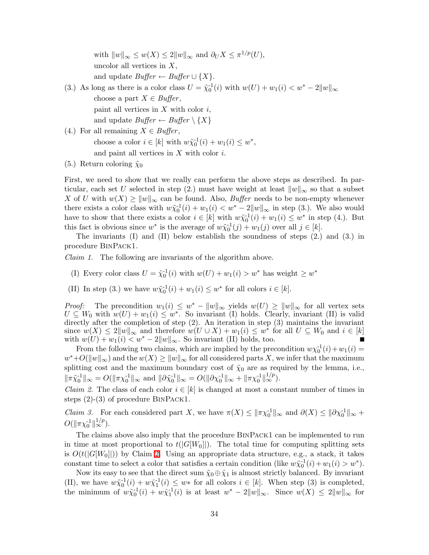with  $||w||_{\infty} \le w(X) \le 2||w||_{\infty}$  and  $\partial_U X \le \pi^{1/p}(U)$ , uncolor all vertices in  $X$ , and update  $Buffer \leftarrow Buffer \cup \{X\}.$ 

(3.) As long as there is a color class  $U = \tilde{\chi}_0^{-1}(i)$  with  $w(U) + w_1(i) < w^* - 2||w||_{\infty}$ choose a part  $X \in \text{Buffer}$ , paint all vertices in  $X$  with color  $i$ , and update  $Buffer \leftarrow Buffer \setminus \{X\}$ 

- (4.) For all remaining  $X \in \text{Buffer}$ , choose a color  $i \in [k]$  with  $w\tilde{\chi}_0^{-1}(i) + w_1(i) \leq w^*$ , and paint all vertices in  $X$  with color  $i$ .
- (5.) Return coloring  $\tilde{\chi}_0$

First, we need to show that we really can perform the above steps as described. In particular, each set U selected in step (2.) must have weight at least  $||w||_{\infty}$  so that a subset X of U with  $w(X) \ge ||w||_{\infty}$  can be found. Also, *Buffer* needs to be non-empty whenever there exists a color class with  $w\tilde{\chi}_0^{-1}(i) + w_1(i) < w^* - 2||w||_{\infty}$  in step (3.). We also would have to show that there exists a color  $i \in [k]$  with  $w\tilde{\chi}_0^{-1}(i) + w_1(i) \leq w^*$  in step (4.). But this fact is obvious since  $w^*$  is the average of  $w\tilde{\chi}_0^{-1}(j) + w_1(j)$  over all  $j \in [k]$ .

The invariants (I) and (II) below establish the soundness of steps (2.) and (3.) in procedure BinPack1.

*Claim 1.* The following are invariants of the algorithm above.

- (I) Every color class  $U = \tilde{\chi}_0^{-1}(i)$  with  $w(U) + w_1(i) > w^*$  has weight  $\geq w^*$
- (II) In step (3.) we have  $w\tilde{\chi}_0^{-1}(i) + w_1(i) \leq w^*$  for all colors  $i \in [k]$ .

*Proof:* The precondition  $w_1(i) \leq w^* - ||w||_{\infty}$  yields  $w(U) \geq ||w||_{\infty}$  for all vertex sets  $U \subseteq W_0$  with  $w(U) + w_1(i) \leq w^*$ . So invariant (I) holds. Clearly, invariant (II) is valid directly after the completion of step (2). An iteration in step (3) maintains the invariant since  $w(X) \leq 2||w||_{\infty}$  and therefore  $w(U \cup X) + w_1(i) \leq w^*$  for all  $U \subseteq W_0$  and  $i \in [k]$ with  $w(U) + w_1(i) < w^* - 2||w||_{\infty}$ . So invariant (II) holds, too.

From the following two claims, which are implied by the precondition  $w\chi_0^{-1}(i) + w_1(i) =$  $w^*+O(\|w\|_{\infty})$  and the  $w(X) \geq \|w\|_{\infty}$  for all considered parts X, we infer that the maximum splitting cost and the maximum boundary cost of  $\tilde{\chi}_0$  are as required by the lemma, i.e.,  $\|\pi \tilde{\chi}_0^{-1}\|_{\infty} = O(\|\pi {\chi}_0^{-1}\|_{\infty} \text{ and } \|\partial \tilde{\chi}_0^{-1}\|_{\infty} = O(\|\partial {\chi}_0^{-1}\|_{\infty} + \|\pi {\chi}_0^{-1}\|_{\infty}^{1/p}).$ 

<span id="page-33-0"></span>*Claim 2.* The class of each color  $i \in [k]$  is changed at most a constant number of times in steps (2)-(3) of procedure BinPack1.

*Claim 3.* For each considered part X, we have  $\pi(X) \leq ||\pi \chi_0^{-1}||_{\infty}$  and  $\partial(X) \leq ||\partial \chi_0^{-1}||_{\infty}$  +  $O(\|\pi \chi_0^{-1}\|_\infty^{1/p}).$ 

The claims above also imply that the procedure BinPack1 can be implemented to run in time at most proportional to  $t(|G[W_0]|)$ . The total time for computing splitting sets is  $O(t(|G[W_0]]))$  by Claim [2.](#page-33-0) Using an appropriate data structure, e.g., a stack, it takes constant time to select a color that satisfies a certain condition (like  $w\tilde{\chi}_0^{-1}(i) + w_1(i) > w^*$ ).

Now its easy to see that the direct sum  $\tilde{\chi}_0 \oplus \hat{\chi}_1$  is almost strictly balanced. By invariant (II), we have  $w\tilde{\chi}_0^{-1}(i) + w\hat{\chi}_1^{-1}(i) \leq w*$  for all colors  $i \in [k]$ . When step (3) is completed, the minimum of  $w\tilde{\chi}_0^{-1}(i) + w\tilde{\chi}_1^{-1}(i)$  is at least  $w^* - 2||w||_{\infty}$ . Since  $w(X) \leq 2||w||_{\infty}$  for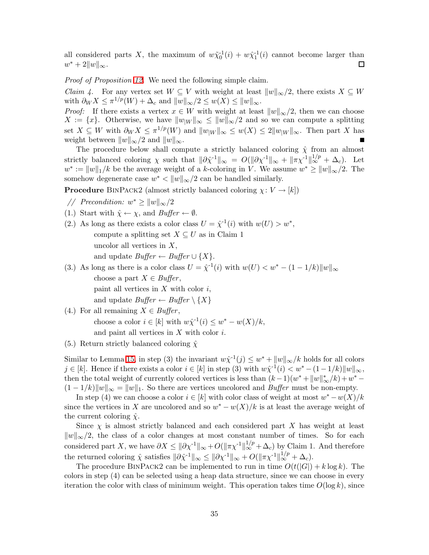all considered parts X, the maximum of  $w\tilde{\chi}_0^{-1}(i) + w\hat{\chi}_1^{-1}(i)$  cannot become larger than  $w^* + 2||w||_{\infty}$ .  $\Box$ 

*Proof of Proposition [12.](#page-15-2)* We need the following simple claim.

*Claim 4.* For any vertex set  $W \subseteq V$  with weight at least  $||w||_{\infty}/2$ , there exists  $X \subseteq W$ with  $\partial_W X \leq \pi^{1/p}(W) + \Delta_c$  and  $||w||_{\infty}/2 \leq w(X) \leq ||w||_{\infty}$ .

*Proof:* If there exists a vertex  $x \in W$  with weight at least  $||w||_{\infty}/2$ , then we can choose  $X := \{x\}.$  Otherwise, we have  $||w_{W}||_{\infty} \le ||w||_{\infty}/2$  and so we can compute a splitting set  $X \subseteq W$  with  $\partial_W X \leq \pi^{1/p}(W)$  and  $||w_{|W}||_{\infty} \leq w(X) \leq 2||w_{|W}||_{\infty}$ . Then part X has weight between  $||w||_{\infty}/2$  and  $||w||_{\infty}$ .

The procedure below shall compute a strictly balanced coloring  $\hat{\chi}$  from an almost strictly balanced coloring  $\chi$  such that  $\|\partial \hat{\chi}^{-1}\|_{\infty} = O(\|\partial \chi^{-1}\|_{\infty} + \|\pi \chi^{-1}\|_{\infty}^{1/p} + \Delta_c)$ . Let  $w^* := ||w||_1/k$  be the average weight of a k-coloring in V. We assume  $w^* \ge ||w||_{\infty}/2$ . The somehow degenerate case  $w^* < ||w||_{\infty}/2$  can be handled similarly.

**Procedure** BINPACK2 (almost strictly balanced coloring  $\chi: V \to [k]$ )

- // Precondition:  $w^* \ge ||w||_{\infty}/2$
- (1.) Start with  $\hat{\chi} \leftarrow \chi$ , and *Buffer*  $\leftarrow \emptyset$ .
- (2.) As long as there exists a color class  $U = \hat{\chi}^{-1}(i)$  with  $w(U) > w^*$ , compute a splitting set  $X \subseteq U$  as in Claim 1 uncolor all vertices in  $X$ , and update  $Buffer \leftarrow Buffer \cup \{X\}.$
- (3.) As long as there is a color class  $U = \hat{\chi}^{-1}(i)$  with  $w(U) < w^* (1 1/k) \|w\|_{\infty}$ choose a part  $X \in$  *Buffer*, paint all vertices in  $X$  with color  $i$ , and update  $Buffer \leftarrow Buffer \setminus \{X\}$
- (4.) For all remaining  $X \in \text{Buffer}$ , choose a color  $i \in [k]$  with  $w\hat{\chi}^{-1}(i) \leq w^* - w(X)/k$ , and paint all vertices in  $X$  with color  $i$ .
- (5.) Return strictly balanced coloring  $\hat{\chi}$

Similar to Lemma [15,](#page-17-1) in step (3) the invariant  $w\hat{\chi}^{-1}(j) \leq w^* + ||w||_{\infty}/k$  holds for all colors  $j \in [k]$ . Hence if there exists a color  $i \in [k]$  in step (3) with  $w\hat{\chi}^1(i) < w^* - (1 - 1/k) \|w\|_{\infty}$ , then the total weight of currently colored vertices is less than  $(k-1)(w^* + ||w||^*_{\infty}/k) + w^* (1 - 1/k)\|w\|_{\infty} = \|w\|_{1}$ . So there are vertices uncolored and *Buffer* must be non-empty.

In step (4) we can choose a color  $i \in [k]$  with color class of weight at most  $w^* - w(X)/k$ since the vertices in X are uncolored and so  $w^* - w(X)/k$  is at least the average weight of the current coloring  $\hat{\chi}$ .

Since  $\chi$  is almost strictly balanced and each considered part X has weight at least  $||w||_{\infty}/2$ , the class of a color changes at most constant number of times. So for each considered part X, we have  $\partial X \leq \|\partial \chi^{-1}\|_{\infty} + O(\|\pi \chi^{-1}\|_{\infty}^{1/p} + \Delta_c)$  by Claim 1. And therefore the returned coloring  $\hat{\chi}$  satisfies  $\|\partial \hat{\chi}^{-1}\|_{\infty} \leq \|\partial {\chi}^{-1}\|_{\infty} + O(\|\pi {\chi}^{-1}\|_{\infty}^{1/p} + \Delta_c).$ 

The procedure BINPACK2 can be implemented to run in time  $O(t(|G|) + k \log k)$ . The colors in step (4) can be selected using a heap data structure, since we can choose in every iteration the color with class of minimum weight. This operation takes time  $O(\log k)$ , since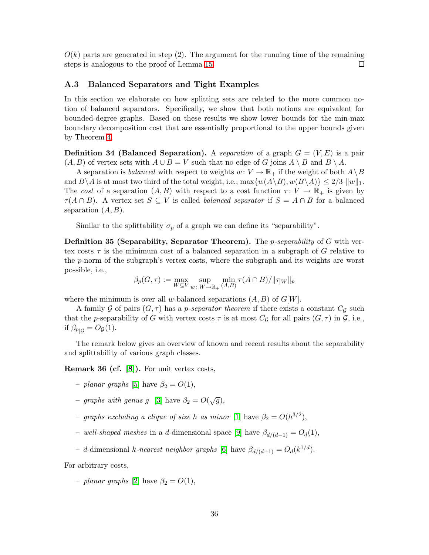$O(k)$  parts are generated in step (2). The argument for the running time of the remaining steps is analogous to the proof of Lemma [15.](#page-17-1)  $\Box$ 

#### <span id="page-35-0"></span>A.3 Balanced Separators and Tight Examples

In this section we elaborate on how splitting sets are related to the more common notion of balanced separators. Specifically, we show that both notions are equivalent for bounded-degree graphs. Based on these results we show lower bounds for the min-max boundary decomposition cost that are essentially proportional to the upper bounds given by Theorem [4.](#page-4-0)

**Definition 34 (Balanced Separation).** A *separation* of a graph  $G = (V, E)$  is a pair  $(A, B)$  of vertex sets with  $A \cup B = V$  such that no edge of G joins  $A \setminus B$  and  $B \setminus A$ .

A separation is *balanced* with respect to weights  $w: V \to \mathbb{R}_+$  if the weight of both  $A \setminus B$ and  $B\setminus A$  is at most two third of the total weight, i.e.,  $\max\{w(A\setminus B), w(B\setminus A)\} \leq 2/3 \cdot ||w||_1$ . The *cost* of a separation  $(A, B)$  with respect to a cost function  $\tau: V \to \mathbb{R}_+$  is given by  $\tau(A \cap B)$ . A vertex set  $S \subseteq V$  is called *balanced separator* if  $S = A \cap B$  for a balanced separation  $(A, B)$ .

Similar to the splittability  $\sigma_p$  of a graph we can define its "separability".

<span id="page-35-1"></span>Definition 35 (Separability, Separator Theorem). The p*-separability* of G with vertex costs  $\tau$  is the minimum cost of a balanced separation in a subgraph of G relative to the p-norm of the subgraph's vertex costs, where the subgraph and its weights are worst possible, i.e.,

$$
\beta_p(G, \tau) := \max_{W \subseteq V} \sup_{w \colon W \to \mathbb{R}_+} \min_{(A, B)} \tau(A \cap B) / ||\tau_{|W}||_p
$$

where the minimum is over all w-balanced separations  $(A, B)$  of  $G[W]$ .

A family G of pairs  $(G, \tau)$  has a *p-separator theorem* if there exists a constant  $C_G$  such that the p-separability of G with vertex costs  $\tau$  is at most  $C_{\mathcal{G}}$  for all pairs  $(G, \tau)$  in  $\mathcal{G}$ , i.e., if  $\beta_{p|G} = O_{\mathcal{G}}(1)$ .

<span id="page-35-2"></span>The remark below gives an overview of known and recent results about the separability and splittability of various graph classes.

Remark 36 (cf. [\[8\]](#page-30-4)). For unit vertex costs,

- *planar graphs* [\[5\]](#page-30-0) have  $\beta_2 = O(1)$ ,
- *graphs with genus* g [\[3\]](#page-30-8) have  $\beta_2 = O(\sqrt{g})$ ,
- $-$  *graphs excluding a clique of size* h *as minor* [\[1\]](#page-29-0) have  $\beta_2 = O(h^{3/2})$ ,
- *well-shaped meshes* in a d-dimensional space [\[9\]](#page-30-2) have βd/(d−1) = Od(1),
- $-$  *d*-dimensional *k*-nearest neighbor graphs [\[6\]](#page-30-3) have  $β_{d/(d-1)} = O_d(k^{1/d})$ .

For arbitrary costs,

 $-planar graphs [2] have  $\beta_2 = O(1)$ ,$  $-planar graphs [2] have  $\beta_2 = O(1)$ ,$  $-planar graphs [2] have  $\beta_2 = O(1)$ ,$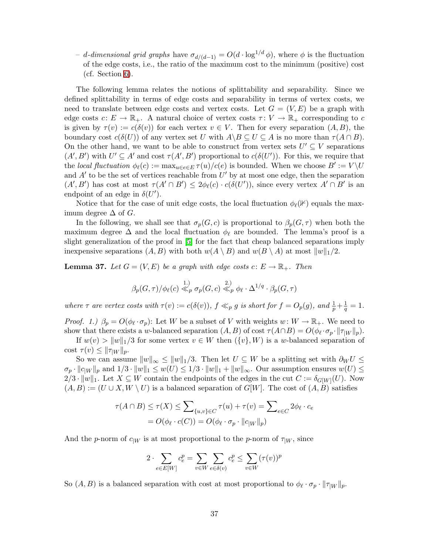$- d$ -dimensional grid graphs have  $\sigma_{d/(d-1)} = O(d \cdot \log^{1/d} φ)$ , where φ is the fluctuation of the edge costs, i.e., the ratio of the maximum cost to the minimum (positive) cost (cf. Section [6\)](#page-23-0).

The following lemma relates the notions of splittability and separability. Since we defined splittability in terms of edge costs and separability in terms of vertex costs, we need to translate between edge costs and vertex costs. Let  $G = (V, E)$  be a graph with edge costs  $c: E \to \mathbb{R}_+$ . A natural choice of vertex costs  $\tau: V \to \mathbb{R}_+$  corresponding to c is given by  $\tau(v) := c(\delta(v))$  for each vertex  $v \in V$ . Then for every separation  $(A, B)$ , the boundary cost  $c(\delta(U))$  of any vertex set U with  $A\setminus B\subseteq U\subseteq A$  is no more than  $\tau(A\cap B)$ . On the other hand, we want to be able to construct from vertex sets  $U' \subseteq V$  separations  $(A', B')$  with  $U' \subseteq A'$  and cost  $\tau(A', B')$  proportional to  $c(\delta(U'))$ . For this, we require that the *local fluctuation*  $\phi_{\ell}(c) := \max_{u \in e \in E} \tau(u)/c(e)$  is bounded. When we choose  $B' := V \setminus U$ and  $A'$  to be the set of vertices reachable from  $U'$  by at most one edge, then the separation  $(A', B')$  has cost at most  $\tau(A' \cap B') \leq 2\phi_{\ell}(c) \cdot c(\delta(U'))$ , since every vertex  $A' \cap B'$  is an endpoint of an edge in  $\delta(U')$ .

Notice that for the case of unit edge costs, the local fluctuation  $\phi_{\ell}(\mathbb{K})$  equals the maximum degree  $\Delta$  of  $G$ .

In the following, we shall see that  $\sigma_p(G,c)$  is proportional to  $\beta_p(G,\tau)$  when both the maximum degree  $\Delta$  and the local fluctuation  $\phi_{\ell}$  are bounded. The lemma's proof is a slight generalization of the proof in [\[5\]](#page-30-0) for the fact that cheap balanced separations imply inexpensive separations  $(A, B)$  with both  $w(A \setminus B)$  and  $w(B \setminus A)$  at most  $||w||_1/2$ .

<span id="page-36-0"></span>**Lemma 37.** Let  $G = (V, E)$  be a graph with edge costs  $c: E \to \mathbb{R}_+$ . Then

$$
\beta_p(G,\tau)/\phi_\ell(c) \stackrel{1.}{\ll} {_{p}} \sigma_p(G,c) \stackrel{2.)}{\ll} {_{p}} \phi_\ell \cdot \Delta^{1/q} \cdot \beta_p(G,\tau)
$$

*where*  $\tau$  *are vertex costs with*  $\tau(v) := c(\delta(v))$ ,  $f \ll_p g$  *is short for*  $f = O_p(g)$ , and  $\frac{1}{p} + \frac{1}{q}$  $\frac{1}{q} = 1.$ 

*Proof.* 1.)  $\beta_p = O(\phi_\ell \cdot \sigma_p)$ : Let W be a subset of V with weights  $w: W \to \mathbb{R}_+$ . We need to show that there exists a w-balanced separation  $(A, B)$  of cost  $\tau(A \cap B) = O(\phi_{\ell} \cdot \sigma_p \cdot ||\tau_{|W}||_p)$ .

If  $w(v) > ||w||_1/3$  for some vertex  $v \in W$  then  $({v}, W)$  is a w-balanced separation of cost  $\tau(v) \leq ||\tau_{|W}||_p$ .

So we can assume  $||w||_{\infty} \le ||w||_1/3$ . Then let  $U \subseteq W$  be a splitting set with  $\partial_W U \le$  $\sigma_p \cdot ||c_{|W}||_p$  and  $1/3 \cdot ||w||_1 \leq w(U) \leq 1/3 \cdot ||w||_1 + ||w||_{\infty}$ . Our assumption ensures  $w(U) \leq$  $2/3 \cdot ||w||_1$ . Let  $X \subseteq W$  contain the endpoints of the edges in the cut  $C := \delta_{G[W]}(U)$ . Now  $(A, B) := (U \cup X, W \setminus U)$  is a balanced separation of  $G[W]$ . The cost of  $(A, B)$  satisfies

$$
\tau(A \cap B) \le \tau(X) \le \sum_{\{u,v\} \in C} \tau(u) + \tau(v) = \sum_{e \in C} 2\phi_{\ell} \cdot c_e
$$

$$
= O(\phi_{\ell} \cdot c(C)) = O(\phi_{\ell} \cdot \sigma_p \cdot ||c_{|W}||_p)
$$

And the p-norm of  $c_{|W}$  is at most proportional to the p-norm of  $\tau_{|W}$ , since

$$
2 \cdot \sum_{e \in E[W]} c_e^p = \sum_{v \in W} \sum_{e \in \delta(v)} c_e^p \le \sum_{v \in W} (\tau(v))^p
$$

So  $(A, B)$  is a balanced separation with cost at most proportional to  $\phi_{\ell} \cdot \sigma_p \cdot ||\tau_{|W}||_p$ .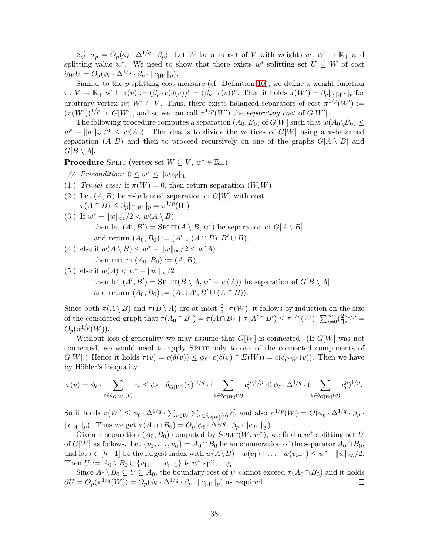2.)  $\sigma_p = O_p(\phi_\ell \cdot \Delta^{1/q} \cdot \beta_p)$ : Let W be a subset of V with weights  $w: W \to \mathbb{R}_+$  and splitting value w<sup>\*</sup>. We need to show that there exists w<sup>\*</sup>-splitting set  $U \subseteq W$  of cost  $\partial_W U = O_p(\phi_\ell \cdot \Delta^{1/q} \cdot \beta_p \cdot ||c_{|W}||_p).$ 

Similar to the  $p$ -splitting cost measure (cf. Definition [10\)](#page-13-1), we define a weight function  $\pi \colon V \to \mathbb{R}_+$  with  $\pi(v) := (\beta_p \cdot c(\delta(v))^p = (\beta_p \cdot \tau(v))^p$ . Then it holds  $\pi(W') = \beta_p ||\tau_{|W'}||_p$  for arbitrary vertex set  $W' \subseteq V$ . Thus, there exists balanced separators of cost  $\pi^{1/p}(W') :=$  $(\pi(W'))^{1/p}$  in  $G[W']$ , and so we can call  $\pi^{1/p}(W')$  the *separating cost* of  $G[W']$ .

The following procedure computes a separation  $(A_0, B_0)$  of  $G[W]$  such that  $w(A_0 \setminus B_0) \leq$  $w^* - ||w||_{\infty}/2 \leq w(A_0)$ . The idea is to divide the vertices of  $G[W]$  using a  $\pi$ -balanced separation  $(A, B)$  and then to proceed recursively on one of the graphs  $G[A \setminus B]$  and  $G[B \setminus A].$ 

**Procedure** SPLIT (vertex set  $W \subseteq V$ ,  $w^* \in \mathbb{R}_+$ )

- // Precondition:  $0 \leq w^* \leq ||w_{|W}||_1$
- (1.) *Trivial case:* if  $\pi(W) = 0$ , then return separation  $(W, W)$
- (2.) Let  $(A, B)$  be  $\pi$ -balanced separation of  $G[W]$  with cost  $\tau(A \cap B) \leq \beta_p ||\tau_{|W}||_p = \pi^{1/p}(W)$
- (3.) If  $w^* ||w||_{\infty}/2 < w(A \setminus B)$ then let  $(A', B') = \text{SPLIT}(A \setminus B, w^*)$  be separation of  $G[A \setminus B]$ and return  $(A_0, B_0) := (A' \cup (A \cap B), B' \cup B),$
- (4.) else if  $w(A \setminus B) \leq w^* ||w||_{\infty}/2 \leq w(A)$ then return  $(A_0, B_0) := (A, B),$
- (5.) else if  $w(A) < w^* ||w||_{\infty}/2$ then let  $(A', B') = \text{SPLIT}(B \setminus A, w^* - w(A))$  be separation of  $G[B \setminus A]$ and return  $(A_0, B_0) := (A \cup A', B' \cup (A \cap B)).$

Since both  $\pi(A \setminus B)$  and  $\pi(B \setminus A)$  are at most  $\frac{2}{3} \cdot \pi(W)$ , it follows by induction on the size of the considered graph that  $\tau(A_0 \cap B_0) = \tau(A \cap B) + \tau(A' \cap B') \leq \pi^{1/p}(W) \cdot \sum_{i=0}^{\infty} (\frac{2}{3})$  $\frac{2}{3}$ )<sup>*i*/*p*</sup> =  $O_p(\pi^{1/p}(W)).$ 

Without loss of generality we may assume that  $G[W]$  is connected. (If  $G[W]$  was not connected, we would need to apply Split only to one of the connected components of  $G[W]$ .) Hence it holds  $\tau(v) = c(\delta(v)) \leq \phi_{\ell} \cdot c(\delta(v) \cap E(W)) = c(\delta_{G[W]}(v))$ . Then we have by Hölder's inequality

$$
\tau(v) = \phi_{\ell} \cdot \sum_{e \in \delta_{G[W]}(v)} c_e \leq \phi_{\ell} \cdot |\delta_{G[W]}(v)|^{1/q} \cdot (\sum_{e \in \delta_{G[W]}(v)} c_e^p)^{1/p} \leq \phi_{\ell} \cdot \Delta^{1/q} \cdot (\sum_{e \in \delta_{G[W]}(v)} c_e^p)^{1/p}.
$$

So it holds  $\pi(W) \leq \phi_{\ell} \cdot \Delta^{1/q} \cdot \sum_{v \in W} \sum_{e \in \delta_{G[W]}(v)} c_e^p$  and also  $\pi^{1/p}(W) = O(\phi_{\ell} \cdot \Delta^{1/q} \cdot \beta_p \cdot \Delta^{1/q})$  $||c_{|W}||_p$ ). Thus we get  $\tau(A_0 \cap B_0) = O_p(\phi_\ell \cdot \Delta^{1/q} \cdot \beta_p \cdot ||c_{|W}||_p)$ .

Given a separation  $(A_0, B_0)$  computed by  $SPLIT(W, w^*)$ , we find a w<sup>\*</sup>-splitting set U of  $G[W]$  as follows. Let  $\{v_1,\ldots,v_h\} = A_0 \cap B_0$  be an enumeration of the separator  $A_0 \cap B_0$ , and let  $i \in [h+1]$  be the largest index with  $w(A \setminus B) + w(v_1) + \ldots + w(v_{i-1}) \leq w^* - ||w||_{\infty}/2$ . Then  $U := A_0 \setminus B_0 \cup \{v_1, \ldots, v_{i-1}\}$  is  $w^*$ -splitting.

Since  $A_0 \setminus B_0 \subseteq U \subseteq A_0$ , the boundary cost of U cannot exceed  $\tau(A_0 \cap B_0)$  and it holds  $\partial U = O_p(\pi^{1/q}(W)) = O_p(\phi_\ell \cdot \Delta^{1/q} \cdot \beta_p \cdot ||c_{|W}||_p)$  as required. 口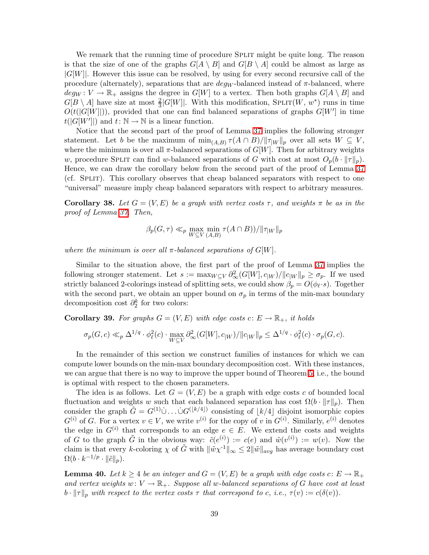We remark that the running time of procedure SPLIT might be quite long. The reason is that the size of one of the graphs  $G[A \setminus B]$  and  $G[B \setminus A]$  could be almost as large as  $|G[W]|$ . However this issue can be resolved, by using for every second recursive call of the procedure (alternately), separations that are  $deg_W$ -balanced instead of  $\pi$ -balanced, where  $deg_W: V \to \mathbb{R}_+$  assigns the degree in  $G[W]$  to a vertex. Then both graphs  $G[A \setminus B]$  and  $G[B \setminus A]$  have size at most  $\frac{2}{3}|G[W]|$ . With this modification, SPLIT $(W, w^*)$  runs in time  $O(t(|G[W]|))$ , provided that one can find balanced separations of graphs  $G[W']$  in time  $t(|G[W']|)$  and  $t: \mathbb{N} \to \mathbb{N}$  is a linear function.

Notice that the second part of the proof of Lemma [37](#page-36-0) implies the following stronger statement. Let b be the maximum of  $\min_{(A,B)} \tau(A \cap B) / ||\tau_{|W}||_p$  over all sets  $W \subseteq V$ , where the minimum is over all  $\pi$ -balanced separations of  $G[W]$ . Then for arbitrary weights w, procedure SPLIT can find w-balanced separations of G with cost at most  $O_p(b \cdot ||\tau||_p)$ . Hence, we can draw the corollary below from the second part of the proof of Lemma [37](#page-36-0) (cf. Split). This corollary observes that cheap balanced separators with respect to one "universal" measure imply cheap balanced separators with respect to arbitrary measures.

**Corollary 38.** Let  $G = (V, E)$  be a graph with vertex costs  $\tau$ , and weights  $\pi$  be as in the *proof of Lemma [37.](#page-36-0) Then,*

$$
\beta_p(G, \tau) \ll_p \max_{W \subseteq V} \min_{(A, B)} \tau(A \cap B)) / ||\tau_{|W}||_p
$$

*where the minimum is over all*  $\pi$ *-balanced separations of*  $G[W]$ *.* 

Similar to the situation above, the first part of the proof of Lemma [37](#page-36-0) implies the following stronger statement. Let  $s := \max_{W \subseteq V} \partial_{\infty}^2(G[W], c_{|W}) / ||c_{|W}||_p \ge \sigma_p$ . If we used strictly balanced 2-colorings instead of splitting sets, we could show  $\beta_p = O(\phi_{\ell} \cdot s)$ . Together with the second part, we obtain an upper bound on  $\sigma_p$  in terms of the min-max boundary decomposition cost  $\partial_2^k$  for two colors:

<span id="page-38-0"></span>**Corollary 39.** For graphs  $G = (V, E)$  with edge costs  $c: E \to \mathbb{R}_+$ , it holds

$$
\sigma_p(G,c) \ll_p \Delta^{1/q} \cdot \phi_\ell^2(c) \cdot \max_{W \subseteq V} \partial_\infty^2(G[W], c_{|W}) / ||c_{|W}||_p \le \Delta^{1/q} \cdot \phi_\ell^2(c) \cdot \sigma_p(G,c).
$$

In the remainder of this section we construct families of instances for which we can compute lower bounds on the min-max boundary decomposition cost. With these instances, we can argue that there is no way to improve the upper bound of Theorem [5,](#page-5-0) i.e., the bound is optimal with respect to the chosen parameters.

The idea is as follows. Let  $G = (V, E)$  be a graph with edge costs c of bounded local fluctuation and weights w such that each balanced separation has cost  $\Omega(b \cdot ||\tau||_p)$ . Then consider the graph  $\tilde{G} = G^{(1)} \cup ... \cup G^{(\lfloor k/4 \rfloor)}$  consisting of  $\lfloor k/4 \rfloor$  disjoint isomorphic copies  $G^{(i)}$  of G. For a vertex  $v \in V$ , we write  $v^{(i)}$  for the copy of v in  $G^{(i)}$ . Similarly,  $e^{(i)}$  denotes the edge in  $G^{(i)}$  that corresponds to an edge  $e \in E$ . We extend the costs and weights of G to the graph  $\tilde{G}$  in the obvious way:  $\tilde{c}(e^{(i)}) := c(e)$  and  $\tilde{w}(v^{(i)}) := w(v)$ . Now the claim is that every k-coloring  $\chi$  of  $\tilde{G}$  with  $\|\tilde{w}\chi^{-1}\|_{\infty} \leq 2\|\tilde{w}\|_{avg}$  has average boundary cost  $\Omega(b \cdot k^{-1/p} \cdot \|\tilde{c}\|_p).$ 

<span id="page-38-1"></span>**Lemma 40.** Let  $k \geq 4$  be an integer and  $G = (V, E)$  be a graph with edge costs  $c: E \to \mathbb{R}_+$ and vertex weights  $w: V \to \mathbb{R}_+$ . Suppose all w-balanced separations of G have cost at least  $b \cdot ||\tau||_p$  with respect to the vertex costs  $\tau$  that correspond to c, i.e.,  $\tau(v) := c(\delta(v))$ *.*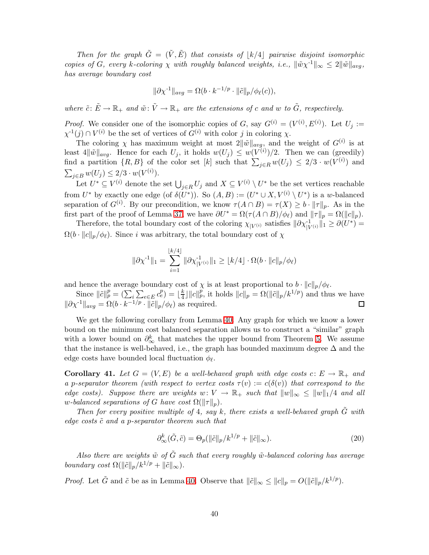*Then for the graph*  $\tilde{G} = (\tilde{V}, \tilde{E})$  *that consists of*  $|k/4|$  *pairwise disjoint isomorphic copies of*  $G$ *, every* k-coloring  $\chi$  *with roughly balanced weights, i.e.,*  $\|\tilde{w}\chi^{-1}\|_{\infty} \leq 2\|\tilde{w}\|_{avg}$ , *has average boundary cost*

$$
\|\partial \chi^{-1}\|_{avg} = \Omega(b \cdot k^{-1/p} \cdot \|\tilde{c}\|_p / \phi_{\ell}(c)),
$$

*where*  $\tilde{c}: \tilde{E} \to \mathbb{R}_+$  *and*  $\tilde{w}: \tilde{V} \to \mathbb{R}_+$  *are the extensions of c and w to*  $\tilde{G}$ *, respectively.* 

*Proof.* We consider one of the isomorphic copies of G, say  $G^{(i)} = (V^{(i)}, E^{(i)})$ . Let  $U_j :=$  $\chi^{-1}(j) \cap V^{(i)}$  be the set of vertices of  $G^{(i)}$  with color j in coloring  $\chi$ .

The coloring  $\chi$  has maximum weight at most  $2\|\tilde{w}\|_{avg}$ , and the weight of  $G^{(i)}$  is at least  $4\|\tilde{w}\|_{avg}$ . Hence for each  $U_j$ , it holds  $w(U_j) \leq w(V^{(i)})/2$ . Then we can (greedily) find a partition  $\{R, B\}$  of the color set  $[k]$  such that  $\sum_{j \in R} w(U_j) \leq 2/3 \cdot w(V^{(i)})$  and  $\sum_{j \in B} w(U_j) \leq 2/3 \cdot w(V^{(i)})$ .

Let  $U^* \subseteq V^{(i)}$  denote the set  $\bigcup_{j \in R} U_j$  and  $X \subseteq V^{(i)} \setminus U^*$  be the set vertices reachable from  $U^*$  by exactly one edge (of  $\delta(U^*)$ ). So  $(A, B) := (U^* \cup X, V^{(i)} \setminus U^*)$  is a w-balanced separation of  $G^{(i)}$ . By our precondition, we know  $\tau(A \cap B) = \tau(X) \ge b \cdot ||\tau||_p$ . As in the first part of the proof of Lemma [37,](#page-36-0) we have  $\partial U^* = \Omega(\tau(A \cap B)/\phi_\ell)$  and  $||\tau||_p = \Omega(||c||_p)$ .

Therefore, the total boundary cost of the coloring  $\chi_{|V^{(i)}}$  satisfies  $\|\partial \chi_{|V^{(i)}}^{-1}\|_1 \geq \partial(U^*)$  $\Omega(b \cdot ||c||_p/\phi_{\ell})$ . Since i was arbitrary, the total boundary cost of  $\chi$ 

$$
\|\partial \chi^{-1}\|_1 = \sum_{i=1}^{\lfloor k/4 \rfloor} \|\partial \chi^{-1}_{|V^{(i)}}\|_1 \ge \lfloor k/4 \rfloor \cdot \Omega(b \cdot \|c\|_p/\phi_\ell)
$$

and hence the average boundary cost of  $\chi$  is at least proportional to  $b \cdot ||c||_p / \phi_{\ell}$ .

Since  $\|\tilde{c}\|_p^p = \left(\sum_i \sum_{e \in E} c_e^p\right) = \lfloor \frac{k}{4} \rfloor$  $\frac{k}{4}$ |||c||p, it holds  $||c||_p = \Omega(||\tilde{c}||_p/k^{1/p})$  and thus we have  $\|\partial \chi^{-1}\|_{avg} = \Omega(b \cdot k^{-1/p} \cdot \|\tilde{c}\|_p/\phi_\ell)$  as required.

We get the following corollary from Lemma [40.](#page-38-1) Any graph for which we know a lower bound on the minimum cost balanced separation allows us to construct a "similar" graph with a lower bound on  $\partial_{\infty}^{k}$  that matches the upper bound from Theorem [5.](#page-5-0) We assume that the instance is well-behaved, i.e., the graph has bounded maximum degree  $\Delta$  and the edge costs have bounded local fluctuation  $\phi_{\ell}$ .

<span id="page-39-0"></span>**Corollary 41.** Let  $G = (V, E)$  be a well-behaved graph with edge costs  $c: E \to \mathbb{R}_+$  and *a* p-separator theorem (with respect to vertex costs  $\tau(v) := c(\delta(v))$  that correspond to the *edge costs). Suppose there are weights*  $w: V \to \mathbb{R}_+$  *such that*  $||w||_{\infty} \le ||w||_1/4$  *and all w*-balanced separations of G have cost  $\Omega(\|\tau\|_p)$ .

*Then for every positive multiple of* 4*, say* k*, there exists a well-behaved graph* G˜ *with edge costs*  $\tilde{c}$  *and a p-separator theorem such that* 

$$
\partial_{\infty}^{k}(\tilde{G},\tilde{c}) = \Theta_{p}(\|\tilde{c}\|_{p}/k^{1/p} + \|\tilde{c}\|_{\infty}).
$$
\n(20)

*Also there are weights*  $\tilde{w}$  *of*  $\tilde{G}$  *such that every roughly*  $\tilde{w}$ *-balanced coloring has average boundary cost*  $\Omega(||\tilde{c}||_p/k^{1/p} + ||\tilde{c}||_{\infty})$ *.* 

*Proof.* Let  $\tilde{G}$  and  $\tilde{c}$  be as in Lemma [40.](#page-38-1) Observe that  $\|\tilde{c}\|_{\infty} \leq \|c\|_p = O(\|\tilde{c}\|_p/k^{1/p}).$